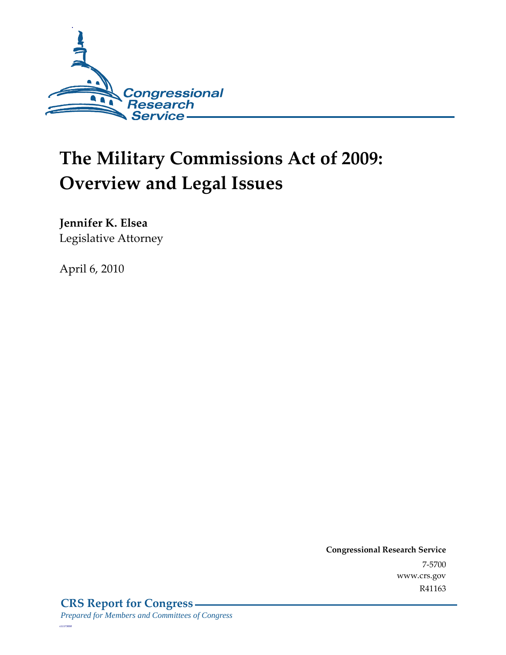

# **The Military Commissions Act of 2009: Overview and Legal Issues**

**Jennifer K. Elsea** 

Legislative Attorney

April 6, 2010

**Congressional Research Service** 7-5700 www.crs.gov R41163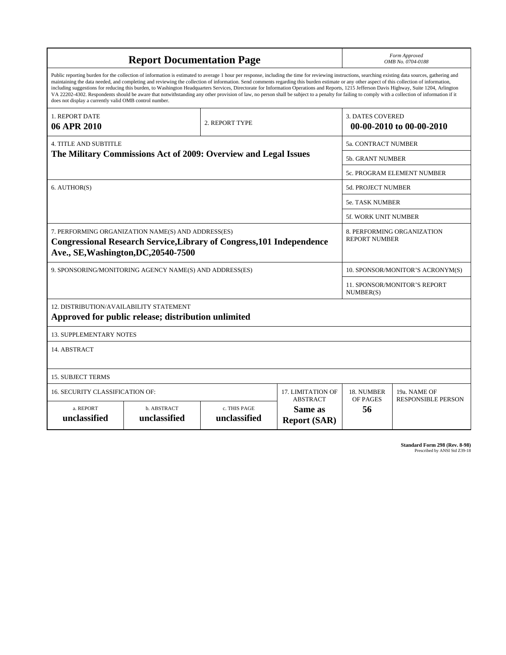| <b>Report Documentation Page</b>                                                                                                                                                                                                                                                                                                                                                                                                                                                                                                                                                                                                                                                                                                                                                                                                                                   |                                                                 |                |                                                     | Form Approved<br>OMB No. 0704-0188 |                            |
|--------------------------------------------------------------------------------------------------------------------------------------------------------------------------------------------------------------------------------------------------------------------------------------------------------------------------------------------------------------------------------------------------------------------------------------------------------------------------------------------------------------------------------------------------------------------------------------------------------------------------------------------------------------------------------------------------------------------------------------------------------------------------------------------------------------------------------------------------------------------|-----------------------------------------------------------------|----------------|-----------------------------------------------------|------------------------------------|----------------------------|
| Public reporting burden for the collection of information is estimated to average 1 hour per response, including the time for reviewing instructions, searching existing data sources, gathering and<br>maintaining the data needed, and completing and reviewing the collection of information. Send comments regarding this burden estimate or any other aspect of this collection of information,<br>including suggestions for reducing this burden, to Washington Headquarters Services, Directorate for Information Operations and Reports, 1215 Jefferson Davis Highway, Suite 1204, Arlington<br>VA 22202-4302. Respondents should be aware that notwithstanding any other provision of law, no person shall be subject to a penalty for failing to comply with a collection of information if it<br>does not display a currently valid OMB control number. |                                                                 |                |                                                     |                                    |                            |
| 1. REPORT DATE<br>06 APR 2010                                                                                                                                                                                                                                                                                                                                                                                                                                                                                                                                                                                                                                                                                                                                                                                                                                      | 2. REPORT TYPE                                                  |                | <b>3. DATES COVERED</b><br>00-00-2010 to 00-00-2010 |                                    |                            |
| <b>4. TITLE AND SUBTITLE</b>                                                                                                                                                                                                                                                                                                                                                                                                                                                                                                                                                                                                                                                                                                                                                                                                                                       |                                                                 |                |                                                     | 5a. CONTRACT NUMBER                |                            |
|                                                                                                                                                                                                                                                                                                                                                                                                                                                                                                                                                                                                                                                                                                                                                                                                                                                                    | The Military Commissions Act of 2009: Overview and Legal Issues |                |                                                     | <b>5b. GRANT NUMBER</b>            |                            |
|                                                                                                                                                                                                                                                                                                                                                                                                                                                                                                                                                                                                                                                                                                                                                                                                                                                                    |                                                                 |                |                                                     |                                    | 5c. PROGRAM ELEMENT NUMBER |
| 6. AUTHOR(S)                                                                                                                                                                                                                                                                                                                                                                                                                                                                                                                                                                                                                                                                                                                                                                                                                                                       |                                                                 |                |                                                     | <b>5d. PROJECT NUMBER</b>          |                            |
|                                                                                                                                                                                                                                                                                                                                                                                                                                                                                                                                                                                                                                                                                                                                                                                                                                                                    |                                                                 |                |                                                     | 5e. TASK NUMBER                    |                            |
|                                                                                                                                                                                                                                                                                                                                                                                                                                                                                                                                                                                                                                                                                                                                                                                                                                                                    |                                                                 |                |                                                     | 5f. WORK UNIT NUMBER               |                            |
| 7. PERFORMING ORGANIZATION NAME(S) AND ADDRESS(ES)<br><b>Congressional Research Service, Library of Congress, 101 Independence</b><br>Ave., SE, Washington, DC, 20540-7500                                                                                                                                                                                                                                                                                                                                                                                                                                                                                                                                                                                                                                                                                         |                                                                 |                | 8. PERFORMING ORGANIZATION<br><b>REPORT NUMBER</b>  |                                    |                            |
| 9. SPONSORING/MONITORING AGENCY NAME(S) AND ADDRESS(ES)                                                                                                                                                                                                                                                                                                                                                                                                                                                                                                                                                                                                                                                                                                                                                                                                            |                                                                 |                |                                                     | 10. SPONSOR/MONITOR'S ACRONYM(S)   |                            |
|                                                                                                                                                                                                                                                                                                                                                                                                                                                                                                                                                                                                                                                                                                                                                                                                                                                                    |                                                                 |                | <b>11. SPONSOR/MONITOR'S REPORT</b><br>NUMBER(S)    |                                    |                            |
| 12. DISTRIBUTION/AVAILABILITY STATEMENT<br>Approved for public release; distribution unlimited                                                                                                                                                                                                                                                                                                                                                                                                                                                                                                                                                                                                                                                                                                                                                                     |                                                                 |                |                                                     |                                    |                            |
| <b>13. SUPPLEMENTARY NOTES</b>                                                                                                                                                                                                                                                                                                                                                                                                                                                                                                                                                                                                                                                                                                                                                                                                                                     |                                                                 |                |                                                     |                                    |                            |
| 14. ABSTRACT                                                                                                                                                                                                                                                                                                                                                                                                                                                                                                                                                                                                                                                                                                                                                                                                                                                       |                                                                 |                |                                                     |                                    |                            |
| <b>15. SUBJECT TERMS</b>                                                                                                                                                                                                                                                                                                                                                                                                                                                                                                                                                                                                                                                                                                                                                                                                                                           |                                                                 |                |                                                     |                                    |                            |
| 16. SECURITY CLASSIFICATION OF:<br>17. LIMITATION OF                                                                                                                                                                                                                                                                                                                                                                                                                                                                                                                                                                                                                                                                                                                                                                                                               |                                                                 |                | 18. NUMBER                                          | 19a. NAME OF                       |                            |
| <b>ABSTRACT</b><br>a. REPORT<br>b. ABSTRACT<br>c. THIS PAGE<br>Same as<br>unclassified<br>unclassified<br>unclassified<br><b>Report (SAR)</b>                                                                                                                                                                                                                                                                                                                                                                                                                                                                                                                                                                                                                                                                                                                      |                                                                 | OF PAGES<br>56 | <b>RESPONSIBLE PERSON</b>                           |                                    |                            |

**Standard Form 298 (Rev. 8-98)**<br>Prescribed by ANSI Std Z39-18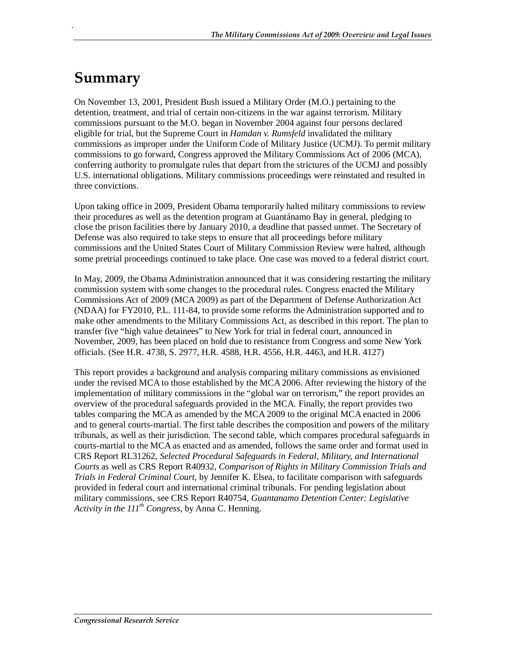# **Summary**

.

On November 13, 2001, President Bush issued a Military Order (M.O.) pertaining to the detention, treatment, and trial of certain non-citizens in the war against terrorism. Military commissions pursuant to the M.O. began in November 2004 against four persons declared eligible for trial, but the Supreme Court in *Hamdan v. Rumsfeld* invalidated the military commissions as improper under the Uniform Code of Military Justice (UCMJ). To permit military commissions to go forward, Congress approved the Military Commissions Act of 2006 (MCA), conferring authority to promulgate rules that depart from the strictures of the UCMJ and possibly U.S. international obligations. Military commissions proceedings were reinstated and resulted in three convictions.

Upon taking office in 2009, President Obama temporarily halted military commissions to review their procedures as well as the detention program at Guantánamo Bay in general, pledging to close the prison facilities there by January 2010, a deadline that passed unmet. The Secretary of Defense was also required to take steps to ensure that all proceedings before military commissions and the United States Court of Military Commission Review were halted, although some pretrial proceedings continued to take place. One case was moved to a federal district court.

In May, 2009, the Obama Administration announced that it was considering restarting the military commission system with some changes to the procedural rules. Congress enacted the Military Commissions Act of 2009 (MCA 2009) as part of the Department of Defense Authorization Act (NDAA) for FY2010, P.L. 111-84, to provide some reforms the Administration supported and to make other amendments to the Military Commissions Act, as described in this report. The plan to transfer five "high value detainees" to New York for trial in federal court, announced in November, 2009, has been placed on hold due to resistance from Congress and some New York officials. (See H.R. 4738, S. 2977, H.R. 4588, H.R. 4556, H.R. 4463, and H.R. 4127)

This report provides a background and analysis comparing military commissions as envisioned under the revised MCA to those established by the MCA 2006. After reviewing the history of the implementation of military commissions in the "global war on terrorism," the report provides an overview of the procedural safeguards provided in the MCA. Finally, the report provides two tables comparing the MCA as amended by the MCA 2009 to the original MCA enacted in 2006 and to general courts-martial. The first table describes the composition and powers of the military tribunals, as well as their jurisdiction. The second table, which compares procedural safeguards in courts-martial to the MCA as enacted and as amended, follows the same order and format used in CRS Report RL31262, *Selected Procedural Safeguards in Federal, Military, and International Courts* as well as CRS Report R40932, *Comparison of Rights in Military Commission Trials and Trials in Federal Criminal Court*, by Jennifer K. Elsea, to facilitate comparison with safeguards provided in federal court and international criminal tribunals. For pending legislation about military commissions, see CRS Report R40754, *Guantanamo Detention Center: Legislative Activity in the*  $111^{th}$  *Congress*, by Anna C. Henning.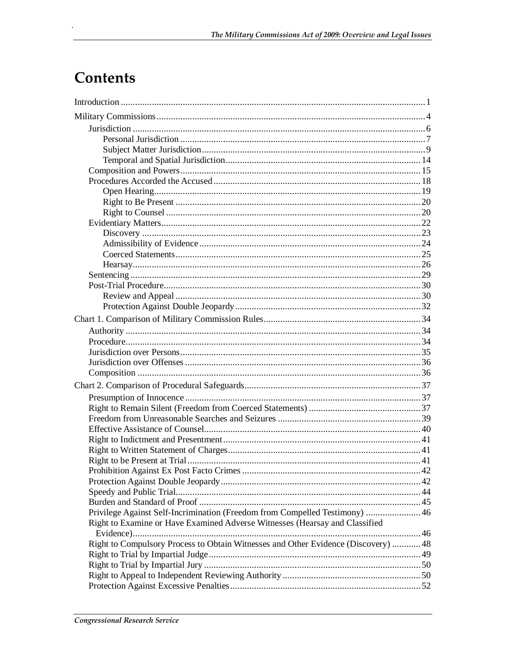# Contents

| Privilege Against Self-Incrimination (Freedom from Compelled Testimony)  46        |  |
|------------------------------------------------------------------------------------|--|
| Right to Examine or Have Examined Adverse Witnesses (Hearsay and Classified        |  |
| Right to Compulsory Process to Obtain Witnesses and Other Evidence (Discovery)  48 |  |
|                                                                                    |  |
|                                                                                    |  |
|                                                                                    |  |
|                                                                                    |  |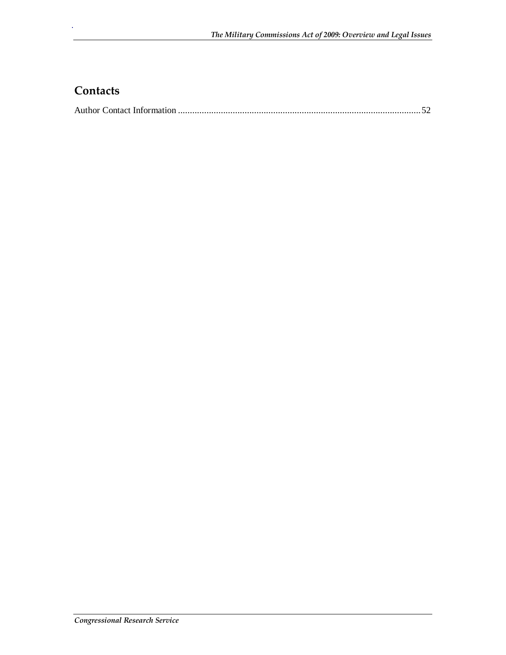## **Contacts**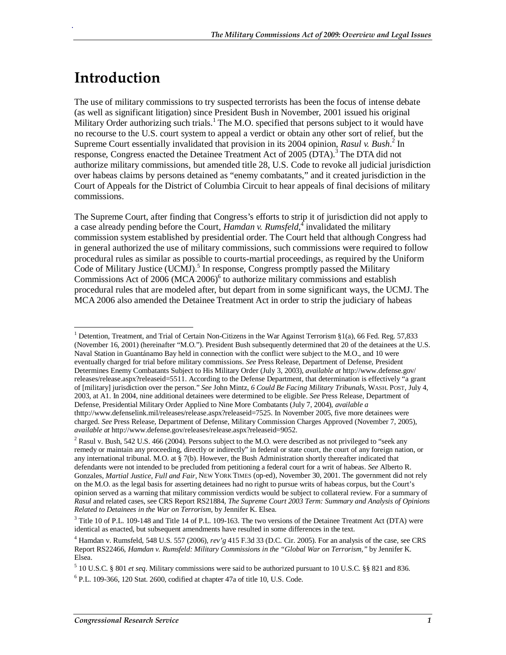# **Introduction**

.

The use of military commissions to try suspected terrorists has been the focus of intense debate (as well as significant litigation) since President Bush in November, 2001 issued his original Military Order authorizing such trials.<sup>1</sup> The M.O. specified that persons subject to it would have no recourse to the U.S. court system to appeal a verdict or obtain any other sort of relief, but the Supreme Court essentially invalidated that provision in its 2004 opinion, *Rasul v. Bush*.<sup>2</sup> In response, Congress enacted the Detainee Treatment Act of 2005 (DTA).<sup>3</sup> The DTA did not authorize military commissions, but amended title 28, U.S. Code to revoke all judicial jurisdiction over habeas claims by persons detained as "enemy combatants," and it created jurisdiction in the Court of Appeals for the District of Columbia Circuit to hear appeals of final decisions of military commissions.

The Supreme Court, after finding that Congress's efforts to strip it of jurisdiction did not apply to a case already pending before the Court, *Hamdan v. Rumsfeld*, invalidated the military commission system established by presidential order. The Court held that although Congress had in general authorized the use of military commissions, such commissions were required to follow procedural rules as similar as possible to courts-martial proceedings, as required by the Uniform Code of Military Justice (UCMJ).<sup>5</sup> In response, Congress promptly passed the Military Commissions Act of 2006 (MCA 2006) $6$  to authorize military commissions and establish procedural rules that are modeled after, but depart from in some significant ways, the UCMJ. The MCA 2006 also amended the Detainee Treatment Act in order to strip the judiciary of habeas

<sup>1&</sup>lt;br><sup>1</sup> Detention, Treatment, and Trial of Certain Non-Citizens in the War Against Terrorism §1(a), 66 Fed. Reg. 57,833 (November 16, 2001) (hereinafter "M.O."). President Bush subsequently determined that 20 of the detainees at the U.S. Naval Station in Guantánamo Bay held in connection with the conflict were subject to the M.O., and 10 were eventually charged for trial before military commissions. *See* Press Release, Department of Defense, President Determines Enemy Combatants Subject to His Military Order (July 3, 2003), *available at* http://www.defense.gov/ releases/release.aspx?releaseid=5511. According to the Defense Department, that determination is effectively "a grant of [military] jurisdiction over the person." *See* John Mintz, *6 Could Be Facing Military Tribunals*, WASH. POST, July 4, 2003, at A1. In 2004, nine additional detainees were determined to be eligible. *See* Press Release, Department of Defense, Presidential Military Order Applied to Nine More Combatants (July 7, 2004), *available a*  thttp://www.defenselink.mil/releases/release.aspx?releaseid=7525. In November 2005, five more detainees were charged. *See* Press Release, Department of Defense, Military Commission Charges Approved (November 7, 2005), *available at* http://www.defense.gov/releases/release.aspx?releaseid=9052.

<sup>&</sup>lt;sup>2</sup> Rasul v. Bush, 542 U.S. 466 (2004). Persons subject to the M.O. were described as not privileged to "seek any remedy or maintain any proceeding, directly or indirectly" in federal or state court, the court of any foreign nation, or any international tribunal. M.O. at § 7(b). However, the Bush Administration shortly thereafter indicated that defendants were not intended to be precluded from petitioning a federal court for a writ of habeas. *See* Alberto R. Gonzales, *Martial Justice, Full and Fair*, NEW YORK TIMES (op-ed), November 30, 2001. The government did not rely on the M.O. as the legal basis for asserting detainees had no right to pursue writs of habeas corpus, but the Court's opinion served as a warning that military commission verdicts would be subject to collateral review. For a summary of *Rasul* and related cases, see CRS Report RS21884, *The Supreme Court 2003 Term: Summary and Analysis of Opinions Related to Detainees in the War on Terrorism*, by Jennifer K. Elsea.

<sup>&</sup>lt;sup>3</sup> Title 10 of P.L. 109-148 and Title 14 of P.L. 109-163. The two versions of the Detainee Treatment Act (DTA) were identical as enacted, but subsequent amendments have resulted in some differences in the text.

<sup>4</sup> Hamdan v. Rumsfeld, 548 U.S. 557 (2006), *rev'g* 415 F.3d 33 (D.C. Cir. 2005). For an analysis of the case, see CRS Report RS22466, *Hamdan v. Rumsfeld: Military Commissions in the "Global War on Terrorism,"* by Jennifer K. Elsea.

<sup>5</sup> 10 U.S.C. § 801 *et seq*. Military commissions were said to be authorized pursuant to 10 U.S.C. §§ 821 and 836.

<sup>6</sup> P.L. 109-366, 120 Stat. 2600, codified at chapter 47a of title 10, U.S. Code.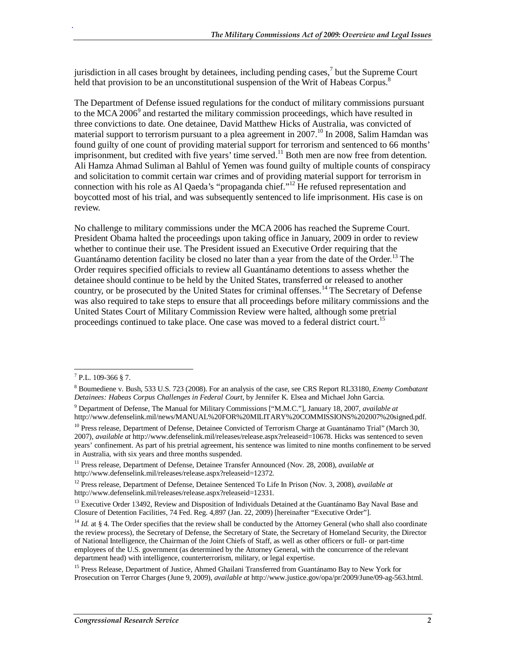jurisdiction in all cases brought by detainees, including pending cases, $\frac{7}{1}$  but the Supreme Court held that provision to be an unconstitutional suspension of the Writ of Habeas Corpus.<sup>8</sup>

The Department of Defense issued regulations for the conduct of military commissions pursuant to the MCA 2006 $^9$  and restarted the military commission proceedings, which have resulted in three convictions to date. One detainee, David Matthew Hicks of Australia, was convicted of material support to terrorism pursuant to a plea agreement in  $2007$ .<sup>10</sup> In 2008, Salim Hamdan was found guilty of one count of providing material support for terrorism and sentenced to 66 months' imprisonment, but credited with five years' time served.<sup>11</sup> Both men are now free from detention. Ali Hamza Ahmad Suliman al Bahlul of Yemen was found guilty of multiple counts of conspiracy and solicitation to commit certain war crimes and of providing material support for terrorism in connection with his role as Al Qaeda's "propaganda chief."<sup>12</sup> He refused representation and boycotted most of his trial, and was subsequently sentenced to life imprisonment. His case is on review.

No challenge to military commissions under the MCA 2006 has reached the Supreme Court. President Obama halted the proceedings upon taking office in January, 2009 in order to review whether to continue their use. The President issued an Executive Order requiring that the Guantánamo detention facility be closed no later than a year from the date of the Order.<sup>13</sup> The Order requires specified officials to review all Guantánamo detentions to assess whether the detainee should continue to be held by the United States, transferred or released to another country, or be prosecuted by the United States for criminal offenses.<sup>14</sup> The Secretary of Defense was also required to take steps to ensure that all proceedings before military commissions and the United States Court of Military Commission Review were halted, although some pretrial proceedings continued to take place. One case was moved to a federal district court.<sup>15</sup>

 $\frac{1}{7}$  P.L. 109-366 § 7.

<sup>8</sup> Boumediene v. Bush, 533 U.S. 723 (2008). For an analysis of the case, see CRS Report RL33180, *Enemy Combatant Detainees: Habeas Corpus Challenges in Federal Court*, by Jennifer K. Elsea and Michael John Garcia.

<sup>9</sup> Department of Defense, The Manual for Military Commissions ["M.M.C."], January 18, 2007, *available at*  http://www.defenselink.mil/news/MANUAL%20FOR%20MILITARY%20COMMISSIONS%202007%20signed.pdf.

<sup>&</sup>lt;sup>10</sup> Press release, Department of Defense, Detainee Convicted of Terrorism Charge at Guantánamo Trial" (March 30, 2007), *available at* http://www.defenselink.mil/releases/release.aspx?releaseid=10678. Hicks was sentenced to seven years' confinement. As part of his pretrial agreement, his sentence was limited to nine months confinement to be served in Australia, with six years and three months suspended.

<sup>11</sup> Press release, Department of Defense, Detainee Transfer Announced (Nov. 28, 2008), *available at* http://www.defenselink.mil/releases/release.aspx?releaseid=12372.

<sup>12</sup> Press release, Department of Defense, Detainee Sentenced To Life In Prison (Nov. 3, 2008), *available at* http://www.defenselink.mil/releases/release.aspx?releaseid=12331.

<sup>&</sup>lt;sup>13</sup> Executive Order 13492, Review and Disposition of Individuals Detained at the Guantánamo Bay Naval Base and Closure of Detention Facilities, 74 Fed. Reg. 4,897 (Jan. 22, 2009) [hereinafter "Executive Order"].

<sup>&</sup>lt;sup>14</sup> *Id.* at § 4. The Order specifies that the review shall be conducted by the Attorney General (who shall also coordinate the review process), the Secretary of Defense, the Secretary of State, the Secretary of Homeland Security, the Director of National Intelligence, the Chairman of the Joint Chiefs of Staff, as well as other officers or full- or part-time employees of the U.S. government (as determined by the Attorney General, with the concurrence of the relevant department head) with intelligence, counterterrorism, military, or legal expertise.

<sup>&</sup>lt;sup>15</sup> Press Release, Department of Justice, Ahmed Ghailani Transferred from Guantánamo Bay to New York for Prosecution on Terror Charges (June 9, 2009), *available at* http://www.justice.gov/opa/pr/2009/June/09-ag-563.html*.*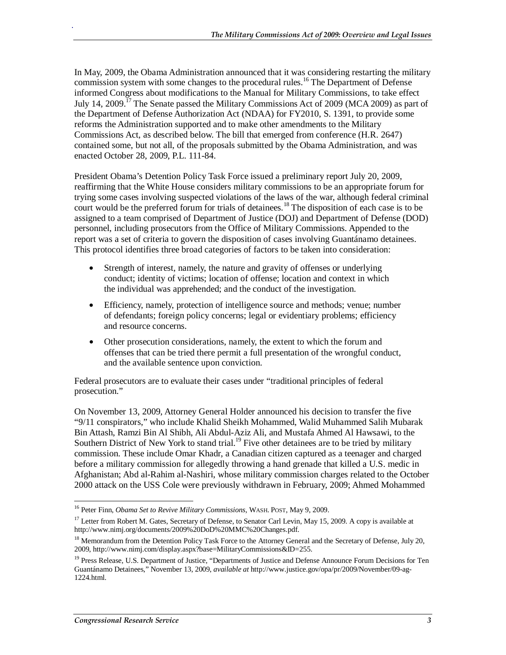In May, 2009, the Obama Administration announced that it was considering restarting the military commission system with some changes to the procedural rules.<sup>16</sup> The Department of Defense informed Congress about modifications to the Manual for Military Commissions, to take effect July 14, 2009.<sup>17</sup> The Senate passed the Military Commissions Act of 2009 (MCA 2009) as part of the Department of Defense Authorization Act (NDAA) for FY2010, S. 1391, to provide some reforms the Administration supported and to make other amendments to the Military Commissions Act, as described below. The bill that emerged from conference (H.R. 2647) contained some, but not all, of the proposals submitted by the Obama Administration, and was enacted October 28, 2009, P.L. 111-84.

President Obama's Detention Policy Task Force issued a preliminary report July 20, 2009, reaffirming that the White House considers military commissions to be an appropriate forum for trying some cases involving suspected violations of the laws of the war, although federal criminal court would be the preferred forum for trials of detainees.<sup>18</sup> The disposition of each case is to be assigned to a team comprised of Department of Justice (DOJ) and Department of Defense (DOD) personnel, including prosecutors from the Office of Military Commissions. Appended to the report was a set of criteria to govern the disposition of cases involving Guantánamo detainees. This protocol identifies three broad categories of factors to be taken into consideration:

- Strength of interest, namely, the nature and gravity of offenses or underlying conduct; identity of victims; location of offense; location and context in which the individual was apprehended; and the conduct of the investigation.
- Efficiency, namely, protection of intelligence source and methods; venue; number of defendants; foreign policy concerns; legal or evidentiary problems; efficiency and resource concerns.
- Other prosecution considerations, namely, the extent to which the forum and offenses that can be tried there permit a full presentation of the wrongful conduct, and the available sentence upon conviction.

Federal prosecutors are to evaluate their cases under "traditional principles of federal prosecution."

On November 13, 2009, Attorney General Holder announced his decision to transfer the five "9/11 conspirators," who include Khalid Sheikh Mohammed, Walid Muhammed Salih Mubarak Bin Attash, Ramzi Bin Al Shibh, Ali Abdul-Aziz Ali, and Mustafa Ahmed Al Hawsawi, to the Southern District of New York to stand trial.<sup>19</sup> Five other detainees are to be tried by military commission. These include Omar Khadr, a Canadian citizen captured as a teenager and charged before a military commission for allegedly throwing a hand grenade that killed a U.S. medic in Afghanistan; Abd al-Rahim al-Nashiri, whose military commission charges related to the October 2000 attack on the USS Cole were previously withdrawn in February, 2009; Ahmed Mohammed

<sup>-</sup>16 Peter Finn, *Obama Set to Revive Military Commissions*, WASH. POST, May 9, 2009.

<sup>&</sup>lt;sup>17</sup> Letter from Robert M. Gates, Secretary of Defense, to Senator Carl Levin, May 15, 2009. A copy is available at http://www.nimj.org/documents/2009%20DoD%20MMC%20Changes.pdf.

<sup>&</sup>lt;sup>18</sup> Memorandum from the Detention Policy Task Force to the Attorney General and the Secretary of Defense, July 20, 2009, http://www.nimj.com/display.aspx?base=MilitaryCommissions&ID=255.

<sup>&</sup>lt;sup>19</sup> Press Release, U.S. Department of Justice, "Departments of Justice and Defense Announce Forum Decisions for Ten Guantánamo Detainees," November 13, 2009, *available at* http://www.justice.gov/opa/pr/2009/November/09-ag-1224.html.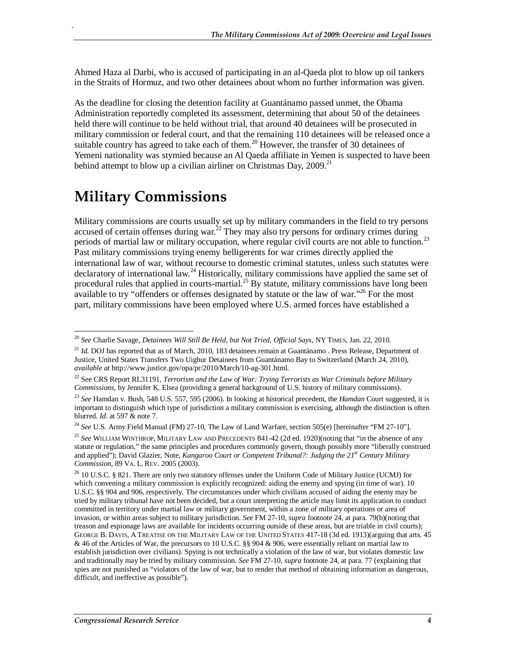Ahmed Haza al Darbi, who is accused of participating in an al-Qaeda plot to blow up oil tankers in the Straits of Hormuz, and two other detainees about whom no further information was given.

As the deadline for closing the detention facility at Guantánamo passed unmet, the Obama Administration reportedly completed its assessment, determining that about 50 of the detainees held there will continue to be held without trial, that around 40 detainees will be prosecuted in military commission or federal court, and that the remaining 110 detainees will be released once a suitable country has agreed to take each of them.<sup>20</sup> However, the transfer of 30 detainees of Yemeni nationality was stymied because an Al Qaeda affiliate in Yemen is suspected to have been behind attempt to blow up a civilian airliner on Christmas Day,  $2009$ <sup>21</sup>

# **Military Commissions**

.

Military commissions are courts usually set up by military commanders in the field to try persons accused of certain offenses during war.<sup> $22$ </sup> They may also try persons for ordinary crimes during periods of martial law or military occupation, where regular civil courts are not able to function.<sup>23</sup> Past military commissions trying enemy belligerents for war crimes directly applied the international law of war, without recourse to domestic criminal statutes, unless such statutes were declaratory of international law.<sup>24</sup> Historically, military commissions have applied the same set of procedural rules that applied in courts-martial.<sup>25</sup> By statute, military commissions have long been available to try "offenders or offenses designated by statute or the law of war."<sup>26</sup> For the most part, military commissions have been employed where U.S. armed forces have established a

<sup>&</sup>lt;u>.</u> <sup>20</sup> *See* Charlie Savage, *Detainees Will Still Be Held, but Not Tried, Official Says*, NY TIMES, Jan. 22, 2010.

<sup>&</sup>lt;sup>21</sup> *Id.* DOJ has reported that as of March, 2010, 183 detainees remain at Guantánamo . Press Release, Department of Justice, United States Transfers Two Uighur Detainees from Guantánamo Bay to Switzerland (March 24, 2010), *available at* http://www.justice.gov/opa/pr/2010/March/10-ag-301.html*.* 

<sup>22</sup> See CRS Report RL31191, *Terrorism and the Law of War: Trying Terrorists as War Criminals before Military Commissions*, by Jennifer K. Elsea (providing a general background of U.S. history of military commissions).

<sup>23</sup> *See* Hamdan v. Bush, 548 U.S. 557, 595 (2006). In looking at historical precedent, the *Hamdan* Court suggested, it is important to distinguish which type of jurisdiction a military commission is exercising, although the distinction is often blurred. *Id*. at 597 & note 7.

<sup>&</sup>lt;sup>24</sup> See U.S. Army Field Manual (FM) 27-10, The Law of Land Warfare, section 505(e) [hereinafter "FM 27-10"].

<sup>25</sup> *See* WILLIAM WINTHROP, MILITARY LAW AND PRECEDENTS 841-42 (2d ed. 1920)(noting that "in the absence of any statute or regulation," the same principles and procedures commonly govern, though possibly more "liberally construed and applied"); David Glazier, Note, *Kangaroo Court or Competent Tribunal?: Judging the 21st Century Military Commission*, 89 VA. L. REV. 2005 (2003).

<sup>&</sup>lt;sup>26</sup> 10 U.S.C. § 821. There are only two statutory offenses under the Uniform Code of Military Justice (UCMJ) for which convening a military commission is explicitly recognized: aiding the enemy and spying (in time of war). 10 U.S.C. §§ 904 and 906, respectively. The circumstances under which civilians accused of aiding the enemy may be tried by military tribunal have not been decided, but a court interpreting the article may limit its application to conduct committed in territory under martial law or military government, within a zone of military operations or area of invasion, or within areas subject to military jurisdiction. *See* FM 27-10, *supra* footnote 24, at para. 79(b)(noting that treason and espionage laws are available for incidents occurring outside of these areas, but are triable in civil courts); GEORGE B. DAVIS, A TREATISE ON THE MILITARY LAW OF THE UNITED STATES 417-18 (3d ed. 1913)(arguing that arts. 45 & 46 of the Articles of War, the precursors to 10 U.S.C. §§ 904 & 906, were essentially reliant on martial law to establish jurisdiction over civilians). Spying is not technically a violation of the law of war, but violates domestic law and traditionally may be tried by military commission. *See* FM 27-10, *supra* footnote 24, at para. 77 (explaining that spies are not punished as "violators of the law of war, but to render that method of obtaining information as dangerous, difficult, and ineffective as possible").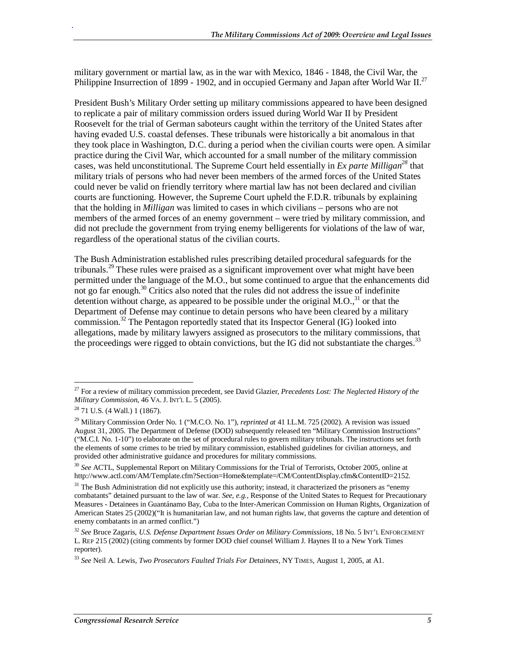military government or martial law, as in the war with Mexico, 1846 - 1848, the Civil War, the Philippine Insurrection of 1899 - 1902, and in occupied Germany and Japan after World War II.<sup>27</sup>

President Bush's Military Order setting up military commissions appeared to have been designed to replicate a pair of military commission orders issued during World War II by President Roosevelt for the trial of German saboteurs caught within the territory of the United States after having evaded U.S. coastal defenses. These tribunals were historically a bit anomalous in that they took place in Washington, D.C. during a period when the civilian courts were open. A similar practice during the Civil War, which accounted for a small number of the military commission cases, was held unconstitutional. The Supreme Court held essentially in *Ex parte Milligan*<sup>28</sup> that military trials of persons who had never been members of the armed forces of the United States could never be valid on friendly territory where martial law has not been declared and civilian courts are functioning. However, the Supreme Court upheld the F.D.R. tribunals by explaining that the holding in *Milligan* was limited to cases in which civilians – persons who are not members of the armed forces of an enemy government – were tried by military commission, and did not preclude the government from trying enemy belligerents for violations of the law of war, regardless of the operational status of the civilian courts.

The Bush Administration established rules prescribing detailed procedural safeguards for the tribunals.<sup>29</sup> These rules were praised as a significant improvement over what might have been permitted under the language of the M.O., but some continued to argue that the enhancements did not go far enough.<sup>30</sup> Critics also noted that the rules did not address the issue of indefinite detention without charge, as appeared to be possible under the original  $M.O.,<sup>31</sup>$  or that the Department of Defense may continue to detain persons who have been cleared by a military commission.<sup>32</sup> The Pentagon reportedly stated that its Inspector General (IG) looked into allegations, made by military lawyers assigned as prosecutors to the military commissions, that the proceedings were rigged to obtain convictions, but the IG did not substantiate the charges.<sup>33</sup>

<sup>-</sup>27 For a review of military commission precedent, see David Glazier, *Precedents Lost: The Neglected History of the Military Commission*, 46 VA. J. INT'L L. 5 (2005).

<sup>28 71</sup> U.S. (4 Wall.) 1 (1867).

<sup>29</sup> Military Commission Order No. 1 ("M.C.O. No. 1"), *reprinted at* 41 I.L.M. 725 (2002). A revision was issued August 31, 2005. The Department of Defense (DOD) subsequently released ten "Military Commission Instructions" ("M.C.I. No. 1-10") to elaborate on the set of procedural rules to govern military tribunals. The instructions set forth the elements of some crimes to be tried by military commission, established guidelines for civilian attorneys, and provided other administrative guidance and procedures for military commissions.

<sup>30</sup> *See* ACTL, Supplemental Report on Military Commissions for the Trial of Terrorists, October 2005, online at http://www.actl.com/AM/Template.cfm?Section=Home&template=/CM/ContentDisplay.cfm&ContentID=2152.

 $31$  The Bush Administration did not explicitly use this authority; instead, it characterized the prisoners as "enemy combatants" detained pursuant to the law of war. *See, e.g.*, Response of the United States to Request for Precautionary Measures - Detainees in Guantánamo Bay, Cuba to the Inter-American Commission on Human Rights, Organization of American States 25 (2002)("It is humanitarian law, and not human rights law, that governs the capture and detention of enemy combatants in an armed conflict.")

<sup>32</sup> *See* Bruce Zagaris, *U.S. Defense Department Issues Order on Military Commissions*, 18 No. 5 INT'L ENFORCEMENT L. REP 215 (2002) (citing comments by former DOD chief counsel William J. Haynes II to a New York Times reporter).

<sup>33</sup> *See* Neil A. Lewis, *Two Prosecutors Faulted Trials For Detainees*, NY TIMES, August 1, 2005, at A1.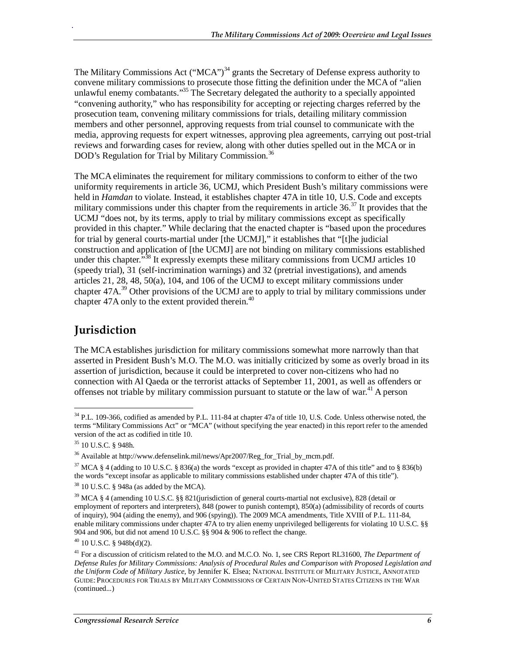The Military Commissions Act ("MCA")<sup>34</sup> grants the Secretary of Defense express authority to convene military commissions to prosecute those fitting the definition under the MCA of "alien unlawful enemy combatants."<sup>35</sup> The Secretary delegated the authority to a specially appointed "convening authority," who has responsibility for accepting or rejecting charges referred by the prosecution team, convening military commissions for trials, detailing military commission members and other personnel, approving requests from trial counsel to communicate with the media, approving requests for expert witnesses, approving plea agreements, carrying out post-trial reviews and forwarding cases for review, along with other duties spelled out in the MCA or in DOD's Regulation for Trial by Military Commission.<sup>36</sup>

The MCA eliminates the requirement for military commissions to conform to either of the two uniformity requirements in article 36, UCMJ, which President Bush's military commissions were held in *Hamdan* to violate. Instead, it establishes chapter 47A in title 10, U.S. Code and excepts military commissions under this chapter from the requirements in article  $36$ .<sup>37</sup> It provides that the UCMJ "does not, by its terms, apply to trial by military commissions except as specifically provided in this chapter." While declaring that the enacted chapter is "based upon the procedures for trial by general courts-martial under [the UCMJ]," it establishes that "[t]he judicial construction and application of [the UCMJ] are not binding on military commissions established under this chapter.<sup> $38$ </sup> It expressly exempts these military commissions from UCMJ articles 10 (speedy trial), 31 (self-incrimination warnings) and 32 (pretrial investigations), and amends articles 21, 28, 48, 50(a), 104, and 106 of the UCMJ to except military commissions under chapter  $47A<sup>39</sup>$  Other provisions of the UCMJ are to apply to trial by military commissions under chapter 47A only to the extent provided therein.<sup>40</sup>

## **Jurisdiction**

.

The MCA establishes jurisdiction for military commissions somewhat more narrowly than that asserted in President Bush's M.O. The M.O. was initially criticized by some as overly broad in its assertion of jurisdiction, because it could be interpreted to cover non-citizens who had no connection with Al Qaeda or the terrorist attacks of September 11, 2001, as well as offenders or offenses not triable by military commission pursuant to statute or the law of war.<sup>41</sup> A person

<sup>-</sup> $34$  P.L. 109-366, codified as amended by P.L. 111-84 at chapter 47a of title 10, U.S. Code. Unless otherwise noted, the terms "Military Commissions Act" or "MCA" (without specifying the year enacted) in this report refer to the amended version of the act as codified in title 10.

<sup>35 10</sup> U.S.C. § 948h.

<sup>36</sup> Available at http://www.defenselink.mil/news/Apr2007/Reg\_for\_Trial\_by\_mcm.pdf.

<sup>&</sup>lt;sup>37</sup> MCA § 4 (adding to 10 U.S.C. § 836(a) the words "except as provided in chapter 47A of this title" and to § 836(b) the words "except insofar as applicable to military commissions established under chapter 47A of this title").

<sup>38 10</sup> U.S.C. § 948a (as added by the MCA).

<sup>39</sup> MCA § 4 (amending 10 U.S.C. §§ 821(jurisdiction of general courts-martial not exclusive), 828 (detail or employment of reporters and interpreters), 848 (power to punish contempt), 850(a) (admissibility of records of courts of inquiry), 904 (aiding the enemy), and 906 (spying)). The 2009 MCA amendments, Title XVIII of P.L. 111-84, enable military commissions under chapter 47A to try alien enemy unprivileged belligerents for violating 10 U.S.C. §§ 904 and 906, but did not amend 10 U.S.C. §§ 904 & 906 to reflect the change.

 $40$  10 U.S.C. § 948b(d)(2).

<sup>41</sup> For a discussion of criticism related to the M.O. and M.C.O. No. 1, see CRS Report RL31600, *The Department of Defense Rules for Military Commissions: Analysis of Procedural Rules and Comparison with Proposed Legislation and the Uniform Code of Military Justice*, by Jennifer K. Elsea; NATIONAL INSTITUTE OF MILITARY JUSTICE, ANNOTATED GUIDE: PROCEDURES FOR TRIALS BY MILITARY COMMISSIONS OF CERTAIN NON-UNITED STATES CITIZENS IN THE WAR (continued...)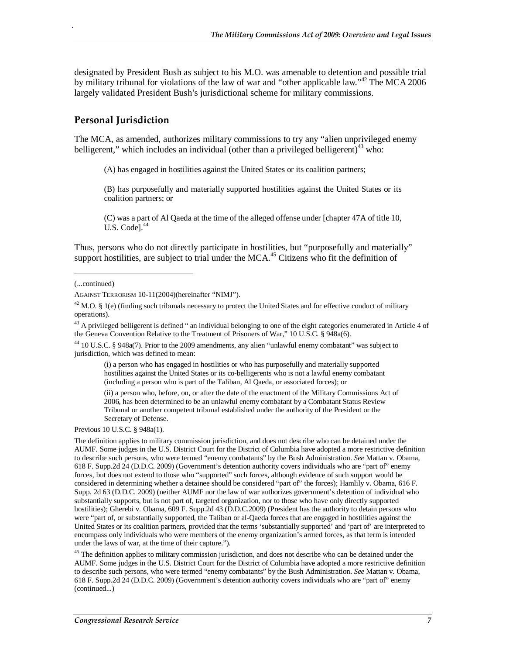designated by President Bush as subject to his M.O. was amenable to detention and possible trial by military tribunal for violations of the law of war and "other applicable law."<sup>42</sup> The MCA 2006 largely validated President Bush's jurisdictional scheme for military commissions.

### **Personal Jurisdiction**

The MCA, as amended, authorizes military commissions to try any "alien unprivileged enemy belligerent," which includes an individual (other than a privileged belligerent)<sup>43</sup> who:

(A) has engaged in hostilities against the United States or its coalition partners;

(B) has purposefully and materially supported hostilities against the United States or its coalition partners; or

(C) was a part of Al Qaeda at the time of the alleged offense under [chapter 47A of title 10, U.S. Codel.<sup>44</sup>

Thus, persons who do not directly participate in hostilities, but "purposefully and materially" support hostilities, are subject to trial under the MCA.<sup>45</sup> Citizens who fit the definition of

1

.

<sup>43</sup> A privileged belligerent is defined " an individual belonging to one of the eight categories enumerated in Article 4 of the Geneva Convention Relative to the Treatment of Prisoners of War," 10 U.S.C. § 948a(6).

44 10 U.S.C. § 948a(7). Prior to the 2009 amendments, any alien "unlawful enemy combatant" was subject to jurisdiction, which was defined to mean:

(i) a person who has engaged in hostilities or who has purposefully and materially supported hostilities against the United States or its co-belligerents who is not a lawful enemy combatant (including a person who is part of the Taliban, Al Qaeda, or associated forces); or

(ii) a person who, before, on, or after the date of the enactment of the Military Commissions Act of 2006, has been determined to be an unlawful enemy combatant by a Combatant Status Review Tribunal or another competent tribunal established under the authority of the President or the Secretary of Defense.

Previous 10 U.S.C. § 948a(1).

The definition applies to military commission jurisdiction, and does not describe who can be detained under the AUMF. Some judges in the U.S. District Court for the District of Columbia have adopted a more restrictive definition to describe such persons, who were termed "enemy combatants" by the Bush Administration. *See* Mattan v. Obama, 618 F. Supp.2d 24 (D.D.C. 2009) (Government's detention authority covers individuals who are "part of" enemy forces, but does not extend to those who "supported" such forces, although evidence of such support would be considered in determining whether a detainee should be considered "part of" the forces); Hamlily v. Obama, 616 F. Supp. 2d 63 (D.D.C. 2009) (neither AUMF nor the law of war authorizes government's detention of individual who substantially supports, but is not part of, targeted organization, nor to those who have only directly supported hostilities); Gherebi v. Obama, 609 F. Supp.2d 43 (D.D.C.2009) (President has the authority to detain persons who were "part of, or substantially supported, the Taliban or al-Qaeda forces that are engaged in hostilities against the United States or its coalition partners, provided that the terms 'substantially supported' and 'part of' are interpreted to encompass only individuals who were members of the enemy organization's armed forces, as that term is intended under the laws of war, at the time of their capture.").

<sup>45</sup> The definition applies to military commission jurisdiction, and does not describe who can be detained under the AUMF. Some judges in the U.S. District Court for the District of Columbia have adopted a more restrictive definition to describe such persons, who were termed "enemy combatants" by the Bush Administration. *See* Mattan v. Obama, 618 F. Supp.2d 24 (D.D.C. 2009) (Government's detention authority covers individuals who are "part of" enemy (continued...)

<sup>(...</sup>continued)

AGAINST TERRORISM 10-11(2004)(hereinafter "NIMJ").

 $42$  M.O. § 1(e) (finding such tribunals necessary to protect the United States and for effective conduct of military operations).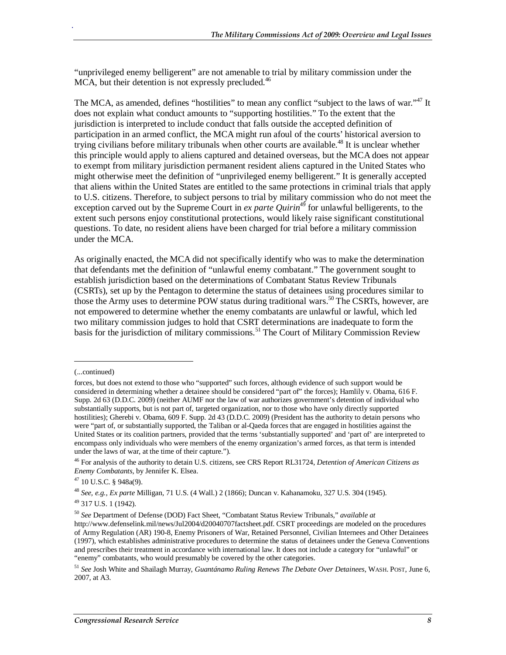"unprivileged enemy belligerent" are not amenable to trial by military commission under the MCA, but their detention is not expressly precluded.<sup>46</sup>

The MCA, as amended, defines "hostilities" to mean any conflict "subject to the laws of war."<sup>47</sup> It does not explain what conduct amounts to "supporting hostilities." To the extent that the jurisdiction is interpreted to include conduct that falls outside the accepted definition of participation in an armed conflict, the MCA might run afoul of the courts' historical aversion to trying civilians before military tribunals when other courts are available.<sup>48</sup> It is unclear whether this principle would apply to aliens captured and detained overseas, but the MCA does not appear to exempt from military jurisdiction permanent resident aliens captured in the United States who might otherwise meet the definition of "unprivileged enemy belligerent." It is generally accepted that aliens within the United States are entitled to the same protections in criminal trials that apply to U.S. citizens. Therefore, to subject persons to trial by military commission who do not meet the exception carved out by the Supreme Court in *ex parte Quirin*<sup>49</sup> for unlawful belligerents, to the extent such persons enjoy constitutional protections, would likely raise significant constitutional questions. To date, no resident aliens have been charged for trial before a military commission under the MCA.

As originally enacted, the MCA did not specifically identify who was to make the determination that defendants met the definition of "unlawful enemy combatant." The government sought to establish jurisdiction based on the determinations of Combatant Status Review Tribunals (CSRTs), set up by the Pentagon to determine the status of detainees using procedures similar to those the Army uses to determine POW status during traditional wars.<sup>50</sup> The CSRTs, however, are not empowered to determine whether the enemy combatants are unlawful or lawful, which led two military commission judges to hold that CSRT determinations are inadequate to form the basis for the jurisdiction of military commissions.<sup>51</sup> The Court of Military Commission Review

1

<sup>(...</sup>continued)

forces, but does not extend to those who "supported" such forces, although evidence of such support would be considered in determining whether a detainee should be considered "part of" the forces); Hamlily v. Obama, 616 F. Supp. 2d 63 (D.D.C. 2009) (neither AUMF nor the law of war authorizes government's detention of individual who substantially supports, but is not part of, targeted organization, nor to those who have only directly supported hostilities); Gherebi v. Obama, 609 F. Supp. 2d 43 (D.D.C. 2009) (President has the authority to detain persons who were "part of, or substantially supported, the Taliban or al-Qaeda forces that are engaged in hostilities against the United States or its coalition partners, provided that the terms 'substantially supported' and 'part of' are interpreted to encompass only individuals who were members of the enemy organization's armed forces, as that term is intended under the laws of war, at the time of their capture.").

<sup>46</sup> For analysis of the authority to detain U.S. citizens, see CRS Report RL31724, *Detention of American Citizens as Enemy Combatants*, by Jennifer K. Elsea.

 $47$  10 U.S.C. § 948a(9).

<sup>48</sup> *See, e.g., Ex parte* Milligan, 71 U.S. (4 Wall.) 2 (1866); Duncan v. Kahanamoku, 327 U.S. 304 (1945).

<sup>49 317</sup> U.S. 1 (1942).

<sup>50</sup> *See* Department of Defense (DOD) Fact Sheet, "Combatant Status Review Tribunals," *available at* http://www.defenselink.mil/news/Jul2004/d20040707factsheet.pdf. CSRT proceedings are modeled on the procedures of Army Regulation (AR) 190-8, Enemy Prisoners of War, Retained Personnel, Civilian Internees and Other Detainees (1997), which establishes administrative procedures to determine the status of detainees under the Geneva Conventions and prescribes their treatment in accordance with international law. It does not include a category for "unlawful" or "enemy" combatants, who would presumably be covered by the other categories.

<sup>51</sup> *See* Josh White and Shailagh Murray, *Guantánamo Ruling Renews The Debate Over Detainees*, WASH. POST, June 6, 2007, at A3.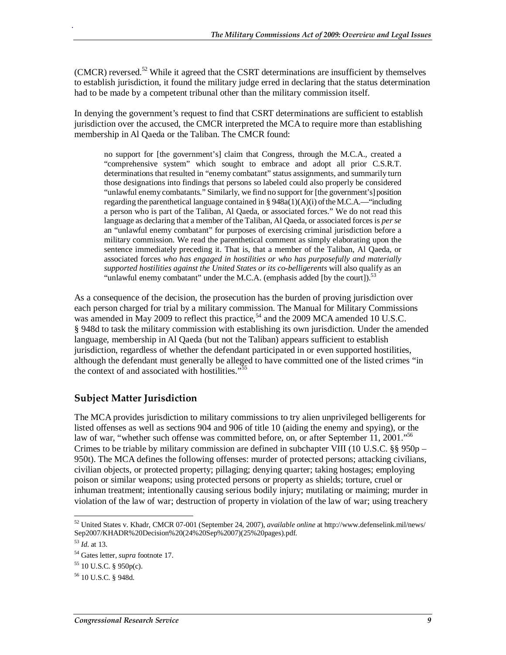(CMCR) reversed.<sup>52</sup> While it agreed that the CSRT determinations are insufficient by themselves to establish jurisdiction, it found the military judge erred in declaring that the status determination had to be made by a competent tribunal other than the military commission itself.

In denying the government's request to find that CSRT determinations are sufficient to establish jurisdiction over the accused, the CMCR interpreted the MCA to require more than establishing membership in Al Qaeda or the Taliban. The CMCR found:

no support for [the government's] claim that Congress, through the M.C.A., created a "comprehensive system" which sought to embrace and adopt all prior C.S.R.T. determinations that resulted in "enemy combatant" status assignments, and summarily turn those designations into findings that persons so labeled could also properly be considered "unlawful enemy combatants." Similarly, we find no support for [the government's] position regarding the parenthetical language contained in §  $948a(1)(A)(i)$  of the M.C.A.—"including a person who is part of the Taliban, Al Qaeda, or associated forces." We do not read this language as declaring that a member of the Taliban, Al Qaeda, or associated forces is *per se* an "unlawful enemy combatant" for purposes of exercising criminal jurisdiction before a military commission. We read the parenthetical comment as simply elaborating upon the sentence immediately preceding it. That is, that a member of the Taliban, Al Qaeda, or associated forces *who has engaged in hostilities or who has purposefully and materially supported hostilities against the United States or its co-belligerents* will also qualify as an "unlawful enemy combatant" under the M.C.A. (emphasis added [by the court]).<sup>53</sup>

As a consequence of the decision, the prosecution has the burden of proving jurisdiction over each person charged for trial by a military commission. The Manual for Military Commissions was amended in May 2009 to reflect this practice,<sup>54</sup> and the 2009 MCA amended 10 U.S.C. § 948d to task the military commission with establishing its own jurisdiction. Under the amended language, membership in Al Qaeda (but not the Taliban) appears sufficient to establish jurisdiction, regardless of whether the defendant participated in or even supported hostilities, although the defendant must generally be alleged to have committed one of the listed crimes "in the context of and associated with hostilities."<sup>55</sup>

### **Subject Matter Jurisdiction**

The MCA provides jurisdiction to military commissions to try alien unprivileged belligerents for listed offenses as well as sections 904 and 906 of title 10 (aiding the enemy and spying), or the law of war, "whether such offense was committed before, on, or after September 11, 2001."<sup>56</sup> Crimes to be triable by military commission are defined in subchapter VIII (10 U.S.C. §§ 950p – 950t). The MCA defines the following offenses: murder of protected persons; attacking civilians, civilian objects, or protected property; pillaging; denying quarter; taking hostages; employing poison or similar weapons; using protected persons or property as shields; torture, cruel or inhuman treatment; intentionally causing serious bodily injury; mutilating or maiming; murder in violation of the law of war; destruction of property in violation of the law of war; using treachery

-

<sup>52</sup> United States v. Khadr, CMCR 07-001 (September 24, 2007), *available online* at http://www.defenselink.mil/news/ Sep2007/KHADR%20Decision%20(24%20Sep%2007)(25%20pages).pdf.

<sup>53</sup> *Id*. at 13.

<sup>54</sup> Gates letter, *supra* footnote 17.

 $55$  10 U.S.C. § 950p(c).

<sup>56 10</sup> U.S.C. § 948d.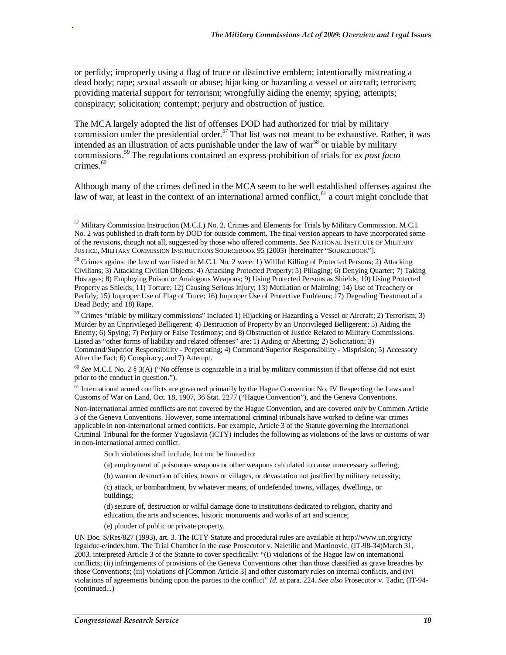or perfidy; improperly using a flag of truce or distinctive emblem; intentionally mistreating a dead body; rape; sexual assault or abuse; hijacking or hazarding a vessel or aircraft; terrorism; providing material support for terrorism; wrongfully aiding the enemy; spying; attempts; conspiracy; solicitation; contempt; perjury and obstruction of justice.

The MCA largely adopted the list of offenses DOD had authorized for trial by military commission under the presidential order.<sup>57</sup> That list was not meant to be exhaustive. Rather, it was intended as an illustration of acts punishable under the law of war<sup>58</sup> or triable by military commissions.59 The regulations contained an express prohibition of trials for *ex post facto* crimes.<sup>60</sup>

Although many of the crimes defined in the MCA seem to be well established offenses against the law of war, at least in the context of an international armed conflict,  $61$  a court might conclude that

 $59$  Crimes "triable by military commissions" included 1) Hijacking or Hazarding a Vessel or Aircraft; 2) Terrorism; 3) Murder by an Unprivileged Belligerent; 4) Destruction of Property by an Unprivileged Belligerent; 5) Aiding the Enemy; 6) Spying; 7) Perjury or False Testimony; and 8) Obstruction of Justice Related to Military Commissions. Listed as "other forms of liability and related offenses" are: 1) Aiding or Abetting; 2) Solicitation; 3) Command/Superior Responsibility - Perpetrating; 4) Command/Superior Responsibility - Misprision; 5) Accessory After the Fact; 6) Conspiracy; and 7) Attempt.

 $<sup>61</sup>$  International armed conflicts are governed primarily by the Hague Convention No. IV Respecting the Laws and</sup> Customs of War on Land, Oct. 18, 1907, 36 Stat. 2277 ("Hague Convention"), and the Geneva Conventions.

Non-international armed conflicts are not covered by the Hague Convention, and are covered only by Common Article 3 of the Geneva Conventions. However, some international criminal tribunals have worked to define war crimes applicable in non-international armed conflicts. For example, Article 3 of the Statute governing the International Criminal Tribunal for the former Yugoslavia (ICTY) includes the following as violations of the laws or customs of war in non-international armed conflict.

Such violations shall include, but not be limited to:

(a) employment of poisonous weapons or other weapons calculated to cause unnecessary suffering;

(b) wanton destruction of cities, towns or villages, or devastation not justified by military necessity;

(c) attack, or bombardment, by whatever means, of undefended towns, villages, dwellings, or buildings;

(d) seizure of, destruction or wilful damage done to institutions dedicated to religion, charity and education, the arts and sciences, historic monuments and works of art and science;

(e) plunder of public or private property.

UN Doc. S/Res/827 (1993), art. 3. The ICTY Statute and procedural rules are available at http://www.un.org/icty/ legaldoc-e/index.htm. The Trial Chamber in the case Prosecutor v. Naletilic and Martinovic, (IT-98-34)March 31, 2003, interpreted Article 3 of the Statute to cover specifically: "(i) violations of the Hague law on international conflicts; (ii) infringements of provisions of the Geneva Conventions other than those classified as grave breaches by those Conventions; (iii) violations of [Common Article 3] and other customary rules on internal conflicts, and (iv) violations of agreements binding upon the parties to the conflict" *Id*. at para. 224. *See also* Prosecutor v. Tadic, (IT-94- (continued...)

-

<sup>&</sup>lt;sup>57</sup> Military Commission Instruction (M.C.I.) No. 2, Crimes and Elements for Trials by Military Commission. M.C.I. No. 2 was published in draft form by DOD for outside comment. The final version appears to have incorporated some of the revisions, though not all, suggested by those who offered comments. *See* NATIONAL INSTITUTE OF MILITARY JUSTICE, MILITARY COMMISSION INSTRUCTIONS SOURCEBOOK 95 (2003) [hereinafter "SOURCEBOOK"].

<sup>58</sup> Crimes against the law of war listed in M.C.I. No. 2 were: 1) Willful Killing of Protected Persons; 2) Attacking Civilians; 3) Attacking Civilian Objects; 4) Attacking Protected Property; 5) Pillaging; 6) Denying Quarter; 7) Taking Hostages; 8) Employing Poison or Analogous Weapons; 9) Using Protected Persons as Shields; 10) Using Protected Property as Shields; 11) Torture; 12) Causing Serious Injury; 13) Mutilation or Maiming; 14) Use of Treachery or Perfidy; 15) Improper Use of Flag of Truce; 16) Improper Use of Protective Emblems; 17) Degrading Treatment of a Dead Body; and 18) Rape.

<sup>60</sup> *See* M.C.I. No. 2 § 3(A) ("No offense is cognizable in a trial by military commission if that offense did not exist prior to the conduct in question.").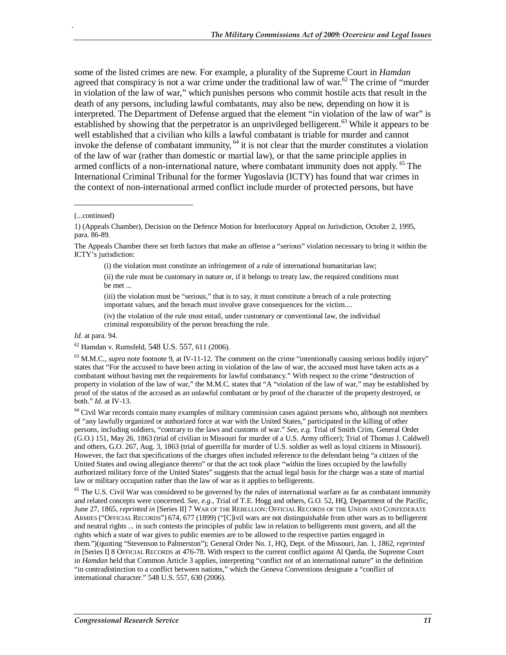some of the listed crimes are new. For example, a plurality of the Supreme Court in *Hamdan* agreed that conspiracy is not a war crime under the traditional law of war.<sup>62</sup> The crime of "murder" in violation of the law of war," which punishes persons who commit hostile acts that result in the death of any persons, including lawful combatants, may also be new, depending on how it is interpreted. The Department of Defense argued that the element "in violation of the law of war" is established by showing that the perpetrator is an unprivileged belligerent.<sup>63</sup> While it appears to be well established that a civilian who kills a lawful combatant is triable for murder and cannot invoke the defense of combatant immunity,  $^{64}$  it is not clear that the murder constitutes a violation of the law of war (rather than domestic or martial law), or that the same principle applies in armed conflicts of a non-international nature, where combatant immunity does not apply. <sup>65</sup> The International Criminal Tribunal for the former Yugoslavia (ICTY) has found that war crimes in the context of non-international armed conflict include murder of protected persons, but have

1

.

The Appeals Chamber there set forth factors that make an offense a "serious" violation necessary to bring it within the ICTY's jurisdiction:

(i) the violation must constitute an infringement of a rule of international humanitarian law;

(ii) the rule must be customary in nature or, if it belongs to treaty law, the required conditions must be met ...

(iii) the violation must be "serious," that is to say, it must constitute a breach of a rule protecting important values, and the breach must involve grave consequences for the victim....

(iv) the violation of the rule must entail, under customary or conventional law, the individual criminal responsibility of the person breaching the rule.

*Id*. at para. 94.

62 Hamdan v. Rumsfeld, 548 U.S. 557, 611 (2006).

 $^{63}$  M.M.C., *supra* note footnote 9, at IV-11-12. The comment on the crime "intentionally causing serious bodily injury" states that "For the accused to have been acting in violation of the law of war, the accused must have taken acts as a combatant without having met the requirements for lawful combatancy." With respect to the crime "destruction of property in violation of the law of war," the M.M.C. states that "A "violation of the law of war," may be established by proof of the status of the accused as an unlawful combatant or by proof of the character of the property destroyed, or both." *Id*. at IV-13.

<sup>64</sup> Civil War records contain many examples of military commission cases against persons who, although not members of "any lawfully organized or authorized force at war with the United States," participated in the killing of other persons, including soldiers, "contrary to the laws and customs of war." *See, e.g.* Trial of Smith Crim, General Order (G.O.) 151, May 26, 1863 (trial of civilian in Missouri for murder of a U.S. Army officer); Trial of Thomas J. Caldwell and others, G.O. 267, Aug. 3, 1863 (trial of guerrilla for murder of U.S. soldier as well as loyal citizens in Missouri). However, the fact that specifications of the charges often included reference to the defendant being "a citizen of the United States and owing allegiance thereto" or that the act took place "within the lines occupied by the lawfully authorized military force of the United States" suggests that the actual legal basis for the charge was a state of martial law or military occupation rather than the law of war as it applies to belligerents.

 $65$  The U.S. Civil War was considered to be governed by the rules of international warfare as far as combatant immunity and related concepts were concerned. *See, e.g.,* Trial of T.E. Hogg and others, G.O. 52, HQ, Department of the Pacific, June 27, 1865, *reprinted in* [Series II] 7 WAR OF THE REBELLION: OFFICIAL RECORDS OF THE UNION AND CONFEDERATE ARMIES ("OFFICIAL RECORDS") 674, 677 (1899) ("[C]ivil wars are not distinguishable from other wars as to belligerent and neutral rights ... in such contests the principles of public law in relation to belligerents must govern, and all the rights which a state of war gives to public enemies are to be allowed to the respective parties engaged in them.")(quoting "Stevenson to Palmerston"); General Order No. 1, HQ, Dept. of the Missouri, Jan. 1, 1862, *reprinted in* [Series I] 8 OFFICIAL RECORDS at 476-78. With respect to the current conflict against Al Qaeda, the Supreme Court in *Hamdan* held that Common Article 3 applies, interpreting "conflict not of an international nature" in the definition "in contradistinction to a conflict between nations," which the Geneva Conventions designate a "conflict of international character." 548 U.S. 557, 630 (2006).

<sup>(...</sup>continued)

<sup>1) (</sup>Appeals Chamber), Decision on the Defence Motion for Interlocutory Appeal on Jurisdiction, October 2, 1995, para. 86-89.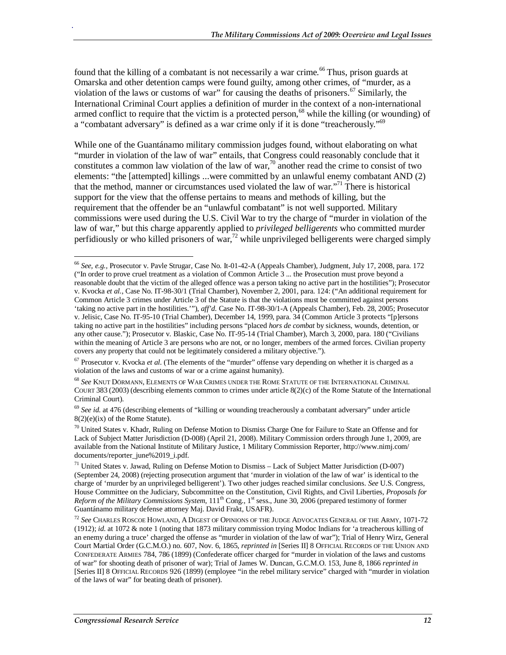found that the killing of a combatant is not necessarily a war crime.<sup>66</sup> Thus, prison guards at Omarska and other detention camps were found guilty, among other crimes, of "murder, as a violation of the laws or customs of war" for causing the deaths of prisoners.<sup>67</sup> Similarly, the International Criminal Court applies a definition of murder in the context of a non-international armed conflict to require that the victim is a protected person,<sup>68</sup> while the killing (or wounding) of a "combatant adversary" is defined as a war crime only if it is done "treacherously."<sup>69</sup>

While one of the Guantánamo military commission judges found, without elaborating on what "murder in violation of the law of war" entails, that Congress could reasonably conclude that it constitutes a common law violation of the law of war,<sup>70</sup> another read the crime to consist of two elements: "the [attempted] killings ...were committed by an unlawful enemy combatant AND (2) that the method, manner or circumstances used violated the law of war."<sup>71</sup> There is historical support for the view that the offense pertains to means and methods of killing, but the requirement that the offender be an "unlawful combatant" is not well supported. Military commissions were used during the U.S. Civil War to try the charge of "murder in violation of the law of war," but this charge apparently applied to *privileged belligerents* who committed murder perfidiously or who killed prisoners of war,<sup>72</sup> while unprivileged belligerents were charged simply

<u>.</u>

<sup>66</sup> *See, e.g.,* Prosecutor v. Pavle Strugar, Case No. It-01-42-A (Appeals Chamber), Judgment, July 17, 2008, para. 172 ("In order to prove cruel treatment as a violation of Common Article 3 ... the Prosecution must prove beyond a reasonable doubt that the victim of the alleged offence was a person taking no active part in the hostilities"); Prosecutor v. Kvocka *et al*., Case No. IT-98-30/1 (Trial Chamber), November 2, 2001, para. 124: ("An additional requirement for Common Article 3 crimes under Article 3 of the Statute is that the violations must be committed against persons 'taking no active part in the hostilities.'"), *aff'd*. Case No. IT-98-30/1-A (Appeals Chamber), Feb. 28, 2005; Prosecutor v. Jelisic, Case No. IT-95-10 (Trial Chamber), December 14, 1999, para. 34 (Common Article 3 protects "[p]ersons taking no active part in the hostilities" including persons "placed *hors de combat* by sickness, wounds, detention, or any other cause."); Prosecutor v. Blaskic, Case No. IT-95-14 (Trial Chamber), March 3, 2000, para. 180 ("Civilians within the meaning of Article 3 are persons who are not, or no longer, members of the armed forces. Civilian property covers any property that could not be legitimately considered a military objective.").

<sup>&</sup>lt;sup>67</sup> Prosecutor v. Kvocka *et al.* (The elements of the "murder" offense vary depending on whether it is charged as a violation of the laws and customs of war or a crime against humanity).

<sup>68</sup> *See* KNUT DÖRMANN, ELEMENTS OF WAR CRIMES UNDER THE ROME STATUTE OF THE INTERNATIONAL CRIMINAL COURT 383 (2003) (describing elements common to crimes under article 8(2)(c) of the Rome Statute of the International Criminal Court).

<sup>&</sup>lt;sup>69</sup> See id. at 476 (describing elements of "killing or wounding treacherously a combatant adversary" under article  $8(2)(e)(ix)$  of the Rome Statute).

<sup>70</sup> United States v. Khadr, Ruling on Defense Motion to Dismiss Charge One for Failure to State an Offense and for Lack of Subject Matter Jurisdiction (D-008) (April 21, 2008). Military Commission orders through June 1, 2009, are available from the National Institute of Military Justice, 1 Military Commission Reporter, http://www.nimj.com/ documents/reporter\_june%2019\_i.pdf.

<sup>71</sup> United States v. Jawad, Ruling on Defense Motion to Dismiss – Lack of Subject Matter Jurisdiction (D-007) (September 24, 2008) (rejecting prosecution argument that 'murder in violation of the law of war' is identical to the charge of 'murder by an unprivileged belligerent'). Two other judges reached similar conclusions. *See* U.S. Congress, House Committee on the Judiciary, Subcommittee on the Constitution, Civil Rights, and Civil Liberties, *Proposals for Reform of the Military Commissions System*, 111th Cong., 1st sess., June 30, 2006 (prepared testimony of former Guantánamo military defense attorney Maj. David Frakt, USAFR).

<sup>72</sup> *See* CHARLES ROSCOE HOWLAND*,* A DIGEST OF OPINIONS OF THE JUDGE ADVOCATES GENERAL OF THE ARMY, 1071-72 (1912); *id*. at 1072 & note 1 (noting that 1873 military commission trying Modoc Indians for 'a treacherous killing of an enemy during a truce' charged the offense as "murder in violation of the law of war"); Trial of Henry Wirz, General Court Martial Order (G.C.M.O.) no. 607, Nov. 6, 1865, *reprinted in* [Series II] 8 OFFICIAL RECORDS OF THE UNION AND CONFEDERATE ARMIES 784, 786 (1899) (Confederate officer charged for "murder in violation of the laws and customs of war" for shooting death of prisoner of war); Trial of James W. Duncan, G.C.M.O. 153, June 8, 1866 *reprinted in* [Series II] 8 OFFICIAL RECORDS 926 (1899) (employee "in the rebel military service" charged with "murder in violation of the laws of war" for beating death of prisoner).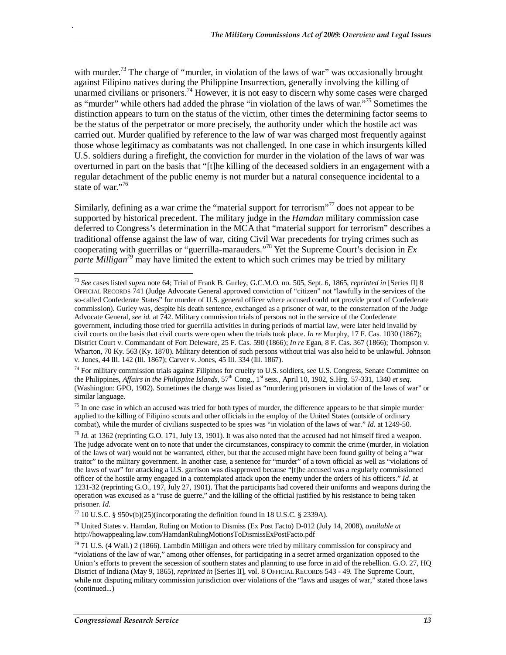with murder.<sup>73</sup> The charge of "murder, in violation of the laws of war" was occasionally brought against Filipino natives during the Philippine Insurrection, generally involving the killing of unarmed civilians or prisoners.<sup>74</sup> However, it is not easy to discern why some cases were charged as "murder" while others had added the phrase "in violation of the laws of war."75 Sometimes the distinction appears to turn on the status of the victim, other times the determining factor seems to be the status of the perpetrator or more precisely, the authority under which the hostile act was carried out. Murder qualified by reference to the law of war was charged most frequently against those whose legitimacy as combatants was not challenged. In one case in which insurgents killed U.S. soldiers during a firefight, the conviction for murder in the violation of the laws of war was overturned in part on the basis that "[t]he killing of the deceased soldiers in an engagement with a regular detachment of the public enemy is not murder but a natural consequence incidental to a state of war."<sup>76</sup>

Similarly, defining as a war crime the "material support for terrorism"<sup>77</sup> does not appear to be supported by historical precedent. The military judge in the *Hamdan* military commission case deferred to Congress's determination in the MCA that "material support for terrorism" describes a traditional offense against the law of war, citing Civil War precedents for trying crimes such as cooperating with guerrillas or "guerrilla-marauders."78 Yet the Supreme Court's decision in *Ex parte Milligan79* may have limited the extent to which such crimes may be tried by military

<sup>&</sup>lt;u>.</u> <sup>73</sup> *See* cases listed *supra* note 64; Trial of Frank B. Gurley, G.C.M.O. no. 505, Sept. 6, 1865, *reprinted in* [Series II] 8 OFFICIAL RECORDS 741 (Judge Advocate General approved conviction of "citizen" not "lawfully in the services of the so-called Confederate States" for murder of U.S. general officer where accused could not provide proof of Confederate commission). Gurley was, despite his death sentence, exchanged as a prisoner of war, to the consternation of the Judge Advocate General, *see id.* at 742. Military commission trials of persons not in the service of the Confederate government, including those tried for guerrilla activities in during periods of martial law, were later held invalid by civil courts on the basis that civil courts were open when the trials took place. *In re* Murphy, 17 F. Cas. 1030 (1867); District Court v. Commandant of Fort Deleware, 25 F. Cas. 590 (1866); *In re* Egan, 8 F. Cas. 367 (1866); Thompson v. Wharton, 70 Ky. 563 (Ky. 1870). Military detention of such persons without trial was also held to be unlawful. Johnson v. Jones, 44 Ill. 142 (Ill. 1867); Carver v. Jones, 45 Ill. 334 (Ill. 1867).

<sup>&</sup>lt;sup>74</sup> For military commission trials against Filipinos for cruelty to U.S. soldiers, see U.S. Congress, Senate Committee on the Philippines, *Affairs in the Philippine Islands*, 57<sup>th</sup> Cong., 1<sup>st</sup> sess., April 10, 1902, S.Hrg. 57-331, 1340 *et seq.* (Washington: GPO, 1902). Sometimes the charge was listed as "murdering prisoners in violation of the laws of war" or similar language.

 $75$  In one case in which an accused was tried for both types of murder, the difference appears to be that simple murder applied to the killing of Filipino scouts and other officials in the employ of the United States (outside of ordinary combat), while the murder of civilians suspected to be spies was "in violation of the laws of war." *Id*. at 1249-50.

<sup>76</sup> *Id.* at 1362 (reprinting G.O. 171, July 13, 1901). It was also noted that the accused had not himself fired a weapon. The judge advocate went on to note that under the circumstances, conspiracy to commit the crime (murder, in violation of the laws of war) would not be warranted, either, but that the accused might have been found guilty of being a "war traitor" to the military government. In another case, a sentence for "murder" of a town official as well as "violations of the laws of war" for attacking a U.S. garrison was disapproved because "[t]he accused was a regularly commissioned officer of the hostile army engaged in a contemplated attack upon the enemy under the orders of his officers." *Id*. at 1231-32 (reprinting G.O., 197, July 27, 1901). That the participants had covered their uniforms and weapons during the operation was excused as a "ruse de guerre," and the killing of the official justified by his resistance to being taken prisoner. *Id.* 

<sup>&</sup>lt;sup>77</sup> 10 U.S.C. § 950v(b)(25)(incorporating the definition found in 18 U.S.C. § 2339A).

<sup>78</sup> United States v. Hamdan, Ruling on Motion to Dismiss (Ex Post Facto) D-012 (July 14, 2008), *available at* http://howappealing.law.com/HamdanRulingMotionsToDismissExPostFacto.pdf

 $79$  71 U.S. (4 Wall.) 2 (1866). Lambdin Milligan and others were tried by military commission for conspiracy and "violations of the law of war," among other offenses, for participating in a secret armed organization opposed to the Union's efforts to prevent the secession of southern states and planning to use force in aid of the rebellion. G.O. 27, HQ District of Indiana (May 9, 1865), *reprinted in* [Series II], vol. 8 OFFICIAL RECORDS 543 - 49. The Supreme Court, while not disputing military commission jurisdiction over violations of the "laws and usages of war," stated those laws (continued...)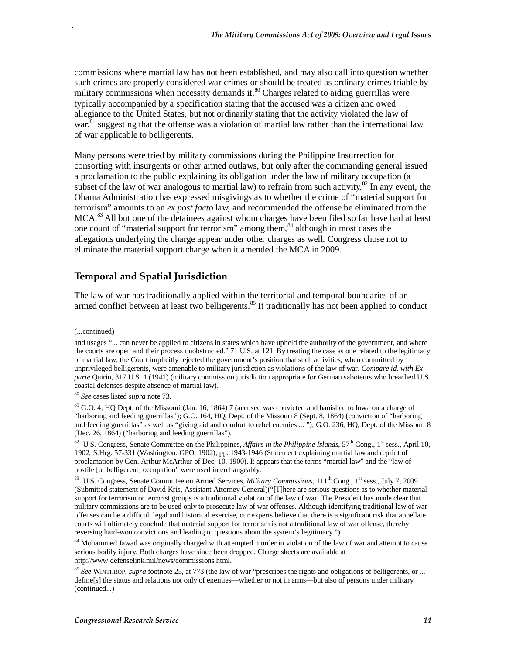commissions where martial law has not been established, and may also call into question whether such crimes are properly considered war crimes or should be treated as ordinary crimes triable by military commissions when necessity demands it. $\frac{80}{3}$  Charges related to aiding guerrillas were typically accompanied by a specification stating that the accused was a citizen and owed allegiance to the United States, but not ordinarily stating that the activity violated the law of  $\text{war}^{\{81\}}$  suggesting that the offense was a violation of martial law rather than the international law of war applicable to belligerents.

Many persons were tried by military commissions during the Philippine Insurrection for consorting with insurgents or other armed outlaws, but only after the commanding general issued a proclamation to the public explaining its obligation under the law of military occupation (a subset of the law of war analogous to martial law) to refrain from such activity.<sup>82</sup> In any event, the Obama Administration has expressed misgivings as to whether the crime of "material support for terrorism" amounts to an *ex post facto* law, and recommended the offense be eliminated from the  $MCA<sup>83</sup>$  All but one of the detainees against whom charges have been filed so far have had at least one count of "material support for terrorism" among them,<sup>84</sup> although in most cases the allegations underlying the charge appear under other charges as well. Congress chose not to eliminate the material support charge when it amended the MCA in 2009.

### **Temporal and Spatial Jurisdiction**

The law of war has traditionally applied within the territorial and temporal boundaries of an armed conflict between at least two belligerents.<sup>85</sup> It traditionally has not been applied to conduct

<u>.</u>

<sup>(...</sup>continued)

and usages "... can never be applied to citizens in states which have upheld the authority of the government, and where the courts are open and their process unobstructed." 71 U.S. at 121. By treating the case as one related to the legitimacy of martial law, the Court implicitly rejected the government's position that such activities, when committed by unprivileged belligerents, were amenable to military jurisdiction as violations of the law of war. *Compare id. with Ex parte* Quirin, 317 U.S. 1 (1941) (military commission jurisdiction appropriate for German saboteurs who breached U.S. coastal defenses despite absence of martial law).

<sup>80</sup> *See* cases listed *supra* note 73.

 $81$  G.O. 4, HQ Dept. of the Missouri (Jan. 16, 1864) 7 (accused was convicted and banished to Iowa on a charge of "harboring and feeding guerrillas"); G.O. 164, HQ, Dept. of the Missouri 8 (Sept. 8, 1864) (conviction of "harboring and feeding guerrillas" as well as "giving aid and comfort to rebel enemies ... "); G.O. 236, HQ, Dept. of the Missouri 8 (Dec. 26, 1864) ("harboring and feeding guerrillas").

<sup>&</sup>lt;sup>82</sup> U.S. Congress, Senate Committee on the Philippines, *Affairs in the Philippine Islands*,  $57<sup>th</sup>$  Cong., 1<sup>st</sup> sess., April 10, 1902, S.Hrg. 57-331 (Washington: GPO, 1902), pp. 1943-1946 (Statement explaining martial law and reprint of proclamation by Gen. Arthur McArthur of Dec. 10, 1900). It appears that the terms "martial law" and the "law of hostile [or belligerent] occupation" were used interchangeably.

<sup>&</sup>lt;sup>83</sup> U.S. Congress, Senate Committee on Armed Services, *Military Commissions*, 111<sup>th</sup> Cong., 1<sup>st</sup> sess., July 7, 2009 (Submitted statement of David Kris, Assistant Attorney General)("[T]here are serious questions as to whether material support for terrorism or terrorist groups is a traditional violation of the law of war. The President has made clear that military commissions are to be used only to prosecute law of war offenses. Although identifying traditional law of war offenses can be a difficult legal and historical exercise, our experts believe that there is a significant risk that appellate courts will ultimately conclude that material support for terrorism is not a traditional law of war offense, thereby reversing hard-won convictions and leading to questions about the system's legitimacy.")

<sup>&</sup>lt;sup>84</sup> Mohammed Jawad was originally charged with attempted murder in violation of the law of war and attempt to cause serious bodily injury. Both charges have since been dropped. Charge sheets are available at http://www.defenselink.mil/news/commissions.html.

<sup>85</sup> *See* WINTHROP, *supra* footnote 25, at 773 (the law of war "prescribes the rights and obligations of belligerents, or ... define[s] the status and relations not only of enemies—whether or not in arms—but also of persons under military (continued...)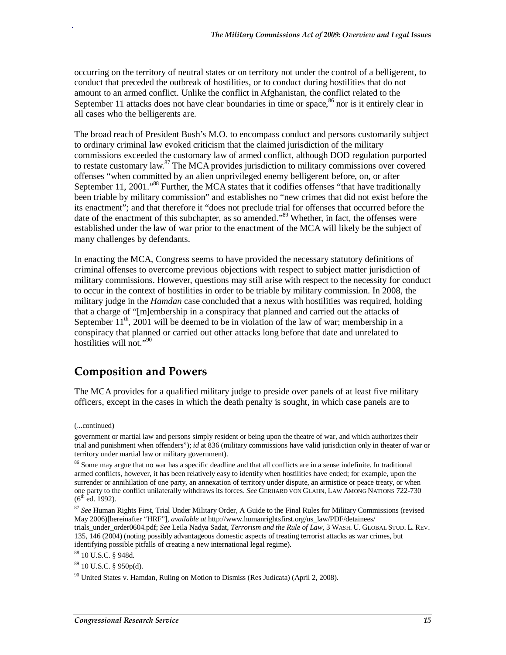occurring on the territory of neutral states or on territory not under the control of a belligerent, to conduct that preceded the outbreak of hostilities, or to conduct during hostilities that do not amount to an armed conflict. Unlike the conflict in Afghanistan, the conflict related to the September 11 attacks does not have clear boundaries in time or space,  $86$  nor is it entirely clear in all cases who the belligerents are.

The broad reach of President Bush's M.O. to encompass conduct and persons customarily subject to ordinary criminal law evoked criticism that the claimed jurisdiction of the military commissions exceeded the customary law of armed conflict, although DOD regulation purported to restate customary law. $^{87}$  The MCA provides jurisdiction to military commissions over covered offenses "when committed by an alien unprivileged enemy belligerent before, on, or after September 11, 2001."<sup>88</sup> Further, the MCA states that it codifies offenses "that have traditionally been triable by military commission" and establishes no "new crimes that did not exist before the its enactment"; and that therefore it "does not preclude trial for offenses that occurred before the date of the enactment of this subchapter, as so amended."<sup>89</sup> Whether, in fact, the offenses were established under the law of war prior to the enactment of the MCA will likely be the subject of many challenges by defendants.

In enacting the MCA, Congress seems to have provided the necessary statutory definitions of criminal offenses to overcome previous objections with respect to subject matter jurisdiction of military commissions. However, questions may still arise with respect to the necessity for conduct to occur in the context of hostilities in order to be triable by military commission. In 2008, the military judge in the *Hamdan* case concluded that a nexus with hostilities was required, holding that a charge of "[m]embership in a conspiracy that planned and carried out the attacks of September  $11^{th}$ , 2001 will be deemed to be in violation of the law of war; membership in a conspiracy that planned or carried out other attacks long before that date and unrelated to hostilities will not."<sup>90</sup>

## **Composition and Powers**

The MCA provides for a qualified military judge to preside over panels of at least five military officers, except in the cases in which the death penalty is sought, in which case panels are to

1

<sup>(...</sup>continued)

government or martial law and persons simply resident or being upon the theatre of war, and which authorizes their trial and punishment when offenders"); *id* at 836 (military commissions have valid jurisdiction only in theater of war or territory under martial law or military government).

<sup>&</sup>lt;sup>86</sup> Some may argue that no war has a specific deadline and that all conflicts are in a sense indefinite. In traditional armed conflicts, however, it has been relatively easy to identify when hostilities have ended; for example, upon the surrender or annihilation of one party, an annexation of territory under dispute, an armistice or peace treaty, or when one party to the conflict unilaterally withdraws its forces. *See* GERHARD VON GLAHN, LAW AMONG NATIONS 722-730  $(6^{th}$  ed. 1992).

<sup>87</sup> *See* Human Rights First, Trial Under Military Order, A Guide to the Final Rules for Military Commissions (revised May 2006)[hereinafter "HRF"], *available at* http://www.humanrightsfirst.org/us\_law/PDF/detainees/ trials\_under\_order0604.pdf; *See* Leila Nadya Sadat, *Terrorism and the Rule of Law*, 3 WASH. U. GLOBAL STUD. L. REV. 135, 146 (2004) (noting possibly advantageous domestic aspects of treating terrorist attacks as war crimes, but identifying possible pitfalls of creating a new international legal regime).

<sup>88 10</sup> U.S.C. § 948d.

 $89$  10 U.S.C. § 950p(d).

 $90$  United States v. Hamdan, Ruling on Motion to Dismiss (Res Judicata) (April 2, 2008).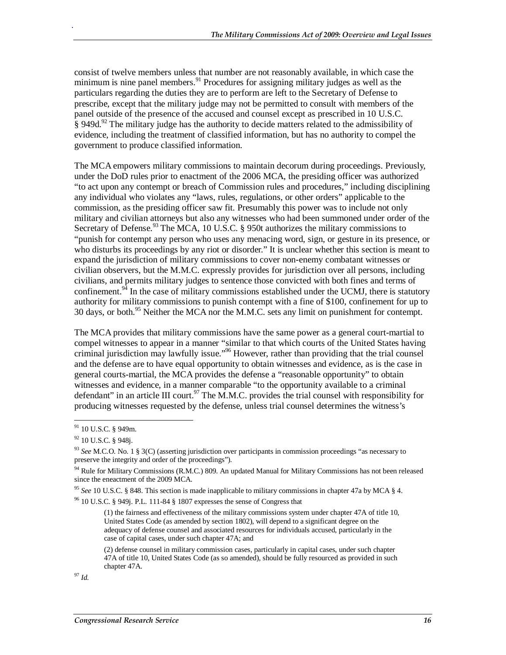consist of twelve members unless that number are not reasonably available, in which case the minimum is nine panel members.<sup>91</sup> Procedures for assigning military judges as well as the particulars regarding the duties they are to perform are left to the Secretary of Defense to prescribe, except that the military judge may not be permitted to consult with members of the panel outside of the presence of the accused and counsel except as prescribed in 10 U.S.C.  $\hat{\S}$  949d.<sup>92</sup> The military judge has the authority to decide matters related to the admissibility of evidence, including the treatment of classified information, but has no authority to compel the government to produce classified information.

The MCA empowers military commissions to maintain decorum during proceedings. Previously, under the DoD rules prior to enactment of the 2006 MCA, the presiding officer was authorized "to act upon any contempt or breach of Commission rules and procedures," including disciplining any individual who violates any "laws, rules, regulations, or other orders" applicable to the commission, as the presiding officer saw fit. Presumably this power was to include not only military and civilian attorneys but also any witnesses who had been summoned under order of the Secretary of Defense.<sup>93</sup> The MCA, 10 U.S.C. § 950t authorizes the military commissions to "punish for contempt any person who uses any menacing word, sign, or gesture in its presence, or who disturbs its proceedings by any riot or disorder." It is unclear whether this section is meant to expand the jurisdiction of military commissions to cover non-enemy combatant witnesses or civilian observers, but the M.M.C. expressly provides for jurisdiction over all persons, including civilians, and permits military judges to sentence those convicted with both fines and terms of confinement.<sup>94</sup> In the case of military commissions established under the UCMJ, there is statutory authority for military commissions to punish contempt with a fine of \$100, confinement for up to 30 days, or both.<sup>95</sup> Neither the MCA nor the M.M.C. sets any limit on punishment for contempt.

The MCA provides that military commissions have the same power as a general court-martial to compel witnesses to appear in a manner "similar to that which courts of the United States having criminal jurisdiction may lawfully issue."96 However, rather than providing that the trial counsel and the defense are to have equal opportunity to obtain witnesses and evidence, as is the case in general courts-martial, the MCA provides the defense a "reasonable opportunity" to obtain witnesses and evidence, in a manner comparable "to the opportunity available to a criminal defendant" in an article III court.<sup>97</sup> The M.M.C. provides the trial counsel with responsibility for producing witnesses requested by the defense, unless trial counsel determines the witness's

.

(1) the fairness and effectiveness of the military commissions system under chapter 47A of title 10, United States Code (as amended by section 1802), will depend to a significant degree on the adequacy of defense counsel and associated resources for individuals accused, particularly in the case of capital cases, under such chapter 47A; and

(2) defense counsel in military commission cases, particularly in capital cases, under such chapter 47A of title 10, United States Code (as so amended), should be fully resourced as provided in such chapter 47A.

<sup>97</sup> *Id.*

<sup>-</sup><sup>91</sup> 10 U.S.C. § 949m.

<sup>92 10</sup> U.S.C. § 948j.

<sup>93</sup> *See* M.C.O. No. 1 § 3(C) (asserting jurisdiction over participants in commission proceedings "as necessary to preserve the integrity and order of the proceedings").

<sup>&</sup>lt;sup>94</sup> Rule for Military Commissions (R.M.C.) 809. An updated Manual for Military Commissions has not been released since the eneactment of the 2009 MCA.

<sup>&</sup>lt;sup>95</sup> *See* 10 U.S.C. § 848. This section is made inapplicable to military commissions in chapter 47a by MCA § 4. <sup>96</sup> 10 U.S.C. § 949j. P.L. 111-84 § 1807 expresses the sense of Congress that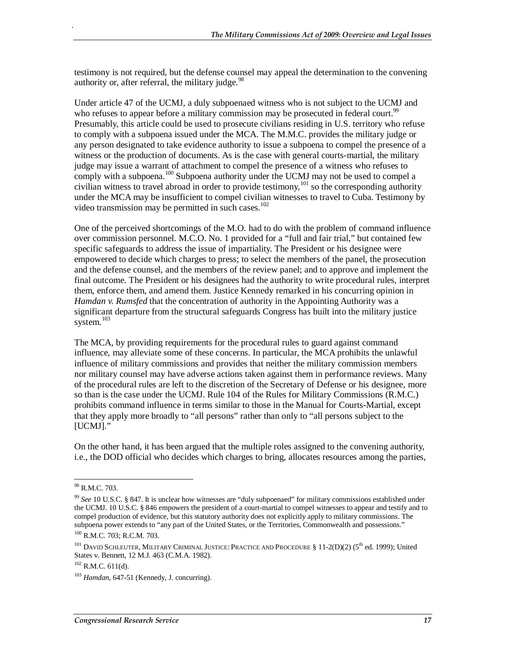testimony is not required, but the defense counsel may appeal the determination to the convening authority or, after referral, the military judge. $98$ 

Under article 47 of the UCMJ, a duly subpoenaed witness who is not subject to the UCMJ and who refuses to appear before a military commission may be prosecuted in federal court.<sup>99</sup> Presumably, this article could be used to prosecute civilians residing in U.S. territory who refuse to comply with a subpoena issued under the MCA. The M.M.C. provides the military judge or any person designated to take evidence authority to issue a subpoena to compel the presence of a witness or the production of documents. As is the case with general courts-martial, the military judge may issue a warrant of attachment to compel the presence of a witness who refuses to comply with a subpoena.<sup>100</sup> Subpoena authority under the UCMJ may not be used to compel a civilian witness to travel abroad in order to provide testimony,<sup>101</sup> so the corresponding authority under the MCA may be insufficient to compel civilian witnesses to travel to Cuba. Testimony by video transmission may be permitted in such cases.<sup>102</sup>

One of the perceived shortcomings of the M.O. had to do with the problem of command influence over commission personnel. M.C.O. No. 1 provided for a "full and fair trial," but contained few specific safeguards to address the issue of impartiality. The President or his designee were empowered to decide which charges to press; to select the members of the panel, the prosecution and the defense counsel, and the members of the review panel; and to approve and implement the final outcome. The President or his designees had the authority to write procedural rules, interpret them, enforce them, and amend them. Justice Kennedy remarked in his concurring opinion in *Hamdan v. Rumsfed* that the concentration of authority in the Appointing Authority was a significant departure from the structural safeguards Congress has built into the military justice system.<sup>103</sup>

The MCA, by providing requirements for the procedural rules to guard against command influence, may alleviate some of these concerns. In particular, the MCA prohibits the unlawful influence of military commissions and provides that neither the military commission members nor military counsel may have adverse actions taken against them in performance reviews. Many of the procedural rules are left to the discretion of the Secretary of Defense or his designee, more so than is the case under the UCMJ. Rule 104 of the Rules for Military Commissions (R.M.C.) prohibits command influence in terms similar to those in the Manual for Courts-Martial, except that they apply more broadly to "all persons" rather than only to "all persons subject to the [UCMJ]."

On the other hand, it has been argued that the multiple roles assigned to the convening authority, i.e., the DOD official who decides which charges to bring, allocates resources among the parties,

<sup>-</sup>98 R.M.C. 703.

<sup>99</sup> *See* 10 U.S.C. § 847. It is unclear how witnesses are "duly subpoenaed" for military commissions established under the UCMJ. 10 U.S.C. § 846 empowers the president of a court-martial to compel witnesses to appear and testify and to compel production of evidence, but this statutory authority does not explicitly apply to military commissions. The subpoena power extends to "any part of the United States, or the Territories, Commonwealth and possessions."

<sup>100</sup> R.M.C. 703; R.C.M. 703.

<sup>&</sup>lt;sup>101</sup> DAVID SCHLEUTER, MILITARY CRIMINAL JUSTICE: PRACTICE AND PROCEDURE § 11-2(D)(2) (5<sup>th</sup> ed. 1999); United States v. Bennett, 12 M.J. 463 (C.M.A. 1982).

 $102$  R.M.C. 611(d).

<sup>103</sup> *Hamdan*, 647-51 (Kennedy, J. concurring).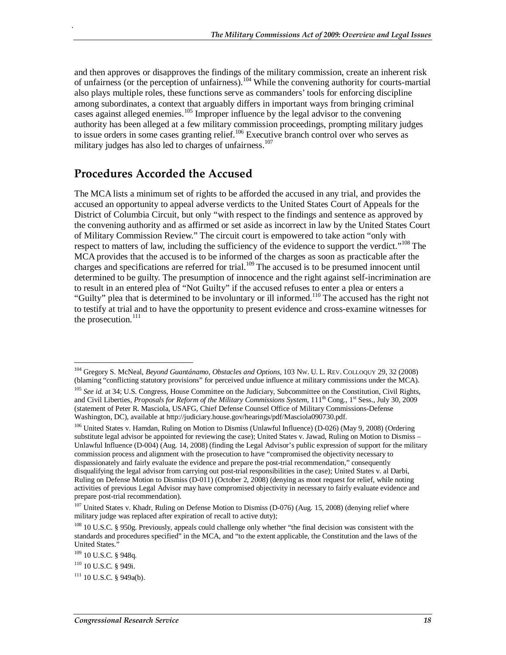and then approves or disapproves the findings of the military commission, create an inherent risk of unfairness (or the perception of unfairness).<sup>104</sup> While the convening authority for courts-martial also plays multiple roles, these functions serve as commanders' tools for enforcing discipline among subordinates, a context that arguably differs in important ways from bringing criminal cases against alleged enemies.<sup>105</sup> Improper influence by the legal advisor to the convening authority has been alleged at a few military commission proceedings, prompting military judges to issue orders in some cases granting relief.<sup>106</sup> Executive branch control over who serves as military judges has also led to charges of unfairness.<sup>107</sup>

### **Procedures Accorded the Accused**

The MCA lists a minimum set of rights to be afforded the accused in any trial, and provides the accused an opportunity to appeal adverse verdicts to the United States Court of Appeals for the District of Columbia Circuit, but only "with respect to the findings and sentence as approved by the convening authority and as affirmed or set aside as incorrect in law by the United States Court of Military Commission Review." The circuit court is empowered to take action "only with respect to matters of law, including the sufficiency of the evidence to support the verdict."<sup>108</sup> The MCA provides that the accused is to be informed of the charges as soon as practicable after the charges and specifications are referred for trial.<sup>109</sup> The accused is to be presumed innocent until determined to be guilty. The presumption of innocence and the right against self-incrimination are to result in an entered plea of "Not Guilty" if the accused refuses to enter a plea or enters a "Guilty" plea that is determined to be involuntary or ill informed.<sup>110</sup> The accused has the right not to testify at trial and to have the opportunity to present evidence and cross-examine witnesses for the prosecution.<sup>111</sup>

-

<sup>104</sup> Gregory S. McNeal, *Beyond Guantánamo, Obstacles and Options*, 103 NW. U. L. REV. COLLOQUY 29, 32 (2008) (blaming "conflicting statutory provisions" for perceived undue influence at military commissions under the MCA).

<sup>&</sup>lt;sup>105</sup> See id. at 34; U.S. Congress, House Committee on the Judiciary, Subcommittee on the Constitution, Civil Rights, and Civil Liberties, *Proposals for Reform of the Military Commissions System*,  $111^{th}$  Cong., 1<sup>st</sup> Sess., July 30, 2009 (statement of Peter R. Masciola, USAFG, Chief Defense Counsel Office of Military Commissions-Defense Washington, DC), available at http://judiciary.house.gov/hearings/pdf/Masciola090730.pdf.

<sup>&</sup>lt;sup>106</sup> United States v. Hamdan, Ruling on Motion to Dismiss (Unlawful Influence) (D-026) (May 9, 2008) (Ordering substitute legal advisor be appointed for reviewing the case); United States v. Jawad, Ruling on Motion to Dismiss – Unlawful Influence (D-004) (Aug. 14, 2008) (finding the Legal Advisor's public expression of support for the military commission process and alignment with the prosecution to have "compromised the objectivity necessary to dispassionately and fairly evaluate the evidence and prepare the post-trial recommendation," consequently disqualifying the legal advisor from carrying out post-trial responsibilities in the case); United States v. al Darbi, Ruling on Defense Motion to Dismiss (D-011) (October 2, 2008) (denying as moot request for relief, while noting activities of previous Legal Advisor may have compromised objectivity in necessary to fairly evaluate evidence and prepare post-trial recommendation).

<sup>&</sup>lt;sup>107</sup> United States v. Khadr, Ruling on Defense Motion to Dismiss (D-076) (Aug. 15, 2008) (denying relief where military judge was replaced after expiration of recall to active duty);

<sup>&</sup>lt;sup>108</sup> 10 U.S.C. § 950g. Previously, appeals could challenge only whether "the final decision was consistent with the standards and procedures specified" in the MCA, and "to the extent applicable, the Constitution and the laws of the United States."

<sup>&</sup>lt;sup>109</sup> 10 U.S.C. § 948q.

<sup>110 10</sup> U.S.C. § 949i.

 $111$  10 U.S.C. § 949a(b).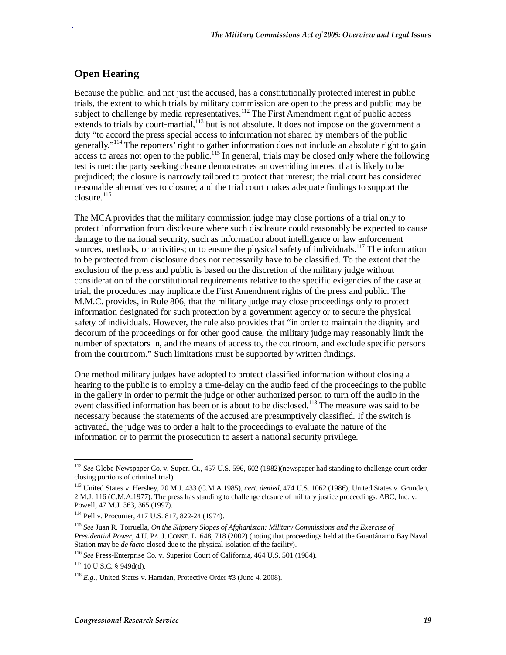### **Open Hearing**

.

Because the public, and not just the accused, has a constitutionally protected interest in public trials, the extent to which trials by military commission are open to the press and public may be subject to challenge by media representatives.<sup>112</sup> The First Amendment right of public access extends to trials by court-martial,  $^{113}$  but is not absolute. It does not impose on the government a duty "to accord the press special access to information not shared by members of the public generally."<sup>114</sup> The reporters' right to gather information does not include an absolute right to gain  $\frac{1}{2}$  access to areas not open to the public.<sup>115</sup> In general, trials may be closed only where the following test is met: the party seeking closure demonstrates an overriding interest that is likely to be prejudiced; the closure is narrowly tailored to protect that interest; the trial court has considered reasonable alternatives to closure; and the trial court makes adequate findings to support the  $\frac{\text{closure}}{\text{1}}$ 

The MCA provides that the military commission judge may close portions of a trial only to protect information from disclosure where such disclosure could reasonably be expected to cause damage to the national security, such as information about intelligence or law enforcement sources, methods, or activities; or to ensure the physical safety of individuals.<sup>117</sup> The information to be protected from disclosure does not necessarily have to be classified. To the extent that the exclusion of the press and public is based on the discretion of the military judge without consideration of the constitutional requirements relative to the specific exigencies of the case at trial, the procedures may implicate the First Amendment rights of the press and public. The M.M.C. provides, in Rule 806, that the military judge may close proceedings only to protect information designated for such protection by a government agency or to secure the physical safety of individuals. However, the rule also provides that "in order to maintain the dignity and decorum of the proceedings or for other good cause, the military judge may reasonably limit the number of spectators in, and the means of access to, the courtroom, and exclude specific persons from the courtroom." Such limitations must be supported by written findings.

One method military judges have adopted to protect classified information without closing a hearing to the public is to employ a time-delay on the audio feed of the proceedings to the public in the gallery in order to permit the judge or other authorized person to turn off the audio in the event classified information has been or is about to be disclosed.<sup>118</sup> The measure was said to be necessary because the statements of the accused are presumptively classified. If the switch is activated, the judge was to order a halt to the proceedings to evaluate the nature of the information or to permit the prosecution to assert a national security privilege.

<sup>&</sup>lt;u>.</u> <sup>112</sup> *See* Globe Newspaper Co. v. Super. Ct., 457 U.S. 596, 602 (1982)(newspaper had standing to challenge court order closing portions of criminal trial).

<sup>113</sup> United States v. Hershey, 20 M.J. 433 (C.M.A.1985), *cert. denied*, 474 U.S. 1062 (1986); United States v. Grunden, 2 M.J. 116 (C.M.A.1977). The press has standing to challenge closure of military justice proceedings. ABC, Inc. v. Powell, 47 M.J. 363, 365 (1997).

<sup>114</sup> Pell v. Procunier, 417 U.S. 817, 822-24 (1974).

<sup>115</sup> *See* Juan R. Torruella, *On the Slippery Slopes of Afghanistan: Military Commissions and the Exercise of Presidential Power*, 4 U. PA. J. CONST. L. 648, 718 (2002) (noting that proceedings held at the Guantánamo Bay Naval Station may be *de facto* closed due to the physical isolation of the facility).

<sup>116</sup> *See* Press-Enterprise Co. v. Superior Court of California, 464 U.S. 501 (1984).

 $117$  10 U.S.C. § 949d(d).

<sup>118</sup> *E.g.*, United States v. Hamdan, Protective Order #3 (June 4, 2008).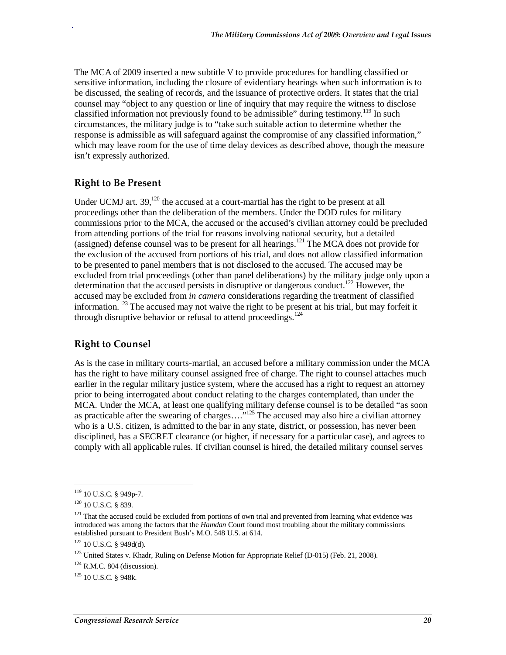The MCA of 2009 inserted a new subtitle V to provide procedures for handling classified or sensitive information, including the closure of evidentiary hearings when such information is to be discussed, the sealing of records, and the issuance of protective orders. It states that the trial counsel may "object to any question or line of inquiry that may require the witness to disclose classified information not previously found to be admissible" during testimony.<sup>119</sup> In such circumstances, the military judge is to "take such suitable action to determine whether the response is admissible as will safeguard against the compromise of any classified information," which may leave room for the use of time delay devices as described above, though the measure isn't expressly authorized.

### **Right to Be Present**

.

Under UCMJ art. 39,<sup>120</sup> the accused at a court-martial has the right to be present at all proceedings other than the deliberation of the members. Under the DOD rules for military commissions prior to the MCA, the accused or the accused's civilian attorney could be precluded from attending portions of the trial for reasons involving national security, but a detailed (assigned) defense counsel was to be present for all hearings.<sup>121</sup> The MCA does not provide for the exclusion of the accused from portions of his trial, and does not allow classified information to be presented to panel members that is not disclosed to the accused. The accused may be excluded from trial proceedings (other than panel deliberations) by the military judge only upon a determination that the accused persists in disruptive or dangerous conduct.<sup>122</sup> However, the accused may be excluded from *in camera* considerations regarding the treatment of classified information.<sup>123</sup> The accused may not waive the right to be present at his trial, but may forfeit it through disruptive behavior or refusal to attend proceedings.<sup>124</sup>

### **Right to Counsel**

As is the case in military courts-martial, an accused before a military commission under the MCA has the right to have military counsel assigned free of charge. The right to counsel attaches much earlier in the regular military justice system, where the accused has a right to request an attorney prior to being interrogated about conduct relating to the charges contemplated, than under the MCA. Under the MCA, at least one qualifying military defense counsel is to be detailed "as soon as practicable after the swearing of charges...."<sup>125</sup> The accused may also hire a civilian attorney who is a U.S. citizen, is admitted to the bar in any state, district, or possession, has never been disciplined, has a SECRET clearance (or higher, if necessary for a particular case), and agrees to comply with all applicable rules. If civilian counsel is hired, the detailed military counsel serves

-

<sup>&</sup>lt;sup>119</sup> 10 U.S.C. § 949p-7.

 $120$  10 U.S.C. § 839.

<sup>&</sup>lt;sup>121</sup> That the accused could be excluded from portions of own trial and prevented from learning what evidence was introduced was among the factors that the *Hamdan* Court found most troubling about the military commissions established pursuant to President Bush's M.O. 548 U.S. at 614.

 $122$  10 U.S.C. § 949d(d).

<sup>&</sup>lt;sup>123</sup> United States v. Khadr, Ruling on Defense Motion for Appropriate Relief (D-015) (Feb. 21, 2008).

 $124$  R.M.C. 804 (discussion).

<sup>125 10</sup> U.S.C. § 948k.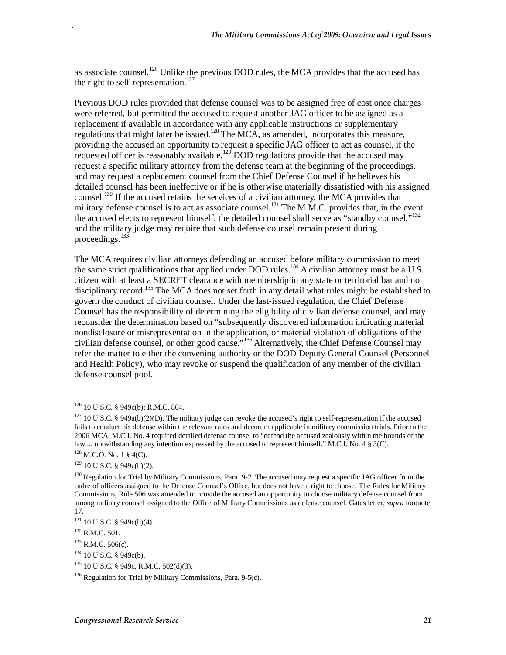as associate counsel.<sup>126</sup> Unlike the previous DOD rules, the MCA provides that the accused has the right to self-representation.<sup>127</sup>

Previous DOD rules provided that defense counsel was to be assigned free of cost once charges were referred, but permitted the accused to request another JAG officer to be assigned as a replacement if available in accordance with any applicable instructions or supplementary regulations that might later be issued.<sup>128</sup> The MCA, as amended, incorporates this measure, providing the accused an opportunity to request a specific JAG officer to act as counsel, if the requested officer is reasonably available.<sup>129</sup> DOD regulations provide that the accused may request a specific military attorney from the defense team at the beginning of the proceedings, and may request a replacement counsel from the Chief Defense Counsel if he believes his detailed counsel has been ineffective or if he is otherwise materially dissatisfied with his assigned counsel.<sup>130</sup> If the accused retains the services of a civilian attorney, the MCA provides that military defense counsel is to act as associate counsel.<sup>131</sup> The M.M.C. provides that, in the event the accused elects to represent himself, the detailed counsel shall serve as "standby counsel,"<sup>132</sup> and the military judge may require that such defense counsel remain present during proceedings.<sup>133</sup>

The MCA requires civilian attorneys defending an accused before military commission to meet the same strict qualifications that applied under DOD rules.<sup>134</sup> A civilian attorney must be a U.S. citizen with at least a SECRET clearance with membership in any state or territorial bar and no disciplinary record.<sup>135</sup> The MCA does not set forth in any detail what rules might be established to govern the conduct of civilian counsel. Under the last-issued regulation, the Chief Defense Counsel has the responsibility of determining the eligibility of civilian defense counsel, and may reconsider the determination based on "subsequently discovered information indicating material nondisclosure or misrepresentation in the application, or material violation of obligations of the civilian defense counsel, or other good cause."136 Alternatively, the Chief Defense Counsel may refer the matter to either the convening authority or the DOD Deputy General Counsel (Personnel and Health Policy), who may revoke or suspend the qualification of any member of the civilian defense counsel pool.

<sup>-</sup>126 10 U.S.C. § 949c(b); R.M.C. 804.

 $127$  10 U.S.C. § 949a(b)(2)(D). The military judge can revoke the accused's right to self-representation if the accused fails to conduct his defense within the relevant rules and decorum applicable in military commission trials. Prior to the 2006 MCA, M.C.I. No. 4 required detailed defense counsel to "defend the accused zealously within the bounds of the law ... notwithstanding any intention expressed by the accused to represent himself." M.C.I. No. 4 § 3(C).

 $128$  M.C.O. No. 1 § 4(C).

 $129$  10 U.S.C. § 949c(b)(2).

<sup>&</sup>lt;sup>130</sup> Regulation for Trial by Military Commissions, Para. 9-2. The accused may request a specific JAG officer from the cadre of officers assigned to the Defense Counsel's Office, but does not have a right to choose. The Rules for Military Commissions, Rule 506 was amended to provide the accused an opportunity to choose military defense counsel from among military counsel assigned to the Office of Military Commissions as defense counsel. Gates letter, *supra* footnote 17.

<sup>&</sup>lt;sup>131</sup> 10 U.S.C. § 949c(b)(4).

<sup>132</sup> R.M.C. 501.

 $133$  R.M.C. 506(c).

<sup>&</sup>lt;sup>134</sup> 10 U.S.C. § 949c(b).

<sup>135 10</sup> U.S.C. § 949c, R.M.C. 502(d)(3).

 $136$  Regulation for Trial by Military Commissions, Para. 9-5(c).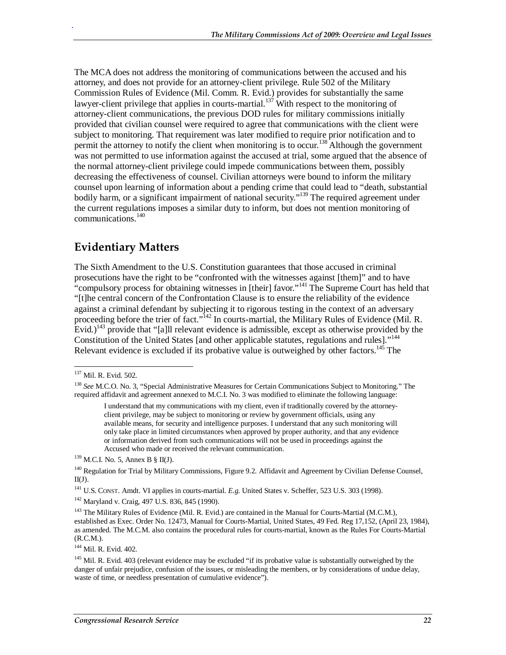The MCA does not address the monitoring of communications between the accused and his attorney, and does not provide for an attorney-client privilege. Rule 502 of the Military Commission Rules of Evidence (Mil. Comm. R. Evid.) provides for substantially the same lawyer-client privilege that applies in courts-martial.<sup>137</sup> With respect to the monitoring of attorney-client communications, the previous DOD rules for military commissions initially provided that civilian counsel were required to agree that communications with the client were subject to monitoring. That requirement was later modified to require prior notification and to permit the attorney to notify the client when monitoring is to occur.<sup>138</sup> Although the government was not permitted to use information against the accused at trial, some argued that the absence of the normal attorney-client privilege could impede communications between them, possibly decreasing the effectiveness of counsel. Civilian attorneys were bound to inform the military counsel upon learning of information about a pending crime that could lead to "death, substantial bodily harm, or a significant impairment of national security."<sup>139</sup> The required agreement under the current regulations imposes a similar duty to inform, but does not mention monitoring of communications.<sup>140</sup>

### **Evidentiary Matters**

The Sixth Amendment to the U.S. Constitution guarantees that those accused in criminal prosecutions have the right to be "confronted with the witnesses against [them]" and to have "compulsory process for obtaining witnesses in [their] favor."<sup>141</sup> The Supreme Court has held that "[t]he central concern of the Confrontation Clause is to ensure the reliability of the evidence against a criminal defendant by subjecting it to rigorous testing in the context of an adversary proceeding before the trier of fact."<sup>142</sup> In courts-martial, the Military Rules of Evidence (Mil. R. Evid.)<sup>143</sup> provide that "[a]ll relevant evidence is admissible, except as otherwise provided by the Constitution of the United States [and other applicable statutes, regulations and rules]."<sup>144</sup> Relevant evidence is excluded if its probative value is outweighed by other factors.<sup>145</sup> The

-

.

<sup>141</sup> U.S. CONST. Amdt. VI applies in courts-martial. *E.g.* United States v. Scheffer, 523 U.S. 303 (1998). <sup>142</sup> Maryland v. Craig, 497 U.S. 836, 845 (1990).

144 Mil. R. Evid. 402.

<sup>&</sup>lt;sup>137</sup> Mil. R. Evid. 502.

<sup>138</sup> *See* M.C.O. No. 3, "Special Administrative Measures for Certain Communications Subject to Monitoring." The required affidavit and agreement annexed to M.C.I. No. 3 was modified to eliminate the following language:

I understand that my communications with my client, even if traditionally covered by the attorneyclient privilege, may be subject to monitoring or review by government officials, using any available means, for security and intelligence purposes. I understand that any such monitoring will only take place in limited circumstances when approved by proper authority, and that any evidence or information derived from such communications will not be used in proceedings against the Accused who made or received the relevant communication.<br><sup>139</sup> M.C.I. No. 5, Annex B § II(J).

<sup>&</sup>lt;sup>140</sup> Regulation for Trial by Military Commissions, Figure 9.2. Affidavit and Agreement by Civilian Defense Counsel,  $II(J)$ .

<sup>&</sup>lt;sup>143</sup> The Military Rules of Evidence (Mil. R. Evid.) are contained in the Manual for Courts-Martial (M.C.M.), established as Exec. Order No. 12473, Manual for Courts-Martial, United States, 49 Fed. Reg 17,152, (April 23, 1984), as amended. The M.C.M. also contains the procedural rules for courts-martial, known as the Rules For Courts-Martial (R.C.M.).

<sup>&</sup>lt;sup>145</sup> Mil. R. Evid. 403 (relevant evidence may be excluded "if its probative value is substantially outweighed by the danger of unfair prejudice, confusion of the issues, or misleading the members, or by considerations of undue delay, waste of time, or needless presentation of cumulative evidence").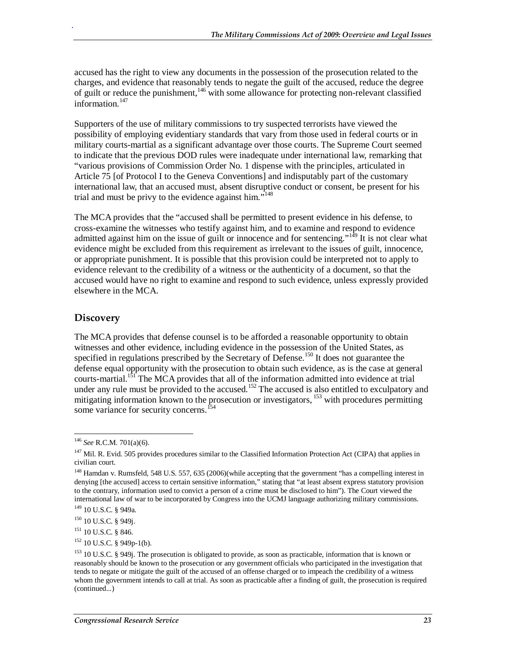accused has the right to view any documents in the possession of the prosecution related to the charges, and evidence that reasonably tends to negate the guilt of the accused, reduce the degree of guilt or reduce the punishment,<sup>146</sup> with some allowance for protecting non-relevant classified information. $147$ 

Supporters of the use of military commissions to try suspected terrorists have viewed the possibility of employing evidentiary standards that vary from those used in federal courts or in military courts-martial as a significant advantage over those courts. The Supreme Court seemed to indicate that the previous DOD rules were inadequate under international law, remarking that "various provisions of Commission Order No. 1 dispense with the principles, articulated in Article 75 [of Protocol I to the Geneva Conventions] and indisputably part of the customary international law, that an accused must, absent disruptive conduct or consent, be present for his trial and must be privy to the evidence against him."<sup>148</sup>

The MCA provides that the "accused shall be permitted to present evidence in his defense, to cross-examine the witnesses who testify against him, and to examine and respond to evidence admitted against him on the issue of guilt or innocence and for sentencing."<sup>149</sup> It is not clear what evidence might be excluded from this requirement as irrelevant to the issues of guilt, innocence, or appropriate punishment. It is possible that this provision could be interpreted not to apply to evidence relevant to the credibility of a witness or the authenticity of a document, so that the accused would have no right to examine and respond to such evidence, unless expressly provided elsewhere in the MCA.

### **Discovery**

.

The MCA provides that defense counsel is to be afforded a reasonable opportunity to obtain witnesses and other evidence, including evidence in the possession of the United States, as specified in regulations prescribed by the Secretary of Defense.<sup>150</sup> It does not guarantee the defense equal opportunity with the prosecution to obtain such evidence, as is the case at general courts-martial.<sup>151</sup> The MCA provides that all of the information admitted into evidence at trial under any rule must be provided to the accused.<sup>152</sup> The accused is also entitled to exculpatory and mitigating information known to the prosecution or investigators,  $^{153}$  with procedures permitting some variance for security concerns.<sup>154</sup>

-

<sup>146</sup> *See* R.C.M. 701(a)(6).

 $147$  Mil. R. Evid. 505 provides procedures similar to the Classified Information Protection Act (CIPA) that applies in civilian court.

<sup>&</sup>lt;sup>148</sup> Hamdan v. Rumsfeld, 548 U.S. 557, 635 (2006)(while accepting that the government "has a compelling interest in denying [the accused] access to certain sensitive information," stating that "at least absent express statutory provision to the contrary, information used to convict a person of a crime must be disclosed to him"). The Court viewed the international law of war to be incorporated by Congress into the UCMJ language authorizing military commissions.

<sup>149 10</sup> U.S.C. § 949a.

<sup>150 10</sup> U.S.C. § 949j.

<sup>&</sup>lt;sup>151</sup> 10 U.S.C. § 846.

 $152$  10 U.S.C. § 949p-1(b).

<sup>&</sup>lt;sup>153</sup> 10 U.S.C. § 949j. The prosecution is obligated to provide, as soon as practicable, information that is known or reasonably should be known to the prosecution or any government officials who participated in the investigation that tends to negate or mitigate the guilt of the accused of an offense charged or to impeach the credibility of a witness whom the government intends to call at trial. As soon as practicable after a finding of guilt, the prosecution is required (continued...)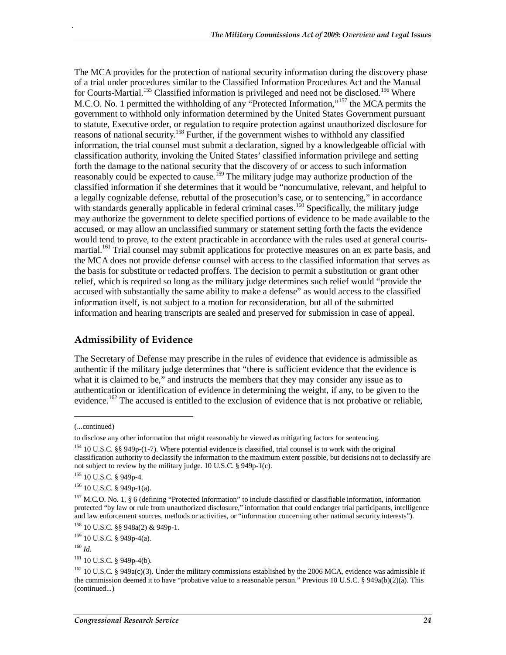The MCA provides for the protection of national security information during the discovery phase of a trial under procedures similar to the Classified Information Procedures Act and the Manual for Courts-Martial.<sup>155</sup> Classified information is privileged and need not be disclosed.<sup>156</sup> Where M.C.O. No. 1 permitted the withholding of any "Protected Information,"<sup>157</sup> the MCA permits the government to withhold only information determined by the United States Government pursuant to statute, Executive order, or regulation to require protection against unauthorized disclosure for reasons of national security.<sup>158</sup> Further, if the government wishes to withhold any classified information, the trial counsel must submit a declaration, signed by a knowledgeable official with classification authority, invoking the United States' classified information privilege and setting forth the damage to the national security that the discovery of or access to such information reasonably could be expected to cause.<sup>159</sup> The military judge may authorize production of the classified information if she determines that it would be "noncumulative, relevant, and helpful to a legally cognizable defense, rebuttal of the prosecution's case, or to sentencing," in accordance with standards generally applicable in federal criminal cases.<sup>160</sup> Specifically, the military judge may authorize the government to delete specified portions of evidence to be made available to the accused, or may allow an unclassified summary or statement setting forth the facts the evidence would tend to prove, to the extent practicable in accordance with the rules used at general courtsmartial.<sup>161</sup> Trial counsel may submit applications for protective measures on an ex parte basis, and the MCA does not provide defense counsel with access to the classified information that serves as the basis for substitute or redacted proffers. The decision to permit a substitution or grant other relief, which is required so long as the military judge determines such relief would "provide the accused with substantially the same ability to make a defense" as would access to the classified information itself, is not subject to a motion for reconsideration, but all of the submitted information and hearing transcripts are sealed and preserved for submission in case of appeal.

### **Admissibility of Evidence**

The Secretary of Defense may prescribe in the rules of evidence that evidence is admissible as authentic if the military judge determines that "there is sufficient evidence that the evidence is what it is claimed to be," and instructs the members that they may consider any issue as to authentication or identification of evidence in determining the weight, if any, to be given to the evidence.<sup>162</sup> The accused is entitled to the exclusion of evidence that is not probative or reliable,

<u>.</u>

<sup>(...</sup>continued)

to disclose any other information that might reasonably be viewed as mitigating factors for sentencing.

<sup>&</sup>lt;sup>154</sup> 10 U.S.C. §§ 949p-(1-7). Where potential evidence is classified, trial counsel is to work with the original classification authority to declassify the information to the maximum extent possible, but decisions not to declassify are not subject to review by the military judge. 10 U.S.C. § 949p-1(c).

<sup>155 10</sup> U.S.C. § 949p-4.

<sup>156 10</sup> U.S.C. § 949p-1(a).

 $157$  M.C.O. No. 1, § 6 (defining "Protected Information" to include classified or classifiable information, information protected "by law or rule from unauthorized disclosure," information that could endanger trial participants, intelligence and law enforcement sources, methods or activities, or "information concerning other national security interests").

<sup>158 10</sup> U.S.C. §§ 948a(2) & 949p-1.

 $159$  10 U.S.C. § 949p-4(a).

<sup>160</sup> *Id*.

<sup>&</sup>lt;sup>161</sup> 10 U.S.C. § 949p-4(b).

<sup>&</sup>lt;sup>162</sup> 10 U.S.C. § 949a(c)(3). Under the military commissions established by the 2006 MCA, evidence was admissible if the commission deemed it to have "probative value to a reasonable person." Previous 10 U.S.C. § 949a(b)(2)(a). This (continued...)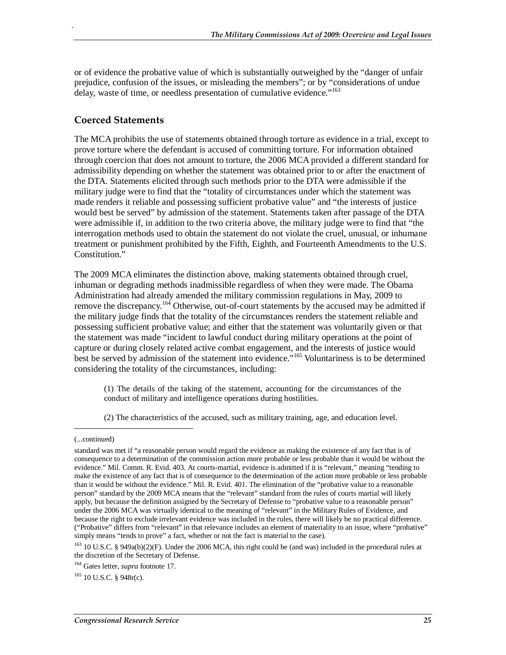or of evidence the probative value of which is substantially outweighed by the "danger of unfair prejudice, confusion of the issues, or misleading the members"; or by "considerations of undue delay, waste of time, or needless presentation of cumulative evidence."<sup>163</sup>

### **Coerced Statements**

.

The MCA prohibits the use of statements obtained through torture as evidence in a trial, except to prove torture where the defendant is accused of committing torture. For information obtained through coercion that does not amount to torture, the 2006 MCA provided a different standard for admissibility depending on whether the statement was obtained prior to or after the enactment of the DTA. Statements elicited through such methods prior to the DTA were admissible if the military judge were to find that the "totality of circumstances under which the statement was made renders it reliable and possessing sufficient probative value" and "the interests of justice would best be served" by admission of the statement. Statements taken after passage of the DTA were admissible if, in addition to the two criteria above, the military judge were to find that "the interrogation methods used to obtain the statement do not violate the cruel, unusual, or inhumane treatment or punishment prohibited by the Fifth, Eighth, and Fourteenth Amendments to the U.S. Constitution."

The 2009 MCA eliminates the distinction above, making statements obtained through cruel, inhuman or degrading methods inadmissible regardless of when they were made. The Obama Administration had already amended the military commission regulations in May, 2009 to remove the discrepancy.<sup>164</sup> Otherwise, out-of-court statements by the accused may be admitted if the military judge finds that the totality of the circumstances renders the statement reliable and possessing sufficient probative value; and either that the statement was voluntarily given or that the statement was made "incident to lawful conduct during military operations at the point of capture or during closely related active combat engagement, and the interests of justice would best be served by admission of the statement into evidence."<sup>165</sup> Voluntariness is to be determined considering the totality of the circumstances, including:

(1) The details of the taking of the statement, accounting for the circumstances of the conduct of military and intelligence operations during hostilities.

(2) The characteristics of the accused, such as military training, age, and education level.

1

<sup>(...</sup>continued)

standard was met if "a reasonable person would regard the evidence as making the existence of any fact that is of consequence to a determination of the commission action more probable or less probable than it would be without the evidence." Mil. Comm. R. Evid. 403. At courts-martial, evidence is admitted if it is "relevant," meaning "tending to make the existence of any fact that is of consequence to the determination of the action more probable or less probable than it would be without the evidence." Mil. R. Evid. 401. The elimination of the "probative value to a reasonable person" standard by the 2009 MCA means that the "relevant" standard from the rules of courts martial will likely apply, but because the definition assigned by the Secretary of Defense to "probative value to a reasonable person" under the 2006 MCA was virtually identical to the meaning of "relevant" in the Military Rules of Evidence, and because the right to exclude irrelevant evidence was included in the rules, there will likely be no practical difference. ("Probative" differs from "relevant" in that relevance includes an element of materiality to an issue, where "probative" simply means "tends to prove" a fact, whether or not the fact is material to the case).

<sup>&</sup>lt;sup>163</sup> 10 U.S.C. § 949a(b)(2)(F). Under the 2006 MCA, this right could be (and was) included in the procedural rules at the discretion of the Secretary of Defense.

<sup>164</sup> Gates letter, *supra* footnote 17.

<sup>&</sup>lt;sup>165</sup> 10 U.S.C. § 948r(c).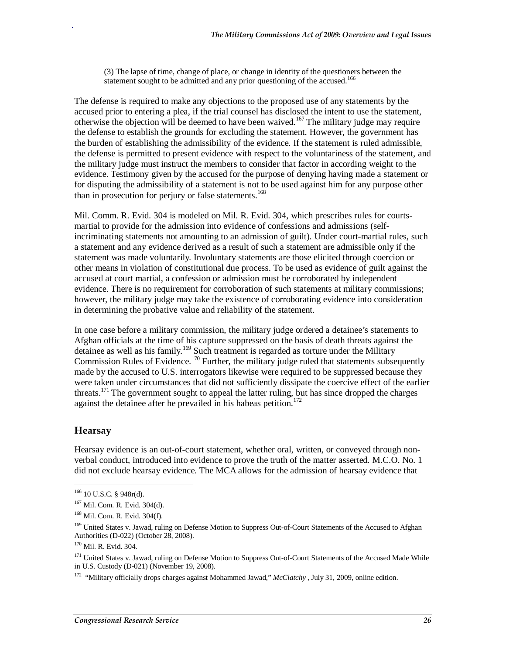(3) The lapse of time, change of place, or change in identity of the questioners between the statement sought to be admitted and any prior questioning of the accused.<sup>166</sup>

The defense is required to make any objections to the proposed use of any statements by the accused prior to entering a plea, if the trial counsel has disclosed the intent to use the statement, otherwise the objection will be deemed to have been waived.167 The military judge may require the defense to establish the grounds for excluding the statement. However, the government has the burden of establishing the admissibility of the evidence. If the statement is ruled admissible, the defense is permitted to present evidence with respect to the voluntariness of the statement, and the military judge must instruct the members to consider that factor in according weight to the evidence. Testimony given by the accused for the purpose of denying having made a statement or for disputing the admissibility of a statement is not to be used against him for any purpose other than in prosecution for perjury or false statements.<sup>168</sup>

Mil. Comm. R. Evid. 304 is modeled on Mil. R. Evid. 304, which prescribes rules for courtsmartial to provide for the admission into evidence of confessions and admissions (selfincriminating statements not amounting to an admission of guilt). Under court-martial rules, such a statement and any evidence derived as a result of such a statement are admissible only if the statement was made voluntarily. Involuntary statements are those elicited through coercion or other means in violation of constitutional due process. To be used as evidence of guilt against the accused at court martial, a confession or admission must be corroborated by independent evidence. There is no requirement for corroboration of such statements at military commissions; however, the military judge may take the existence of corroborating evidence into consideration in determining the probative value and reliability of the statement.

In one case before a military commission, the military judge ordered a detainee's statements to Afghan officials at the time of his capture suppressed on the basis of death threats against the detainee as well as his family.<sup>169</sup> Such treatment is regarded as torture under the Military Commission Rules of Evidence.<sup>170</sup> Further, the military judge ruled that statements subsequently made by the accused to U.S. interrogators likewise were required to be suppressed because they were taken under circumstances that did not sufficiently dissipate the coercive effect of the earlier threats.<sup>171</sup> The government sought to appeal the latter ruling, but has since dropped the charges against the detainee after he prevailed in his habeas petition.<sup>172</sup>

### **Hearsay**

-

.

Hearsay evidence is an out-of-court statement, whether oral, written, or conveyed through nonverbal conduct, introduced into evidence to prove the truth of the matter asserted. M.C.O. No. 1 did not exclude hearsay evidence. The MCA allows for the admission of hearsay evidence that

 $166$  10 U.S.C. § 948r(d).

<sup>167</sup> Mil. Com. R. Evid. 304(d).

<sup>168</sup> Mil. Com. R. Evid. 304(f).

<sup>&</sup>lt;sup>169</sup> United States v. Jawad, ruling on Defense Motion to Suppress Out-of-Court Statements of the Accused to Afghan Authorities (D-022) (October 28, 2008).

<sup>170</sup> Mil. R. Evid. 304.

<sup>&</sup>lt;sup>171</sup> United States v. Jawad, ruling on Defense Motion to Suppress Out-of-Court Statements of the Accused Made While in U.S. Custody (D-021) (November 19, 2008).

<sup>172 &</sup>quot;Military officially drops charges against Mohammed Jawad," *McClatchy* , July 31, 2009, online edition.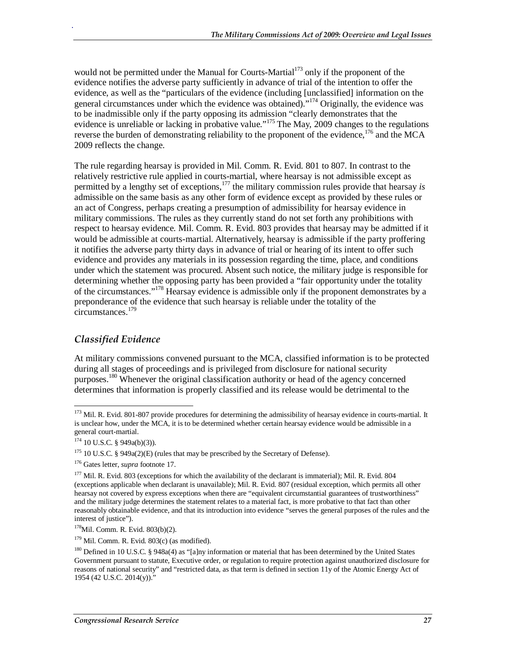would not be permitted under the Manual for Courts-Martial<sup>173</sup> only if the proponent of the evidence notifies the adverse party sufficiently in advance of trial of the intention to offer the evidence, as well as the "particulars of the evidence (including [unclassified] information on the general circumstances under which the evidence was obtained).<sup>"174</sup> Originally, the evidence was to be inadmissible only if the party opposing its admission "clearly demonstrates that the evidence is unreliable or lacking in probative value."<sup>175</sup> The May, 2009 changes to the regulations reverse the burden of demonstrating reliability to the proponent of the evidence,  $176$  and the MCA 2009 reflects the change.

The rule regarding hearsay is provided in Mil. Comm. R. Evid. 801 to 807. In contrast to the relatively restrictive rule applied in courts-martial, where hearsay is not admissible except as permitted by a lengthy set of exceptions,<sup>177</sup> the military commission rules provide that hearsay *is* admissible on the same basis as any other form of evidence except as provided by these rules or an act of Congress, perhaps creating a presumption of admissibility for hearsay evidence in military commissions. The rules as they currently stand do not set forth any prohibitions with respect to hearsay evidence. Mil. Comm. R. Evid. 803 provides that hearsay may be admitted if it would be admissible at courts-martial. Alternatively, hearsay is admissible if the party proffering it notifies the adverse party thirty days in advance of trial or hearing of its intent to offer such evidence and provides any materials in its possession regarding the time, place, and conditions under which the statement was procured. Absent such notice, the military judge is responsible for determining whether the opposing party has been provided a "fair opportunity under the totality of the circumstances."178 Hearsay evidence is admissible only if the proponent demonstrates by a preponderance of the evidence that such hearsay is reliable under the totality of the circumstances.<sup>179</sup>

### *Classified Evidence*

.

At military commissions convened pursuant to the MCA, classified information is to be protected during all stages of proceedings and is privileged from disclosure for national security purposes.<sup>180</sup> Whenever the original classification authority or head of the agency concerned determines that information is properly classified and its release would be detrimental to the

<sup>-</sup><sup>173</sup> Mil. R. Evid. 801-807 provide procedures for determining the admissibility of hearsay evidence in courts-martial. It is unclear how, under the MCA, it is to be determined whether certain hearsay evidence would be admissible in a general court-martial.

 $174$  10 U.S.C. § 949a(b)(3)).

 $175$  10 U.S.C. § 949a(2)(E) (rules that may be prescribed by the Secretary of Defense).

<sup>176</sup> Gates letter, *supra* footnote 17.

<sup>&</sup>lt;sup>177</sup> Mil. R. Evid. 803 (exceptions for which the availability of the declarant is immaterial); Mil. R. Evid. 804 (exceptions applicable when declarant is unavailable); Mil. R. Evid. 807 (residual exception, which permits all other hearsay not covered by express exceptions when there are "equivalent circumstantial guarantees of trustworthiness" and the military judge determines the statement relates to a material fact, is more probative to that fact than other reasonably obtainable evidence, and that its introduction into evidence "serves the general purposes of the rules and the interest of justice").

<sup>178</sup>Mil. Comm. R. Evid. 803(b)(2).

 $179$  Mil. Comm. R. Evid. 803(c) (as modified).

<sup>&</sup>lt;sup>180</sup> Defined in 10 U.S.C. § 948a(4) as "[a]ny information or material that has been determined by the United States Government pursuant to statute, Executive order, or regulation to require protection against unauthorized disclosure for reasons of national security" and "restricted data, as that term is defined in section 11y of the Atomic Energy Act of 1954 (42 U.S.C. 2014(y))."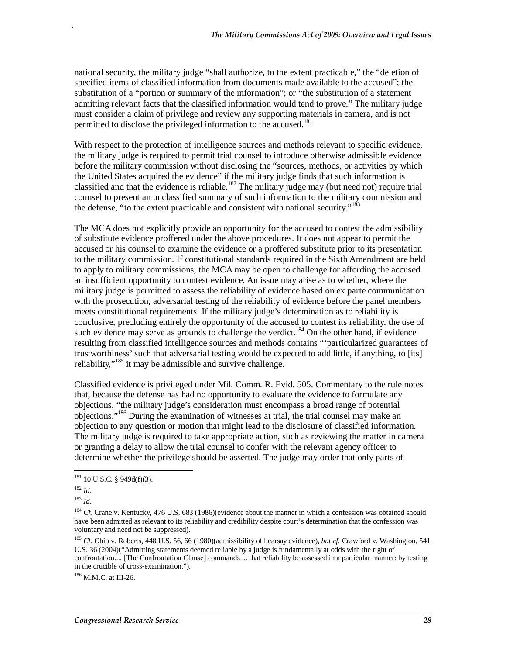national security, the military judge "shall authorize, to the extent practicable," the "deletion of specified items of classified information from documents made available to the accused"; the substitution of a "portion or summary of the information"; or "the substitution of a statement admitting relevant facts that the classified information would tend to prove." The military judge must consider a claim of privilege and review any supporting materials in camera, and is not permitted to disclose the privileged information to the accused.<sup>181</sup>

With respect to the protection of intelligence sources and methods relevant to specific evidence, the military judge is required to permit trial counsel to introduce otherwise admissible evidence before the military commission without disclosing the "sources, methods, or activities by which the United States acquired the evidence" if the military judge finds that such information is classified and that the evidence is reliable.<sup>182</sup> The military judge may (but need not) require trial counsel to present an unclassified summary of such information to the military commission and the defense, "to the extent practicable and consistent with national security."<sup>183</sup>

The MCA does not explicitly provide an opportunity for the accused to contest the admissibility of substitute evidence proffered under the above procedures. It does not appear to permit the accused or his counsel to examine the evidence or a proffered substitute prior to its presentation to the military commission. If constitutional standards required in the Sixth Amendment are held to apply to military commissions, the MCA may be open to challenge for affording the accused an insufficient opportunity to contest evidence. An issue may arise as to whether, where the military judge is permitted to assess the reliability of evidence based on ex parte communication with the prosecution, adversarial testing of the reliability of evidence before the panel members meets constitutional requirements. If the military judge's determination as to reliability is conclusive, precluding entirely the opportunity of the accused to contest its reliability, the use of such evidence may serve as grounds to challenge the verdict.<sup>184</sup> On the other hand, if evidence resulting from classified intelligence sources and methods contains "'particularized guarantees of trustworthiness' such that adversarial testing would be expected to add little, if anything, to [its] reliability,"<sup>185</sup> it may be admissible and survive challenge.

Classified evidence is privileged under Mil. Comm. R. Evid. 505. Commentary to the rule notes that, because the defense has had no opportunity to evaluate the evidence to formulate any objections, "the military judge's consideration must encompass a broad range of potential objections."186 During the examination of witnesses at trial, the trial counsel may make an objection to any question or motion that might lead to the disclosure of classified information. The military judge is required to take appropriate action, such as reviewing the matter in camera or granting a delay to allow the trial counsel to confer with the relevant agency officer to determine whether the privilege should be asserted. The judge may order that only parts of

.

<sup>186</sup> M.M.C. at III-26.

<sup>-</sup> $181$  10 U.S.C. § 949d(f)(3).

<sup>182</sup> *Id*. 183 *Id*.

<sup>&</sup>lt;sup>184</sup> *Cf.* Crane v. Kentucky, 476 U.S. 683 (1986)(evidence about the manner in which a confession was obtained should have been admitted as relevant to its reliability and credibility despite court's determination that the confession was voluntary and need not be suppressed).

<sup>185</sup> *Cf*. Ohio v. Roberts, 448 U.S. 56, 66 (1980)(admissibility of hearsay evidence), *but cf.* Crawford v. Washington, 541 U.S. 36 (2004)("Admitting statements deemed reliable by a judge is fundamentally at odds with the right of confrontation.... [The Confrontation Clause] commands ... that reliability be assessed in a particular manner: by testing in the crucible of cross-examination.").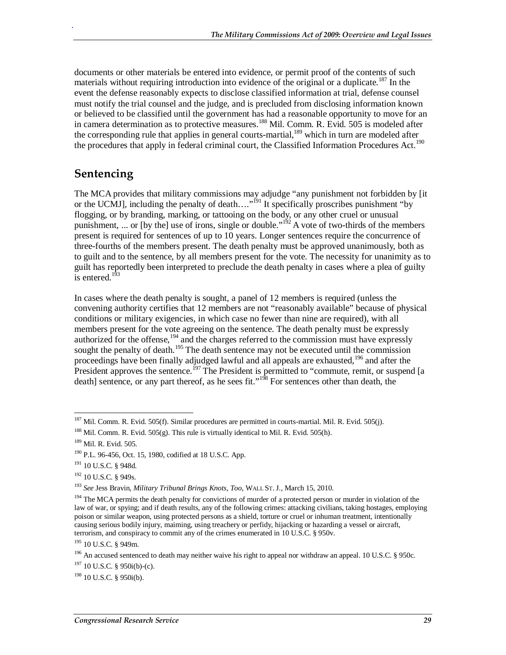documents or other materials be entered into evidence, or permit proof of the contents of such materials without requiring introduction into evidence of the original or a duplicate.<sup>187</sup> In the event the defense reasonably expects to disclose classified information at trial, defense counsel must notify the trial counsel and the judge, and is precluded from disclosing information known or believed to be classified until the government has had a reasonable opportunity to move for an in camera determination as to protective measures.<sup>188</sup> Mil. Comm. R. Evid. 505 is modeled after the corresponding rule that applies in general courts-martial, $^{189}$  which in turn are modeled after the procedures that apply in federal criminal court, the Classified Information Procedures Act.<sup>190</sup>

### **Sentencing**

.

The MCA provides that military commissions may adjudge "any punishment not forbidden by [it or the UCMJ], including the penalty of death...."<sup>191</sup> It specifically proscribes punishment "by flogging, or by branding, marking, or tattooing on the body, or any other cruel or unusual punishment, ... or [by the] use of irons, single or double."<sup>192</sup> A vote of two-thirds of the members present is required for sentences of up to 10 years. Longer sentences require the concurrence of three-fourths of the members present. The death penalty must be approved unanimously, both as to guilt and to the sentence, by all members present for the vote. The necessity for unanimity as to guilt has reportedly been interpreted to preclude the death penalty in cases where a plea of guilty is entered. $1\overline{9}3$ 

In cases where the death penalty is sought, a panel of 12 members is required (unless the convening authority certifies that 12 members are not "reasonably available" because of physical conditions or military exigencies, in which case no fewer than nine are required), with all members present for the vote agreeing on the sentence. The death penalty must be expressly authorized for the offense,  $194$  and the charges referred to the commission must have expressly sought the penalty of death.<sup>195</sup> The death sentence may not be executed until the commission proceedings have been finally adjudged lawful and all appeals are exhausted,<sup>196</sup> and after the President approves the sentence.<sup>197</sup> The President is permitted to "commute, remit, or suspend [a death] sentence, or any part thereof, as he sees fit."<sup>198</sup> For sentences other than death, the

<sup>-</sup> $187$  Mil. Comm. R. Evid. 505(f). Similar procedures are permitted in courts-martial. Mil. R. Evid. 505(j).

<sup>&</sup>lt;sup>188</sup> Mil. Comm. R. Evid. 505(g). This rule is virtually identical to Mil. R. Evid. 505(h).

<sup>189</sup> Mil. R. Evid. 505.

<sup>190</sup> P.L. 96-456, Oct. 15, 1980, codified at 18 U.S.C. App.

<sup>191 10</sup> U.S.C. § 948d.

<sup>&</sup>lt;sup>192</sup> 10 U.S.C. § 949s.

<sup>193</sup> *See* Jess Bravin, *Military Tribunal Brings Knots, Too*, WALL ST. J., March 15, 2010.

<sup>&</sup>lt;sup>194</sup> The MCA permits the death penalty for convictions of murder of a protected person or murder in violation of the law of war, or spying; and if death results, any of the following crimes: attacking civilians, taking hostages, employing poison or similar weapon, using protected persons as a shield, torture or cruel or inhuman treatment, intentionally causing serious bodily injury, maiming, using treachery or perfidy, hijacking or hazarding a vessel or aircraft, terrorism, and conspiracy to commit any of the crimes enumerated in 10 U.S.C. § 950v.

<sup>195 10</sup> U.S.C. § 949m.

<sup>&</sup>lt;sup>196</sup> An accused sentenced to death may neither waive his right to appeal nor withdraw an appeal. 10 U.S.C. § 950c.

 $197$  10 U.S.C. § 950i(b)-(c).

 $198$  10 U.S.C. § 950i(b).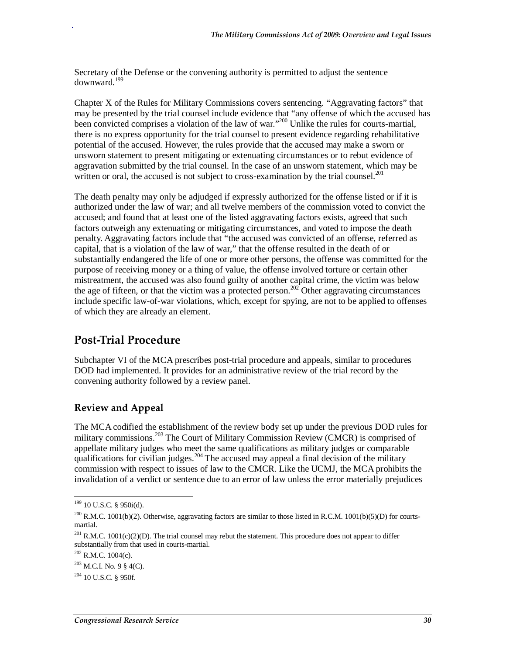Secretary of the Defense or the convening authority is permitted to adjust the sentence downward.199

Chapter X of the Rules for Military Commissions covers sentencing. "Aggravating factors" that may be presented by the trial counsel include evidence that "any offense of which the accused has been convicted comprises a violation of the law of war."<sup>200</sup> Unlike the rules for courts-martial, there is no express opportunity for the trial counsel to present evidence regarding rehabilitative potential of the accused. However, the rules provide that the accused may make a sworn or unsworn statement to present mitigating or extenuating circumstances or to rebut evidence of aggravation submitted by the trial counsel. In the case of an unsworn statement, which may be written or oral, the accused is not subject to cross-examination by the trial counsel.<sup>201</sup>

The death penalty may only be adjudged if expressly authorized for the offense listed or if it is authorized under the law of war; and all twelve members of the commission voted to convict the accused; and found that at least one of the listed aggravating factors exists, agreed that such factors outweigh any extenuating or mitigating circumstances, and voted to impose the death penalty. Aggravating factors include that "the accused was convicted of an offense, referred as capital, that is a violation of the law of war," that the offense resulted in the death of or substantially endangered the life of one or more other persons, the offense was committed for the purpose of receiving money or a thing of value, the offense involved torture or certain other mistreatment, the accused was also found guilty of another capital crime, the victim was below the age of fifteen, or that the victim was a protected person.<sup>202</sup> Other aggravating circumstances include specific law-of-war violations, which, except for spying, are not to be applied to offenses of which they are already an element.

## **Post-Trial Procedure**

.

Subchapter VI of the MCA prescribes post-trial procedure and appeals, similar to procedures DOD had implemented. It provides for an administrative review of the trial record by the convening authority followed by a review panel.

### **Review and Appeal**

The MCA codified the establishment of the review body set up under the previous DOD rules for military commissions.<sup>203</sup> The Court of Military Commission Review (CMCR) is comprised of appellate military judges who meet the same qualifications as military judges or comparable qualifications for civilian judges.<sup>204</sup> The accused may appeal a final decision of the military commission with respect to issues of law to the CMCR. Like the UCMJ, the MCA prohibits the invalidation of a verdict or sentence due to an error of law unless the error materially prejudices

<sup>-</sup> $199$  10 U.S.C. § 950i(d).

<sup>&</sup>lt;sup>200</sup> R.M.C. 1001(b)(2). Otherwise, aggravating factors are similar to those listed in R.C.M. 1001(b)(5)(D) for courtsmartial.

<sup>&</sup>lt;sup>201</sup> R.M.C. 1001(c)(2)(D). The trial counsel may rebut the statement. This procedure does not appear to differ substantially from that used in courts-martial.

 $202$  R.M.C. 1004(c).

 $203$  M.C.I. No. 9 § 4(C).

 $204$  10 U.S.C. § 950f.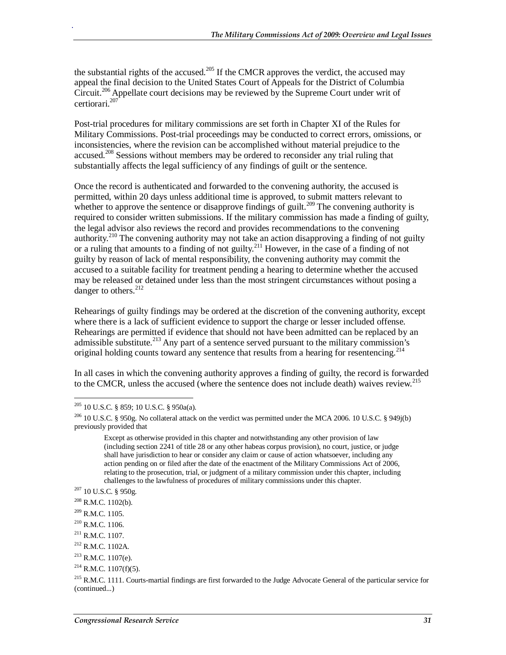the substantial rights of the accused.<sup>205</sup> If the CMCR approves the verdict, the accused may appeal the final decision to the United States Court of Appeals for the District of Columbia Circuit.<sup>206</sup> Appellate court decisions may be reviewed by the Supreme Court under writ of certiorari.<sup>207</sup>

Post-trial procedures for military commissions are set forth in Chapter XI of the Rules for Military Commissions. Post-trial proceedings may be conducted to correct errors, omissions, or inconsistencies, where the revision can be accomplished without material prejudice to the accused.<sup>208</sup> Sessions without members may be ordered to reconsider any trial ruling that substantially affects the legal sufficiency of any findings of guilt or the sentence.

Once the record is authenticated and forwarded to the convening authority, the accused is permitted, within 20 days unless additional time is approved, to submit matters relevant to whether to approve the sentence or disapprove findings of guilt.<sup>209</sup> The convening authority is required to consider written submissions. If the military commission has made a finding of guilty, the legal advisor also reviews the record and provides recommendations to the convening authority.<sup>210</sup> The convening authority may not take an action disapproving a finding of not guilty or a ruling that amounts to a finding of not guilty.211 However, in the case of a finding of not guilty by reason of lack of mental responsibility, the convening authority may commit the accused to a suitable facility for treatment pending a hearing to determine whether the accused may be released or detained under less than the most stringent circumstances without posing a danger to others.<sup>212</sup>

Rehearings of guilty findings may be ordered at the discretion of the convening authority, except where there is a lack of sufficient evidence to support the charge or lesser included offense. Rehearings are permitted if evidence that should not have been admitted can be replaced by an admissible substitute.<sup>213</sup> Any part of a sentence served pursuant to the military commission's original holding counts toward any sentence that results from a hearing for resentencing.<sup>214</sup>

In all cases in which the convening authority approves a finding of guilty, the record is forwarded to the CMCR, unless the accused (where the sentence does not include death) waives review.<sup>215</sup>

-

 $205$  10 U.S.C. § 859; 10 U.S.C. § 950a(a).

<sup>&</sup>lt;sup>206</sup> 10 U.S.C. § 950g. No collateral attack on the verdict was permitted under the MCA 2006. 10 U.S.C. § 949j(b) previously provided that

Except as otherwise provided in this chapter and notwithstanding any other provision of law (including section 2241 of title 28 or any other habeas corpus provision), no court, justice, or judge shall have jurisdiction to hear or consider any claim or cause of action whatsoever, including any action pending on or filed after the date of the enactment of the Military Commissions Act of 2006, relating to the prosecution, trial, or judgment of a military commission under this chapter, including challenges to the lawfulness of procedures of military commissions under this chapter. 207 10 U.S.C. § 950g.

 $208$  R.M.C. 1102(b).

<sup>&</sup>lt;sup>209</sup> R.M.C. 1105.

<sup>210</sup> R.M.C. 1106.

 $^{211}$  R.M.C. 1107.

<sup>212</sup> R.M.C. 1102A.

 $213$  R.M.C. 1107(e).

 $214$  R.M.C. 1107(f)(5).

<sup>&</sup>lt;sup>215</sup> R.M.C. 1111. Courts-martial findings are first forwarded to the Judge Advocate General of the particular service for (continued...)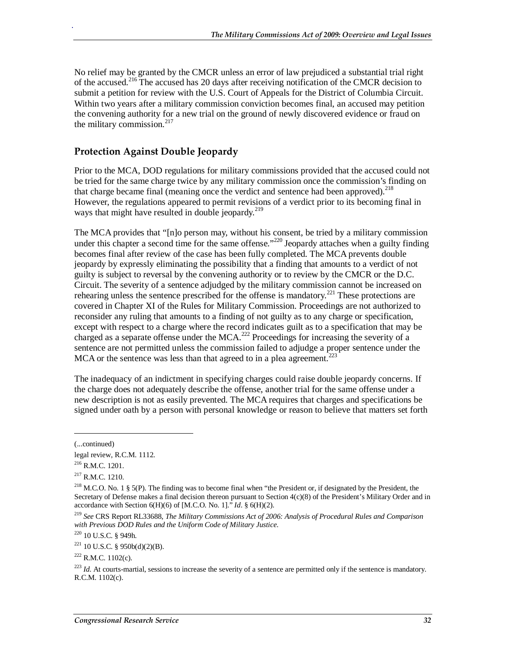No relief may be granted by the CMCR unless an error of law prejudiced a substantial trial right of the accused.<sup>216</sup> The accused has 20 days after receiving notification of the CMCR decision to submit a petition for review with the U.S. Court of Appeals for the District of Columbia Circuit. Within two years after a military commission conviction becomes final, an accused may petition the convening authority for a new trial on the ground of newly discovered evidence or fraud on the military commission. $217$ 

### **Protection Against Double Jeopardy**

Prior to the MCA, DOD regulations for military commissions provided that the accused could not be tried for the same charge twice by any military commission once the commission's finding on that charge became final (meaning once the verdict and sentence had been approved).<sup>218</sup> However, the regulations appeared to permit revisions of a verdict prior to its becoming final in ways that might have resulted in double jeopardy.<sup>219</sup>

The MCA provides that "[n]o person may, without his consent, be tried by a military commission under this chapter a second time for the same offense."<sup>220</sup> Jeopardy attaches when a guilty finding becomes final after review of the case has been fully completed. The MCA prevents double jeopardy by expressly eliminating the possibility that a finding that amounts to a verdict of not guilty is subject to reversal by the convening authority or to review by the CMCR or the D.C. Circuit. The severity of a sentence adjudged by the military commission cannot be increased on rehearing unless the sentence prescribed for the offense is mandatory.<sup>221</sup> These protections are covered in Chapter XI of the Rules for Military Commission. Proceedings are not authorized to reconsider any ruling that amounts to a finding of not guilty as to any charge or specification, except with respect to a charge where the record indicates guilt as to a specification that may be charged as a separate offense under the MCA.<sup>222</sup> Proceedings for increasing the severity of a sentence are not permitted unless the commission failed to adjudge a proper sentence under the MCA or the sentence was less than that agreed to in a plea agreement.<sup>223</sup>

The inadequacy of an indictment in specifying charges could raise double jeopardy concerns. If the charge does not adequately describe the offense, another trial for the same offense under a new description is not as easily prevented. The MCA requires that charges and specifications be signed under oath by a person with personal knowledge or reason to believe that matters set forth

<u>.</u>

<sup>(...</sup>continued)

legal review, R.C.M. 1112.

<sup>216</sup> R.M.C. 1201.

 $217$  R.M.C. 1210.

<sup>&</sup>lt;sup>218</sup> M.C.O. No. 1 § 5(P). The finding was to become final when "the President or, if designated by the President, the Secretary of Defense makes a final decision thereon pursuant to Section 4(c)(8) of the President's Military Order and in accordance with Section  $6(H)(6)$  of [M.C.O. No. 1].<sup> $\dot{h}$ </sup> *Id.* §  $6(H)(2)$ .

<sup>219</sup> *See* CRS Report RL33688, *The Military Commissions Act of 2006: Analysis of Procedural Rules and Comparison with Previous DOD Rules and the Uniform Code of Military Justice*.

<sup>220 10</sup> U.S.C. § 949h.

 $221$  10 U.S.C. § 950b(d)(2)(B).

 $^{222}$  R M C 1102(c).

<sup>&</sup>lt;sup>223</sup> *Id*. At courts-martial, sessions to increase the severity of a sentence are permitted only if the sentence is mandatory. R.C.M. 1102(c).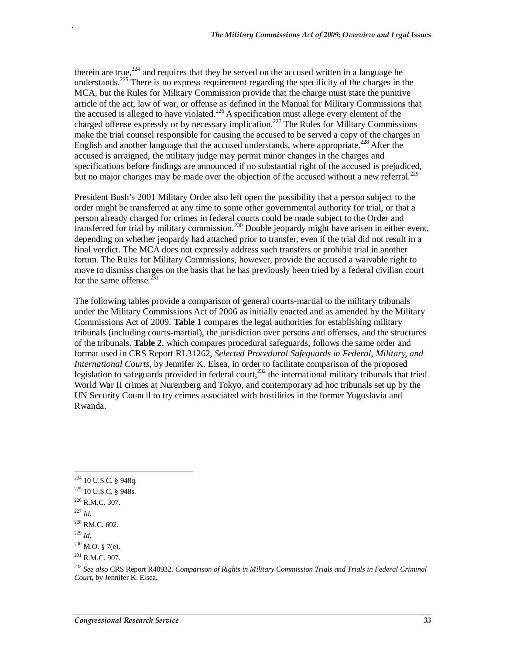therein are true,<sup>224</sup> and requires that they be served on the accused written in a language he understands.<sup>225</sup> There is no express requirement regarding the specificity of the charges in the MCA, but the Rules for Military Commission provide that the charge must state the punitive article of the act, law of war, or offense as defined in the Manual for Military Commissions that the accused is alleged to have violated.<sup>226</sup> A specification must allege every element of the charged offense expressly or by necessary implication.<sup>227</sup> The Rules for Military Commissions make the trial counsel responsible for causing the accused to be served a copy of the charges in English and another language that the accused understands, where appropriate.<sup>228</sup> After the accused is arraigned, the military judge may permit minor changes in the charges and specifications before findings are announced if no substantial right of the accused is prejudiced, but no major changes may be made over the objection of the accused without a new referral.<sup>229</sup>

President Bush's 2001 Military Order also left open the possibility that a person subject to the order might be transferred at any time to some other governmental authority for trial, or that a person already charged for crimes in federal courts could be made subject to the Order and transferred for trial by military commission.<sup>230</sup> Double jeopardy might have arisen in either event, depending on whether jeopardy had attached prior to transfer, even if the trial did not result in a final verdict. The MCA does not expressly address such transfers or prohibit trial in another forum. The Rules for Military Commissions, however, provide the accused a waivable right to move to dismiss charges on the basis that he has previously been tried by a federal civilian court for the same offense. $^{231}$ 

The following tables provide a comparison of general courts-martial to the military tribunals under the Military Commissions Act of 2006 as initially enacted and as amended by the Military Commissions Act of 2009. **Table 1** compares the legal authorities for establishing military tribunals (including courts-martial), the jurisdiction over persons and offenses, and the structures of the tribunals. **Table 2**, which compares procedural safeguards, follows the same order and format used in CRS Report RL31262, *Selected Procedural Safeguards in Federal, Military, and International Courts*, by Jennifer K. Elsea, in order to facilitate comparison of the proposed legislation to safeguards provided in federal court,<sup>232</sup> the international military tribunals that tried World War II crimes at Nuremberg and Tokyo, and contemporary ad hoc tribunals set up by the UN Security Council to try crimes associated with hostilities in the former Yugoslavia and Rwanda.

<sup>&</sup>lt;u>.</u>  $224$  10 U.S.C. § 948q.

<sup>225 10</sup> U.S.C. § 948s.

 $^{226}$  R.M.C. 307.<br> $^{227}$  *Id.* 

<sup>&</sup>lt;sup>228</sup> RM.C. 602.

<sup>229</sup> *Id*.

 $230$  M.O. § 7(e).

 $^{231}$  R M C 907.

<sup>232</sup> *See also* CRS Report R40932, *Comparison of Rights in Military Commission Trials and Trials in Federal Criminal Court*, by Jennifer K. Elsea.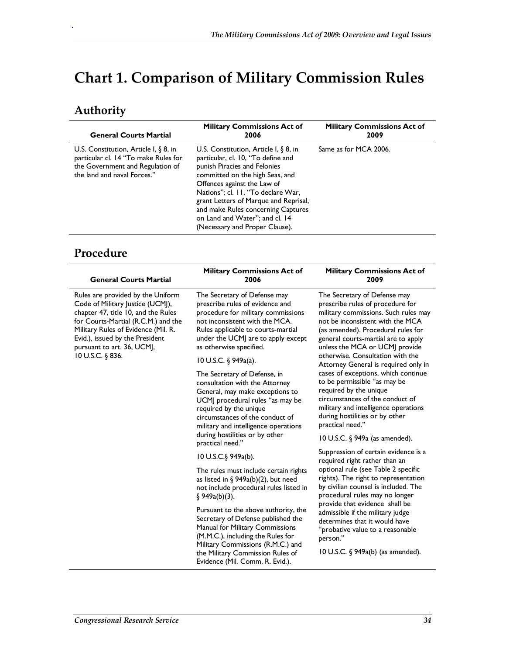# **Chart 1. Comparison of Military Commission Rules**

# **Authority**

.

| <b>General Courts Martial</b>                                                                                                                       | <b>Military Commissions Act of</b><br>2006                                                                                                                                                                                                                                                                                                                                | <b>Military Commissions Act of</b><br>2009 |
|-----------------------------------------------------------------------------------------------------------------------------------------------------|---------------------------------------------------------------------------------------------------------------------------------------------------------------------------------------------------------------------------------------------------------------------------------------------------------------------------------------------------------------------------|--------------------------------------------|
| U.S. Constitution, Article I, $\S$ 8, in<br>particular cl. 14 "To make Rules for<br>the Government and Regulation of<br>the land and naval Forces." | U.S. Constitution, Article I, $\S$ 8, in<br>particular, cl. 10, "To define and<br>punish Piracies and Felonies<br>committed on the high Seas, and<br>Offences against the Law of<br>Nations"; cl. 11, "To declare War,<br>grant Letters of Marque and Reprisal,<br>and make Rules concerning Captures<br>on Land and Water"; and cl. 14<br>(Necessary and Proper Clause). | Same as for MCA 2006.                      |

## **Procedure**

| <b>General Courts Martial</b>                                                                                                                                                                                                                                                   | Military Commissions Act of<br>2006                                                                                                                                                                                                                                                                                                         | Military Commissions Act of<br>2009                                                                                                                                                                                                                                                                                                                                                                            |
|---------------------------------------------------------------------------------------------------------------------------------------------------------------------------------------------------------------------------------------------------------------------------------|---------------------------------------------------------------------------------------------------------------------------------------------------------------------------------------------------------------------------------------------------------------------------------------------------------------------------------------------|----------------------------------------------------------------------------------------------------------------------------------------------------------------------------------------------------------------------------------------------------------------------------------------------------------------------------------------------------------------------------------------------------------------|
| Rules are provided by the Uniform<br>Code of Military Justice (UCMJ),<br>chapter 47, title 10, and the Rules<br>for Courts-Martial (R.C.M.) and the<br>Military Rules of Evidence (Mil. R.<br>Evid.), issued by the President<br>pursuant to art. 36, UCMJ,<br>10 U.S.C. § 836. | The Secretary of Defense may<br>prescribe rules of evidence and<br>procedure for military commissions<br>not inconsistent with the MCA.<br>Rules applicable to courts-martial<br>under the UCMJ are to apply except<br>as otherwise specified.<br>10 U.S.C. $\S$ 949a(a).<br>The Secretary of Defense, in<br>consultation with the Attorney | The Secretary of Defense may<br>prescribe rules of procedure for<br>military commissions. Such rules may<br>not be inconsistent with the MCA<br>(as amended). Procedural rules for<br>general courts-martial are to apply<br>unless the MCA or UCMJ provide<br>otherwise. Consultation with the<br>Attorney General is required only in<br>cases of exceptions, which continue<br>to be permissible "as may be |
|                                                                                                                                                                                                                                                                                 | General, may make exceptions to<br>UCM] procedural rules "as may be<br>required by the unique<br>circumstances of the conduct of<br>military and intelligence operations<br>during hostilities or by other                                                                                                                                  | required by the unique<br>circumstances of the conduct of<br>military and intelligence operations<br>during hostilities or by other<br>practical need."                                                                                                                                                                                                                                                        |
|                                                                                                                                                                                                                                                                                 | practical need."<br>10 U.S.C. $\S$ 949a(b).                                                                                                                                                                                                                                                                                                 | 10 U.S.C. § 949a (as amended).<br>Suppression of certain evidence is a                                                                                                                                                                                                                                                                                                                                         |
|                                                                                                                                                                                                                                                                                 | The rules must include certain rights<br>as listed in § $949a(b)(2)$ , but need<br>not include procedural rules listed in<br>§ 949a(b)(3).                                                                                                                                                                                                  | required right rather than an<br>optional rule (see Table 2 specific<br>rights). The right to representation<br>by civilian counsel is included. The<br>procedural rules may no longer                                                                                                                                                                                                                         |
|                                                                                                                                                                                                                                                                                 | Pursuant to the above authority, the<br>Secretary of Defense published the<br>Manual for Military Commissions<br>(M.M.C.), including the Rules for<br>Military Commissions (R.M.C.) and                                                                                                                                                     | provide that evidence shall be<br>admissible if the military judge<br>determines that it would have<br>"probative value to a reasonable<br>person."                                                                                                                                                                                                                                                            |
|                                                                                                                                                                                                                                                                                 | the Military Commission Rules of<br>Evidence (Mil. Comm. R. Evid.).                                                                                                                                                                                                                                                                         | 10 U.S.C. $\S$ 949a(b) (as amended).                                                                                                                                                                                                                                                                                                                                                                           |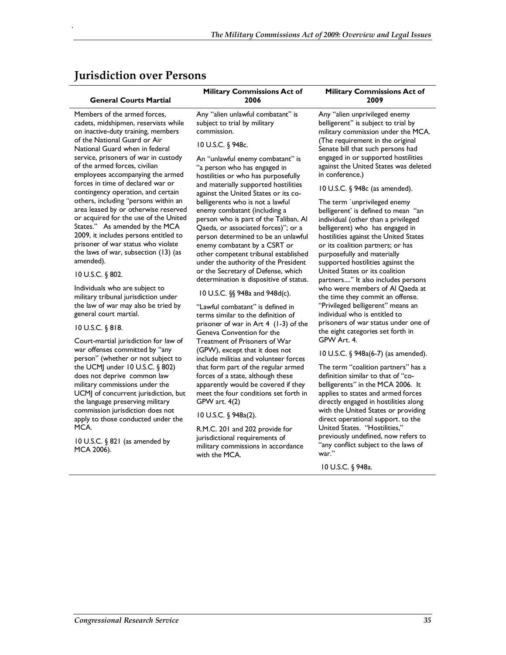### **Jurisdiction over Persons**

### **General Courts Martial**

.

Members of the armed forces, cadets, midshipmen, reservists while on inactive-duty training, members of the National Guard or Air National Guard when in federal service, prisoners of war in custody of the armed forces, civilian employees accompanying the armed forces in time of declared war or contingency operation, and certain others, including "persons within an area leased by or otherwise reserved or acquired for the use of the United States." As amended by the MCA 2009, it includes persons entitled to prisoner of war status who violate the laws of war, subsection (13) (as amended).

#### 10 U.S.C. § 802.

Individuals who are subject to military tribunal jurisdiction under the law of war may also be tried by general court martial.

#### 10 U.S.C. § 818.

Court-martial jurisdiction for law of war offenses committed by "any person" (whether or not subject to the UCMJ under 10 U.S.C. § 802) does not deprive common law military commissions under the UCMJ of concurrent jurisdiction, but the language preserving military commission jurisdiction does not apply to those conducted under the MCA.

10 U.S.C. § 821 (as amended by MCA 2006).

**Military Commissions Act of 2006** 

Any "alien unlawful combatant" is subject to trial by military commission.

#### 10 U.S.C. § 948c.

An "unlawful enemy combatant" is "a person who has engaged in hostilities or who has purposefully and materially supported hostilities against the United States or its cobelligerents who is not a lawful enemy combatant (including a person who is part of the Taliban, Al Qaeda, or associated forces)"; or a person determined to be an unlawful enemy combatant by a CSRT or other competent tribunal established under the authority of the President or the Secretary of Defense, which determination is dispositive of status.

### 10 U.S.C. §§ 948a and 948d(c).

"Lawful combatant" is defined in terms similar to the definition of prisoner of war in Art 4 (1-3) of the Geneva Convention for the Treatment of Prisoners of War (GPW), except that it does not include militias and volunteer forces that form part of the regular armed forces of a state, although these apparently would be covered if they meet the four conditions set forth in GPW art. 4(2)

10 U.S.C. § 948a(2).

R.M.C. 201 and 202 provide for jurisdictional requirements of military commissions in accordance with the MCA.

Any "alien unprivileged enemy belligerent" is subject to trial by military commission under the MCA. (The requirement in the original Senate bill that such persons had engaged in or supported hostilities against the United States was deleted in conference.)

**Military Commissions Act of 2009** 

### 10 U.S.C. § 948c (as amended).

The term `unprivileged enemy belligerent' is defined to mean "an individual (other than a privileged belligerent) who has engaged in hostilities against the United States or its coalition partners; or has purposefully and materially supported hostilities against the United States or its coalition partners...." It also includes persons who were members of Al Qaeda at the time they commit an offense. "Privileged belligerent" means an individual who is entitled to prisoners of war status under one of the eight categories set forth in GPW Art. 4.

10 U.S.C. § 948a(6-7) (as amended).

The term "coalition partners" has a definition similar to that of "cobelligerents" in the MCA 2006. It applies to states and armed forces directly engaged in hostilities along with the United States or providing direct operational support. to the United States. "Hostilities," previously undefined, now refers to "any conflict subject to the laws of war.'

10 U.S.C. § 948a.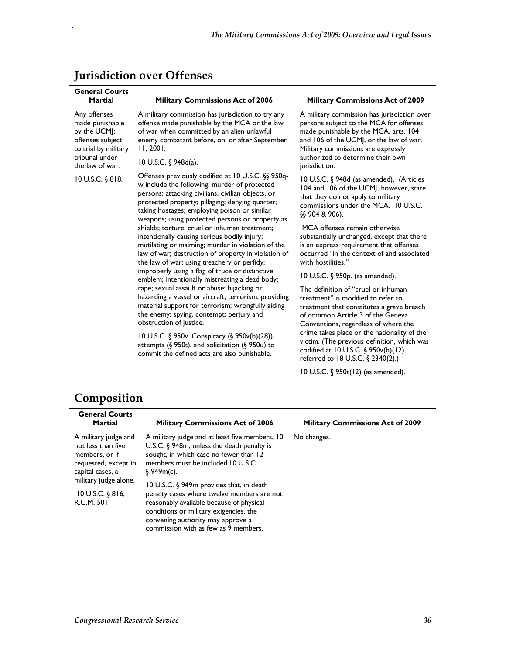| <b>General Courts</b><br><b>Martial</b>                                                                                                                                                                                                                                                                                                                                                                                                                                                                                                                                                                                                                                                                                                                                                                                                                                                                                                                                                                                                                                                    | <b>Military Commissions Act of 2006</b>                                                                                                                                                                                                                                                                                                      | <b>Military Commissions Act of 2009</b>                                                                                                                                                                                                                                                                                                                                             |
|--------------------------------------------------------------------------------------------------------------------------------------------------------------------------------------------------------------------------------------------------------------------------------------------------------------------------------------------------------------------------------------------------------------------------------------------------------------------------------------------------------------------------------------------------------------------------------------------------------------------------------------------------------------------------------------------------------------------------------------------------------------------------------------------------------------------------------------------------------------------------------------------------------------------------------------------------------------------------------------------------------------------------------------------------------------------------------------------|----------------------------------------------------------------------------------------------------------------------------------------------------------------------------------------------------------------------------------------------------------------------------------------------------------------------------------------------|-------------------------------------------------------------------------------------------------------------------------------------------------------------------------------------------------------------------------------------------------------------------------------------------------------------------------------------------------------------------------------------|
| Any offenses<br>made punishable<br>by the UCMJ;<br>offenses subject<br>to trial by military<br>tribunal under                                                                                                                                                                                                                                                                                                                                                                                                                                                                                                                                                                                                                                                                                                                                                                                                                                                                                                                                                                              | A military commission has jurisdiction to try any<br>offense made punishable by the MCA or the law<br>of war when committed by an alien unlawful<br>enemy combatant before, on, or after September<br>11, 2001.                                                                                                                              | A military commission has jurisdiction over<br>persons subject to the MCA for offenses<br>made punishable by the MCA, arts. 104<br>and 106 of the UCMJ, or the law of war.<br>Military commissions are expressly<br>authorized to determine their own                                                                                                                               |
| the law of war.                                                                                                                                                                                                                                                                                                                                                                                                                                                                                                                                                                                                                                                                                                                                                                                                                                                                                                                                                                                                                                                                            | 10 U.S.C. § 948d(a).                                                                                                                                                                                                                                                                                                                         | jurisdiction.                                                                                                                                                                                                                                                                                                                                                                       |
| Offenses previously codified at 10 U.S.C. §§ 950q-<br>10 U.S.C. § 818.<br>w include the following: murder of protected<br>persons; attacking civilians, civilian objects, or<br>protected property; pillaging; denying quarter;<br>taking hostages; employing poison or similar<br>weapons; using protected persons or property as<br>shields; torture, cruel or inhuman treatment;<br>intentionally causing serious bodily injury;<br>mutilating or maiming; murder in violation of the<br>law of war; destruction of property in violation of<br>the law of war; using treachery or perfidy;<br>improperly using a flag of truce or distinctive<br>emblem; intentionally mistreating a dead body;<br>rape; sexual assault or abuse; hijacking or<br>hazarding a vessel or aircraft; terrorism; providing<br>material support for terrorism; wrongfully aiding<br>the enemy; spying, contempt; perjury and<br>obstruction of justice.<br>10 U.S.C. § 950v. Conspiracy (§ 950v(b)(28)),<br>attempts (§ 950t), and solicitation (§ 950u) to<br>commit the defined acts are also punishable. |                                                                                                                                                                                                                                                                                                                                              | 10 U.S.C. § 948d (as amended). (Articles<br>104 and 106 of the UCMJ, however, state<br>that they do not apply to military<br>commissions under the MCA. 10 U.S.C.<br>$\S$ 904 & 906).<br>MCA offenses remain otherwise<br>substantially unchanged, except that there<br>is an express requirement that offenses<br>occurred "in the context of and associated<br>with hostilities." |
|                                                                                                                                                                                                                                                                                                                                                                                                                                                                                                                                                                                                                                                                                                                                                                                                                                                                                                                                                                                                                                                                                            |                                                                                                                                                                                                                                                                                                                                              | 10 U.S.C. § 950p. (as amended).                                                                                                                                                                                                                                                                                                                                                     |
|                                                                                                                                                                                                                                                                                                                                                                                                                                                                                                                                                                                                                                                                                                                                                                                                                                                                                                                                                                                                                                                                                            | The definition of "cruel or inhuman<br>treatment" is modified to refer to<br>treatment that constitutes a grave breach<br>of common Article 3 of the Geneva<br>Conventions, regardless of where the<br>crime takes place or the nationality of the<br>victim. (The previous definition, which was<br>codified at 10 U.S.C. § $950v(b)(12)$ , |                                                                                                                                                                                                                                                                                                                                                                                     |
|                                                                                                                                                                                                                                                                                                                                                                                                                                                                                                                                                                                                                                                                                                                                                                                                                                                                                                                                                                                                                                                                                            |                                                                                                                                                                                                                                                                                                                                              | referred to 18 U.S.C. § 2340(2).)<br>10 U.S.C. § 950t(12) (as amended).                                                                                                                                                                                                                                                                                                             |

## **Jurisdiction over Offenses**

.

# **Composition**

| <b>General Courts</b><br><b>Martial</b>                                                                                                                                   | <b>Military Commissions Act of 2006</b>                                                                                                                                                                                                                                                                                                                                                                                                                             | <b>Military Commissions Act of 2009</b> |
|---------------------------------------------------------------------------------------------------------------------------------------------------------------------------|---------------------------------------------------------------------------------------------------------------------------------------------------------------------------------------------------------------------------------------------------------------------------------------------------------------------------------------------------------------------------------------------------------------------------------------------------------------------|-----------------------------------------|
| A military judge and<br>not less than five<br>members, or if<br>requested, except in<br>capital cases, a<br>military judge alone.<br>$10$ U.S.C. $§ 816$ ,<br>R.C.M. 501. | A military judge and at least five members, 10<br>U.S.C. $\sqrt[6]{ }$ 948m; unless the death penalty is<br>sought, in which case no fewer than 12<br>members must be included 10 U.S.C.<br>\$949m(c).<br>10 U.S.C. § 949m provides that, in death<br>penalty cases where twelve members are not<br>reasonably available because of physical<br>conditions or military exigencies, the<br>convening authority may approve a<br>commission with as few as 9 members. | No changes.                             |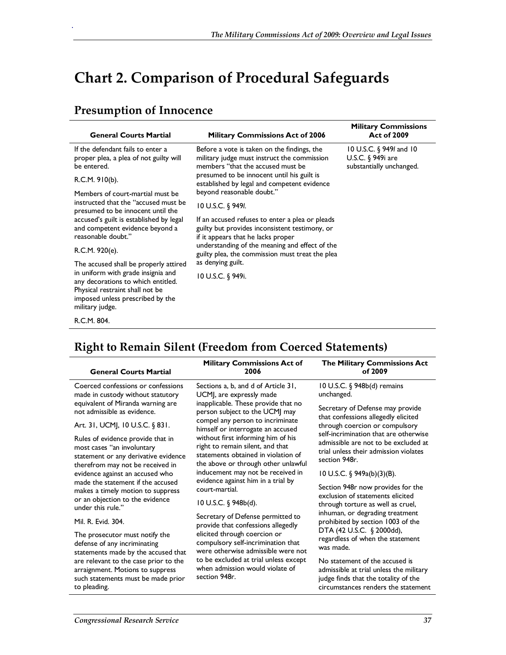# **Chart 2. Comparison of Procedural Safeguards**

### **Presumption of Innocence**

.

| <b>General Courts Martial</b>                                                                                                                                      | <b>Military Commissions Act of 2006</b>                                                                                                 | <b>Military Commissions</b><br><b>Act of 2009</b>                           |
|--------------------------------------------------------------------------------------------------------------------------------------------------------------------|-----------------------------------------------------------------------------------------------------------------------------------------|-----------------------------------------------------------------------------|
| If the defendant fails to enter a<br>proper plea, a plea of not guilty will<br>be entered.                                                                         | Before a vote is taken on the findings, the<br>military judge must instruct the commission<br>members "that the accused must be         | 10 U.S.C. $\S$ 949/ and 10<br>U.S.C. § 949i are<br>substantially unchanged. |
| R.C.M. 910(b).                                                                                                                                                     | presumed to be innocent until his guilt is<br>established by legal and competent evidence                                               |                                                                             |
| Members of court-martial must be                                                                                                                                   | beyond reasonable doubt."                                                                                                               |                                                                             |
| instructed that the "accused must be<br>presumed to be innocent until the                                                                                          | 10 U.S.C. § 949I.                                                                                                                       |                                                                             |
| accused's guilt is established by legal<br>and competent evidence beyond a<br>reasonable doubt."                                                                   | If an accused refuses to enter a plea or pleads<br>guilty but provides inconsistent testimony, or<br>if it appears that he lacks proper |                                                                             |
| R.C.M. 920(e).                                                                                                                                                     | understanding of the meaning and effect of the<br>guilty plea, the commission must treat the plea                                       |                                                                             |
| The accused shall be properly attired                                                                                                                              | as denying guilt.                                                                                                                       |                                                                             |
| in uniform with grade insignia and<br>any decorations to which entitled.<br>Physical restraint shall not be<br>imposed unless prescribed by the<br>military judge. | 10 U.S.C. § 949i.                                                                                                                       |                                                                             |
| R.C.M. 804.                                                                                                                                                        |                                                                                                                                         |                                                                             |

# **Right to Remain Silent (Freedom from Coerced Statements)**

| <b>General Courts Martial</b>                                                                                                               | <b>Military Commissions Act of</b><br>2006                                                                                                           | The Military Commissions Act<br>of 2009                                                                                                                  |
|---------------------------------------------------------------------------------------------------------------------------------------------|------------------------------------------------------------------------------------------------------------------------------------------------------|----------------------------------------------------------------------------------------------------------------------------------------------------------|
| Coerced confessions or confessions<br>made in custody without statutory                                                                     | Sections a, b, and d of Article 31,<br>UCMJ, are expressly made                                                                                      | 10 U.S.C. § 948b(d) remains<br>unchanged.                                                                                                                |
| equivalent of Miranda warning are<br>not admissible as evidence.                                                                            | inapplicable. These provide that no<br>person subject to the UCMJ may                                                                                | Secretary of Defense may provide<br>that confessions allegedly elicited                                                                                  |
| Art. 31, UCMJ, 10 U.S.C. § 831.                                                                                                             | compel any person to incriminate<br>himself or interrogate an accused                                                                                | through coercion or compulsory<br>self-incrimination that are otherwise                                                                                  |
| Rules of evidence provide that in<br>most cases "an involuntary<br>statement or any derivative evidence<br>therefrom may not be received in | without first informing him of his<br>right to remain silent, and that<br>statements obtained in violation of<br>the above or through other unlawful | admissible are not to be excluded at<br>trial unless their admission violates<br>section 948r.                                                           |
| evidence against an accused who<br>made the statement if the accused                                                                        | inducement may not be received in<br>evidence against him in a trial by                                                                              | 10 U.S.C. § 949a(b)(3)(B).                                                                                                                               |
| makes a timely motion to suppress                                                                                                           | court-martial.                                                                                                                                       | Section 948r now provides for the<br>exclusion of statements elicited                                                                                    |
| or an objection to the evidence<br>under this rule."                                                                                        | 10 U.S.C. § 948b(d).                                                                                                                                 | through torture as well as cruel,                                                                                                                        |
| Mil. R. Evid. 304.                                                                                                                          | Secretary of Defense permitted to<br>provide that confessions allegedly                                                                              | inhuman, or degrading treatment<br>prohibited by section 1003 of the                                                                                     |
| The prosecutor must notify the<br>defense of any incriminating<br>statements made by the accused that                                       | elicited through coercion or<br>compulsory self-incrimination that<br>were otherwise admissible were not                                             | DTA (42 U.S.C. § 2000dd),<br>regardless of when the statement<br>was made.                                                                               |
| are relevant to the case prior to the<br>arraignment. Motions to suppress<br>such statements must be made prior<br>to pleading.             | to be excluded at trial unless except<br>when admission would violate of<br>section 948r.                                                            | No statement of the accused is<br>admissible at trial unless the military<br>judge finds that the totality of the<br>circumstances renders the statement |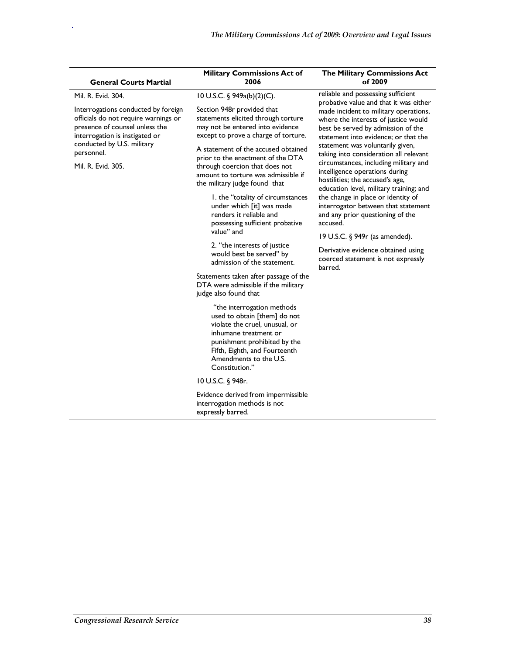| <b>General Courts Martial</b>                                                                                                                   | <b>Military Commissions Act of</b><br>2006                                                                                                                                                                                         | The Military Commissions Act<br>of 2009                                                                                                                                                                                                     |
|-------------------------------------------------------------------------------------------------------------------------------------------------|------------------------------------------------------------------------------------------------------------------------------------------------------------------------------------------------------------------------------------|---------------------------------------------------------------------------------------------------------------------------------------------------------------------------------------------------------------------------------------------|
| Mil. R. Evid. 304.                                                                                                                              | 10 U.S.C. § 949a(b)(2)(C).                                                                                                                                                                                                         | reliable and possessing sufficient<br>probative value and that it was either<br>made incident to military operations,<br>where the interests of justice would<br>best be served by admission of the<br>statement into evidence; or that the |
| Interrogations conducted by foreign<br>officials do not require warnings or<br>presence of counsel unless the<br>interrogation is instigated or | Section 948r provided that<br>statements elicited through torture<br>may not be entered into evidence<br>except to prove a charge of torture.                                                                                      |                                                                                                                                                                                                                                             |
| conducted by U.S. military<br>personnel.                                                                                                        | A statement of the accused obtained<br>prior to the enactment of the DTA                                                                                                                                                           | statement was voluntarily given,<br>taking into consideration all relevant                                                                                                                                                                  |
| Mil. R. Evid. 305.                                                                                                                              | through coercion that does not<br>amount to torture was admissible if<br>the military judge found that                                                                                                                             | circumstances, including military and<br>intelligence operations during<br>hostilities; the accused's age,<br>education level, military training; and                                                                                       |
|                                                                                                                                                 | I. the "totality of circumstances<br>under which [it] was made<br>renders it reliable and<br>possessing sufficient probative                                                                                                       | the change in place or identity of<br>interrogator between that statement<br>and any prior questioning of the<br>accused.                                                                                                                   |
|                                                                                                                                                 | value" and                                                                                                                                                                                                                         | 19 U.S.C. § 949r (as amended).                                                                                                                                                                                                              |
|                                                                                                                                                 | 2. "the interests of justice<br>would best be served" by<br>admission of the statement.                                                                                                                                            | Derivative evidence obtained using<br>coerced statement is not expressly<br>barred.                                                                                                                                                         |
|                                                                                                                                                 | Statements taken after passage of the<br>DTA were admissible if the military<br>judge also found that                                                                                                                              |                                                                                                                                                                                                                                             |
|                                                                                                                                                 | "the interrogation methods<br>used to obtain [them] do not<br>violate the cruel, unusual, or<br>inhumane treatment or<br>punishment prohibited by the<br>Fifth, Eighth, and Fourteenth<br>Amendments to the U.S.<br>Constitution." |                                                                                                                                                                                                                                             |
|                                                                                                                                                 | 10 U.S.C. § 948r.                                                                                                                                                                                                                  |                                                                                                                                                                                                                                             |
|                                                                                                                                                 | Evidence derived from impermissible<br>interrogation methods is not<br>expressly barred.                                                                                                                                           |                                                                                                                                                                                                                                             |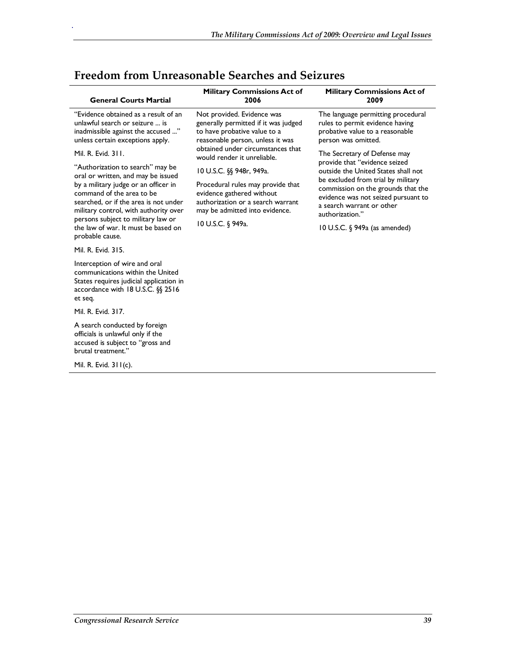| <b>General Courts Martial</b>                                                                                                                                                                                                                                                             | <b>Military Commissions Act of</b><br>2006                                                                                                                                                                                                                 | <b>Military Commissions Act of</b><br>2009                                                                                                                                                                                                                              |
|-------------------------------------------------------------------------------------------------------------------------------------------------------------------------------------------------------------------------------------------------------------------------------------------|------------------------------------------------------------------------------------------------------------------------------------------------------------------------------------------------------------------------------------------------------------|-------------------------------------------------------------------------------------------------------------------------------------------------------------------------------------------------------------------------------------------------------------------------|
| "Evidence obtained as a result of an<br>unlawful search or seizure  is<br>inadmissible against the accused "<br>unless certain exceptions apply.                                                                                                                                          | Not provided. Evidence was<br>generally permitted if it was judged<br>to have probative value to a<br>reasonable person, unless it was                                                                                                                     | The language permitting procedural<br>rules to permit evidence having<br>probative value to a reasonable<br>person was omitted.                                                                                                                                         |
| Mil. R. Evid. 311.<br>"Authorization to search" may be<br>oral or written, and may be issued<br>by a military judge or an officer in<br>command of the area to be<br>searched, or if the area is not under<br>military control, with authority over<br>persons subject to military law or | obtained under circumstances that<br>would render it unreliable.<br>10 U.S.C. §§ 948r, 949a.<br>Procedural rules may provide that<br>evidence gathered without<br>authorization or a search warrant<br>may be admitted into evidence.<br>10 U.S.C. § 949a. | The Secretary of Defense may<br>provide that "evidence seized<br>outside the United States shall not<br>be excluded from trial by military<br>commission on the grounds that the<br>evidence was not seized pursuant to<br>a search warrant or other<br>authorization." |
| the law of war. It must be based on<br>probable cause.<br>Mil. R. Evid. 315.                                                                                                                                                                                                              |                                                                                                                                                                                                                                                            | 10 U.S.C. § 949a (as amended)                                                                                                                                                                                                                                           |
| Interception of wire and oral<br>communications within the United<br>States requires judicial application in<br>accordance with 18 U.S.C. §§ 2516<br>et seq.                                                                                                                              |                                                                                                                                                                                                                                                            |                                                                                                                                                                                                                                                                         |
| Mil. R. Evid. 317.                                                                                                                                                                                                                                                                        |                                                                                                                                                                                                                                                            |                                                                                                                                                                                                                                                                         |
| A search conducted by foreign<br>officials is unlawful only if the<br>accused is subject to "gross and<br>brutal treatment."                                                                                                                                                              |                                                                                                                                                                                                                                                            |                                                                                                                                                                                                                                                                         |
| Mil. R. Evid. $311(c)$ .                                                                                                                                                                                                                                                                  |                                                                                                                                                                                                                                                            |                                                                                                                                                                                                                                                                         |
|                                                                                                                                                                                                                                                                                           |                                                                                                                                                                                                                                                            |                                                                                                                                                                                                                                                                         |

## **Freedom from Unreasonable Searches and Seizures**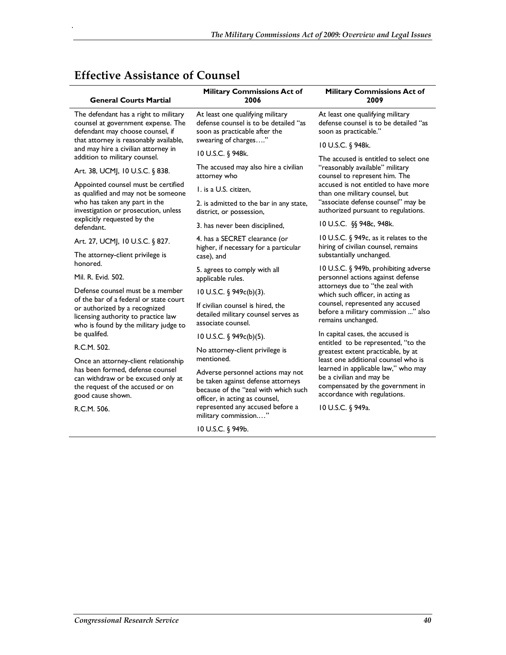| <b>General Courts Martial</b>                                                                                                                           | Military Commissions Act of<br>2006                                                                                                               | <b>Military Commissions Act of</b><br>2009                                                         |
|---------------------------------------------------------------------------------------------------------------------------------------------------------|---------------------------------------------------------------------------------------------------------------------------------------------------|----------------------------------------------------------------------------------------------------|
| The defendant has a right to military<br>counsel at government expense. The<br>defendant may choose counsel, if                                         | At least one qualifying military<br>defense counsel is to be detailed "as<br>soon as practicable after the                                        | At least one qualifying military<br>defense counsel is to be detailed "as<br>soon as practicable." |
| that attorney is reasonably available,<br>and may hire a civilian attorney in                                                                           | swearing of charges"                                                                                                                              | 10 U.S.C. § 948k.                                                                                  |
| addition to military counsel.                                                                                                                           | 10 U.S.C. § 948k.                                                                                                                                 | The accused is entitled to select one                                                              |
| Art. 38, UCMJ, 10 U.S.C. § 838.                                                                                                                         | The accused may also hire a civilian<br>attorney who                                                                                              | "reasonably available" military<br>counsel to represent him. The                                   |
| Appointed counsel must be certified<br>as qualified and may not be someone                                                                              | I. is a U.S. citizen,                                                                                                                             | accused is not entitled to have more<br>than one military counsel, but                             |
| who has taken any part in the<br>investigation or prosecution, unless                                                                                   | 2. is admitted to the bar in any state,<br>district, or possession,                                                                               | "associate defense counsel" may be<br>authorized pursuant to regulations.                          |
| explicitly requested by the<br>defendant.                                                                                                               | 3. has never been disciplined,                                                                                                                    | 10 U.S.C. §§ 948c, 948k.                                                                           |
| Art. 27, UCMJ, 10 U.S.C. § 827.                                                                                                                         | 4. has a SECRET clearance (or<br>higher, if necessary for a particular                                                                            | 10 U.S.C. § 949c, as it relates to the<br>hiring of civilian counsel, remains                      |
| The attorney-client privilege is<br>honored.                                                                                                            | case), and                                                                                                                                        | substantially unchanged.                                                                           |
| Mil. R. Evid. 502.                                                                                                                                      | 5. agrees to comply with all<br>applicable rules.                                                                                                 | 10 U.S.C. § 949b, prohibiting adverse<br>personnel actions against defense                         |
| Defense counsel must be a member                                                                                                                        | 10 U.S.C. § 949c(b)(3).                                                                                                                           | attorneys due to "the zeal with<br>which such officer, in acting as                                |
| of the bar of a federal or state court<br>or authorized by a recognized<br>licensing authority to practice law<br>who is found by the military judge to | If civilian counsel is hired, the<br>detailed military counsel serves as<br>associate counsel.                                                    | counsel, represented any accused<br>before a military commission " also<br>remains unchanged.      |
| be qualifed.                                                                                                                                            | 10 U.S.C. § 949c(b)(5).                                                                                                                           | In capital cases, the accused is<br>entitled to be represented, "to the                            |
| R.C.M. 502.                                                                                                                                             | No attorney-client privilege is                                                                                                                   | greatest extent practicable, by at                                                                 |
| Once an attorney-client relationship<br>has been formed, defense counsel                                                                                | mentioned.                                                                                                                                        | least one additional counsel who is<br>learned in applicable law," who may                         |
| can withdraw or be excused only at<br>the request of the accused or on<br>good cause shown.                                                             | Adverse personnel actions may not<br>be taken against defense attorneys<br>because of the "zeal with which such<br>officer, in acting as counsel, | be a civilian and may be<br>compensated by the government in<br>accordance with regulations.       |
| R.C.M. 506.                                                                                                                                             | represented any accused before a<br>military commission"                                                                                          | 10 U.S.C. § 949a.                                                                                  |
|                                                                                                                                                         | 10 U.S.C. § 949b.                                                                                                                                 |                                                                                                    |

## **Effective Assistance of Counsel**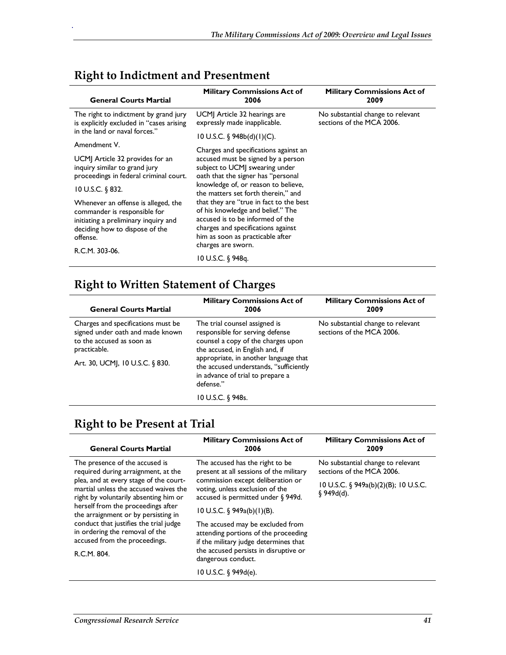| <b>General Courts Martial</b>                                                                                                                                               | <b>Military Commissions Act of</b><br>2006                                                                                                                                                                       | <b>Military Commissions Act of</b><br>2009                     |
|-----------------------------------------------------------------------------------------------------------------------------------------------------------------------------|------------------------------------------------------------------------------------------------------------------------------------------------------------------------------------------------------------------|----------------------------------------------------------------|
| The right to indictment by grand jury<br>is explicitly excluded in "cases arising                                                                                           | UCM Article 32 hearings are<br>expressly made inapplicable.                                                                                                                                                      | No substantial change to relevant<br>sections of the MCA 2006. |
| in the land or naval forces."                                                                                                                                               | 10 U.S.C. § $948b(d)(1)(C)$ .                                                                                                                                                                                    |                                                                |
| Amendment V.                                                                                                                                                                | Charges and specifications against an                                                                                                                                                                            |                                                                |
| UCM Article 32 provides for an<br>inquiry similar to grand jury<br>proceedings in federal criminal court.                                                                   | accused must be signed by a person<br>subject to UCMJ swearing under<br>oath that the signer has "personal                                                                                                       |                                                                |
| 10 U.S.C. § 832.                                                                                                                                                            | knowledge of, or reason to believe,<br>the matters set forth therein." and                                                                                                                                       |                                                                |
| Whenever an offense is alleged, the<br>commander is responsible for<br>initiating a preliminary inquiry and<br>deciding how to dispose of the<br>offense.<br>R.C.M. 303-06. | that they are "true in fact to the best<br>of his knowledge and belief." The<br>accused is to be informed of the<br>charges and specifications against<br>him as soon as practicable after<br>charges are sworn. |                                                                |
|                                                                                                                                                                             | 10 U.S.C. § 948q.                                                                                                                                                                                                |                                                                |

### **Right to Indictment and Presentment**

.

## **Right to Written Statement of Charges**

| <b>General Courts Martial</b>                                                                                                                          | <b>Military Commissions Act of</b><br>2006                                                                                                                                                                                                                                    | <b>Military Commissions Act of</b><br>2009                     |
|--------------------------------------------------------------------------------------------------------------------------------------------------------|-------------------------------------------------------------------------------------------------------------------------------------------------------------------------------------------------------------------------------------------------------------------------------|----------------------------------------------------------------|
| Charges and specifications must be<br>signed under oath and made known<br>to the accused as soon as<br>practicable.<br>Art. 30, UCMJ, 10 U.S.C. § 830. | The trial counsel assigned is<br>responsible for serving defense<br>counsel a copy of the charges upon<br>the accused, in English and, if<br>appropriate, in another language that<br>the accused understands, "sufficiently<br>in advance of trial to prepare a<br>defense." | No substantial change to relevant<br>sections of the MCA 2006. |
|                                                                                                                                                        | 10 U.S.C. § 948s.                                                                                                                                                                                                                                                             |                                                                |

## **Right to be Present at Trial**

| <b>General Courts Martial</b>                                                                                            | <b>Military Commissions Act of</b><br>2006                                                                        | <b>Military Commissions Act of</b><br>2009                     |
|--------------------------------------------------------------------------------------------------------------------------|-------------------------------------------------------------------------------------------------------------------|----------------------------------------------------------------|
| The presence of the accused is<br>required during arraignment, at the                                                    | The accused has the right to be<br>present at all sessions of the military                                        | No substantial change to relevant<br>sections of the MCA 2006. |
| plea, and at every stage of the court-<br>martial unless the accused waives the<br>right by voluntarily absenting him or | commission except deliberation or<br>voting, unless exclusion of the<br>accused is permitted under § 949d.        | 10 U.S.C. § 949a(b)(2)(B); 10 U.S.C.<br>\$949d(d).             |
| herself from the proceedings after<br>the arraignment or by persisting in                                                | 10 U.S.C. § $949a(b)(1)(B)$ .                                                                                     |                                                                |
| conduct that justifies the trial judge<br>in ordering the removal of the<br>accused from the proceedings.                | The accused may be excluded from<br>attending portions of the proceeding<br>if the military judge determines that |                                                                |
| R.C.M. 804.                                                                                                              | the accused persists in disruptive or<br>dangerous conduct.                                                       |                                                                |
|                                                                                                                          | 10 U.S.C. $\S$ 949d(e).                                                                                           |                                                                |
|                                                                                                                          |                                                                                                                   |                                                                |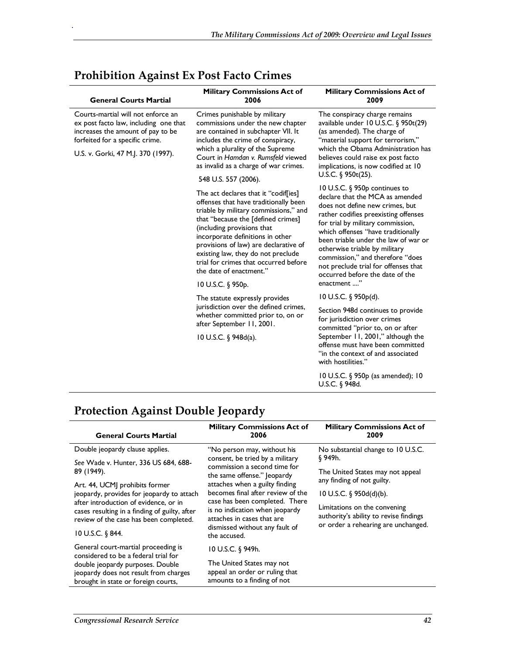| <b>General Courts Martial</b>                                                                                                                                                             | <b>Military Commissions Act of</b><br>2006                                                                                                                                                                                                                                                                                                                                                             | <b>Military Commissions Act of</b><br>2009                                                                                                                                                                                                                                                                                                                                                                                    |
|-------------------------------------------------------------------------------------------------------------------------------------------------------------------------------------------|--------------------------------------------------------------------------------------------------------------------------------------------------------------------------------------------------------------------------------------------------------------------------------------------------------------------------------------------------------------------------------------------------------|-------------------------------------------------------------------------------------------------------------------------------------------------------------------------------------------------------------------------------------------------------------------------------------------------------------------------------------------------------------------------------------------------------------------------------|
| Courts-martial will not enforce an<br>ex post facto law, including one that<br>increases the amount of pay to be<br>forfeited for a specific crime.<br>U.S. v. Gorki, 47 M.J. 370 (1997). | Crimes punishable by military<br>commissions under the new chapter<br>are contained in subchapter VII. It<br>includes the crime of conspiracy,<br>which a plurality of the Supreme<br>Court in Hamdan v. Rumsfeld viewed<br>as invalid as a charge of war crimes.<br>548 U.S. 557 (2006).                                                                                                              | The conspiracy charge remains<br>available under 10 U.S.C. § 950t(29)<br>(as amended). The charge of<br>"material support for terrorism,"<br>which the Obama Administration has<br>believes could raise ex post facto<br>implications, is now codified at 10<br>U.S.C. § $950t(25)$ .                                                                                                                                         |
|                                                                                                                                                                                           | The act declares that it "codiffies]<br>offenses that have traditionally been<br>triable by military commissions," and<br>that "because the [defined crimes]<br>(including provisions that<br>incorporate definitions in other<br>provisions of law) are declarative of<br>existing law, they do not preclude<br>trial for crimes that occurred before<br>the date of enactment."<br>10 U.S.C. § 950p. | 10 U.S.C. § 950p continues to<br>declare that the MCA as amended<br>does not define new crimes, but<br>rather codifies preexisting offenses<br>for trial by military commission,<br>which offenses "have traditionally<br>been triable under the law of war or<br>otherwise triable by military<br>commission," and therefore "does<br>not preclude trial for offenses that<br>occurred before the date of the<br>enactment " |
|                                                                                                                                                                                           | The statute expressly provides<br>jurisdiction over the defined crimes,<br>whether committed prior to, on or<br>after September 11, 2001.                                                                                                                                                                                                                                                              | 10 U.S.C. § 950p(d).                                                                                                                                                                                                                                                                                                                                                                                                          |
|                                                                                                                                                                                           |                                                                                                                                                                                                                                                                                                                                                                                                        | Section 948d continues to provide<br>for jurisdiction over crimes<br>committed "prior to, on or after                                                                                                                                                                                                                                                                                                                         |
|                                                                                                                                                                                           | 10 U.S.C. § 948d(a).                                                                                                                                                                                                                                                                                                                                                                                   | September 11, 2001," although the<br>offense must have been committed<br>"in the context of and associated<br>with hostilities."                                                                                                                                                                                                                                                                                              |
|                                                                                                                                                                                           |                                                                                                                                                                                                                                                                                                                                                                                                        | 10 U.S.C. § 950p (as amended); 10<br>U.S.C. § 948d.                                                                                                                                                                                                                                                                                                                                                                           |

## **Prohibition Against Ex Post Facto Crimes**

.

## **Protection Against Double Jeopardy**

| <b>General Courts Martial</b>                                                                                                    | <b>Military Commissions Act of</b><br>2006                                                                                                       | <b>Military Commissions Act of</b><br>2009                             |
|----------------------------------------------------------------------------------------------------------------------------------|--------------------------------------------------------------------------------------------------------------------------------------------------|------------------------------------------------------------------------|
| Double jeopardy clause applies.                                                                                                  | "No person may, without his                                                                                                                      | No substantial change to 10 U.S.C.                                     |
| See Wade v. Hunter, 336 US 684, 688-                                                                                             | consent, be tried by a military<br>commission a second time for                                                                                  | §949h.                                                                 |
| 89 (1949).                                                                                                                       | the same offense."   eopardy                                                                                                                     | The United States may not appeal                                       |
| Art. 44, UCMJ prohibits former                                                                                                   | attaches when a guilty finding                                                                                                                   | any finding of not guilty.                                             |
| jeopardy, provides for jeopardy to attach                                                                                        | becomes final after review of the                                                                                                                | 10 U.S.C. § 950d(d)(b).                                                |
| after introduction of evidence, or in<br>cases resulting in a finding of guilty, after<br>review of the case has been completed. | case has been completed. There<br>is no indication when jeopardy<br>attaches in cases that are<br>dismissed without any fault of<br>the accused. | Limitations on the convening<br>authority's ability to revise findings |
| 10 U.S.C. § 844.                                                                                                                 |                                                                                                                                                  | or order a rehearing are unchanged.                                    |
| General court-martial proceeding is<br>considered to be a federal trial for                                                      | 10 U.S.C. § 949h.                                                                                                                                |                                                                        |
| double jeopardy purposes. Double<br>jeopardy does not result from charges<br>brought in state or foreign courts,                 | The United States may not<br>appeal an order or ruling that<br>amounts to a finding of not                                                       |                                                                        |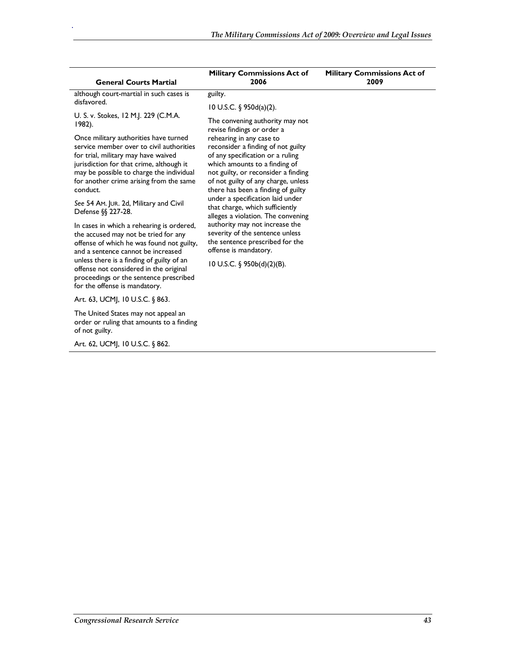| <b>General Courts Martial</b>                                                       | <b>Military Commissions Act of</b><br>2006                                | <b>Military Commissions Act of</b><br>2009 |
|-------------------------------------------------------------------------------------|---------------------------------------------------------------------------|--------------------------------------------|
| although court-martial in such cases is                                             | guilty.                                                                   |                                            |
| disfavored.                                                                         | 10 U.S.C. § 950d(a)(2).                                                   |                                            |
| U. S. v. Stokes, 12 M.J. 229 (C.M.A.<br>$1982$ ).                                   | The convening authority may not                                           |                                            |
| Once military authorities have turned                                               | revise findings or order a<br>rehearing in any case to                    |                                            |
| service member over to civil authorities                                            | reconsider a finding of not guilty                                        |                                            |
| for trial, military may have waived<br>jurisdiction for that crime, although it     | of any specification or a ruling<br>which amounts to a finding of         |                                            |
| may be possible to charge the individual                                            | not guilty, or reconsider a finding                                       |                                            |
| for another crime arising from the same<br>conduct.                                 | of not guilty of any charge, unless<br>there has been a finding of guilty |                                            |
| See 54 Am. JUR. 2d, Military and Civil                                              | under a specification laid under                                          |                                            |
| Defense $\S$ 227-28.                                                                | that charge, which sufficiently<br>alleges a violation. The convening     |                                            |
| In cases in which a rehearing is ordered,                                           | authority may not increase the                                            |                                            |
| the accused may not be tried for any<br>offense of which he was found not guilty,   | severity of the sentence unless<br>the sentence prescribed for the        |                                            |
| and a sentence cannot be increased                                                  | offense is mandatory.                                                     |                                            |
| unless there is a finding of guilty of an<br>offense not considered in the original | 10 U.S.C. $\S$ 950b(d)(2)(B).                                             |                                            |
| proceedings or the sentence prescribed                                              |                                                                           |                                            |
| for the offense is mandatory.                                                       |                                                                           |                                            |
| Art. 63, UCMJ, 10 U.S.C. § 863.                                                     |                                                                           |                                            |
| The United States may not appeal an<br>order or ruling that amounts to a finding    |                                                                           |                                            |
| of not guilty.                                                                      |                                                                           |                                            |
| Art. 62, UCMJ, 10 U.S.C. § 862.                                                     |                                                                           |                                            |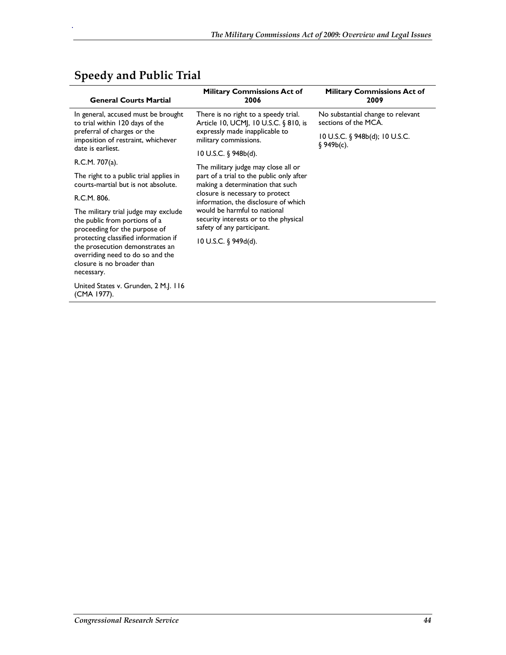| <b>General Courts Martial</b>                                                                                                                                                                                         | <b>Military Commissions Act of</b><br>2006                                                                                                                                                                                                                                                                                                  | <b>Military Commissions Act of</b><br>2009                |
|-----------------------------------------------------------------------------------------------------------------------------------------------------------------------------------------------------------------------|---------------------------------------------------------------------------------------------------------------------------------------------------------------------------------------------------------------------------------------------------------------------------------------------------------------------------------------------|-----------------------------------------------------------|
| In general, accused must be brought<br>to trial within 120 days of the                                                                                                                                                | There is no right to a speedy trial.<br>Article 10, UCM, 10 U.S.C. § 810, is                                                                                                                                                                                                                                                                | No substantial change to relevant<br>sections of the MCA. |
| preferral of charges or the<br>imposition of restraint, whichever<br>date is earliest.                                                                                                                                | expressly made inapplicable to<br>military commissions.                                                                                                                                                                                                                                                                                     | 10 U.S.C. § 948b(d); 10 U.S.C.<br>\$949b(c).              |
| R.C.M. 707(a).                                                                                                                                                                                                        | 10 U.S.C. § 948b(d).                                                                                                                                                                                                                                                                                                                        |                                                           |
| The right to a public trial applies in<br>courts-martial but is not absolute.                                                                                                                                         | The military judge may close all or<br>part of a trial to the public only after<br>making a determination that such<br>closure is necessary to protect<br>information, the disclosure of which<br>would be harmful to national<br>security interests or to the physical<br>safety of any participant.<br>$10$ U.S.C. $\frac{6}{9}$ 949d(d). |                                                           |
| R.C.M. 806.                                                                                                                                                                                                           |                                                                                                                                                                                                                                                                                                                                             |                                                           |
| The military trial judge may exclude<br>the public from portions of a<br>proceeding for the purpose of<br>protecting classified information if<br>the prosecution demonstrates an<br>overriding need to do so and the |                                                                                                                                                                                                                                                                                                                                             |                                                           |
| closure is no broader than<br>necessary.                                                                                                                                                                              |                                                                                                                                                                                                                                                                                                                                             |                                                           |
| United States v. Grunden, 2 M.J. 116<br>(CMA 1977).                                                                                                                                                                   |                                                                                                                                                                                                                                                                                                                                             |                                                           |

## **Speedy and Public Trial**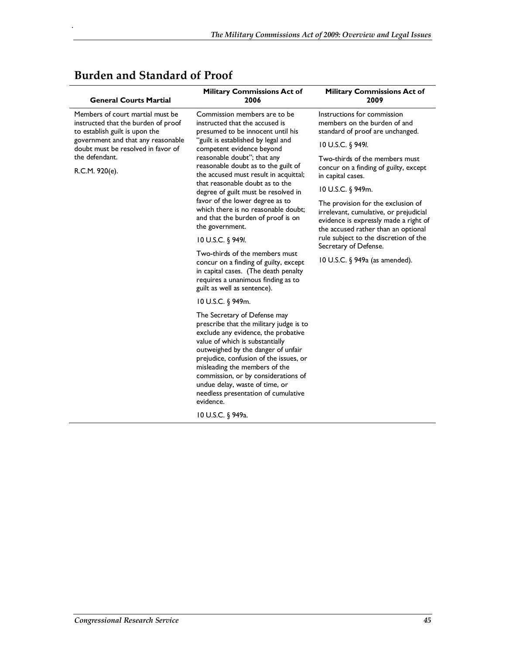| <b>General Courts Martial</b>                                                                             | <b>Military Commissions Act of</b><br>2006                                                                                                                                                                                                                                                                                                                                                      | <b>Military Commissions Act of</b><br>2009                                                                                                                   |
|-----------------------------------------------------------------------------------------------------------|-------------------------------------------------------------------------------------------------------------------------------------------------------------------------------------------------------------------------------------------------------------------------------------------------------------------------------------------------------------------------------------------------|--------------------------------------------------------------------------------------------------------------------------------------------------------------|
| Members of court martial must be<br>instructed that the burden of proof<br>to establish guilt is upon the | Commission members are to be<br>instructed that the accused is<br>presumed to be innocent until his                                                                                                                                                                                                                                                                                             | Instructions for commission<br>members on the burden of and<br>standard of proof are unchanged.                                                              |
| government and that any reasonable<br>doubt must be resolved in favor of                                  | "guilt is established by legal and<br>competent evidence beyond                                                                                                                                                                                                                                                                                                                                 | 10 U.S.C. § 949I.                                                                                                                                            |
| the defendant.<br>R.C.M. 920(e).                                                                          | reasonable doubt"; that any<br>reasonable doubt as to the guilt of<br>the accused must result in acquittal;                                                                                                                                                                                                                                                                                     | Two-thirds of the members must<br>concur on a finding of guilty, except<br>in capital cases.                                                                 |
|                                                                                                           | that reasonable doubt as to the<br>degree of guilt must be resolved in                                                                                                                                                                                                                                                                                                                          | 10 U.S.C. § 949m.                                                                                                                                            |
|                                                                                                           | favor of the lower degree as to<br>which there is no reasonable doubt;<br>and that the burden of proof is on<br>the government.                                                                                                                                                                                                                                                                 | The provision for the exclusion of<br>irrelevant, cumulative, or prejudicial<br>evidence is expressly made a right of<br>the accused rather than an optional |
|                                                                                                           | 10 U.S.C. $\S$ 949I.                                                                                                                                                                                                                                                                                                                                                                            | rule subject to the discretion of the<br>Secretary of Defense.                                                                                               |
|                                                                                                           | Two-thirds of the members must<br>concur on a finding of guilty, except<br>in capital cases. (The death penalty<br>requires a unanimous finding as to<br>guilt as well as sentence).                                                                                                                                                                                                            | 10 U.S.C. § 949a (as amended).                                                                                                                               |
|                                                                                                           | 10 U.S.C. § 949m.                                                                                                                                                                                                                                                                                                                                                                               |                                                                                                                                                              |
|                                                                                                           | The Secretary of Defense may<br>prescribe that the military judge is to<br>exclude any evidence, the probative<br>value of which is substantially<br>outweighed by the danger of unfair<br>prejudice, confusion of the issues, or<br>misleading the members of the<br>commission, or by considerations of<br>undue delay, waste of time, or<br>needless presentation of cumulative<br>evidence. |                                                                                                                                                              |
|                                                                                                           | 10 U.S.C. § 949a.                                                                                                                                                                                                                                                                                                                                                                               |                                                                                                                                                              |

## **Burden and Standard of Proof**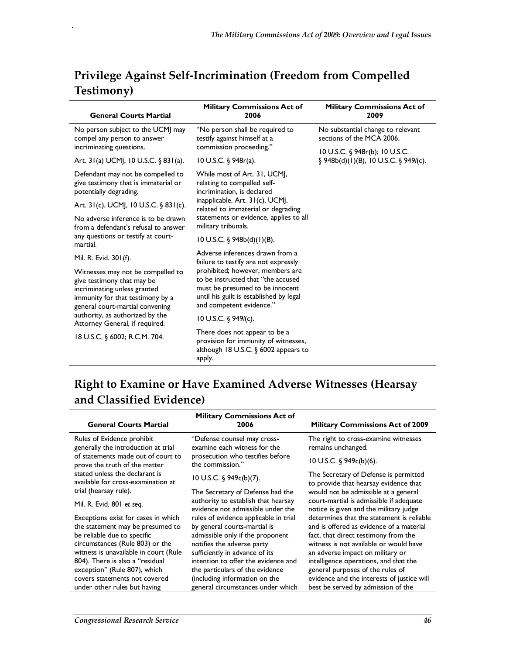| <b>General Courts Martial</b>                                                                                                                                          | <b>Military Commissions Act of</b><br>2006                                                                                                                                       | <b>Military Commissions Act of</b><br>2009                                    |
|------------------------------------------------------------------------------------------------------------------------------------------------------------------------|----------------------------------------------------------------------------------------------------------------------------------------------------------------------------------|-------------------------------------------------------------------------------|
| No person subject to the UCMJ may<br>compel any person to answer<br>incriminating questions.                                                                           | "No person shall be required to<br>testify against himself at a<br>commission proceeding."                                                                                       | No substantial change to relevant<br>sections of the MCA 2006.                |
| Art. $31(a)$ UCM, 10 U.S.C. § 831(a).                                                                                                                                  | 10 U.S.C. $\frac{6}{9}$ 948r(a).                                                                                                                                                 | 10 U.S.C. § 948r(b); 10 U.S.C.<br>$\S$ 948b(d)(1)(B), 10 U.S.C. $\S$ 949l(c). |
| Defendant may not be compelled to<br>give testimony that is immaterial or<br>potentially degrading.                                                                    | While most of Art. 31, UCM,<br>relating to compelled self-<br>incrimination, is declared                                                                                         |                                                                               |
| Art. 31(c), UCMJ, 10 U.S.C. § 831(c).                                                                                                                                  | inapplicable, Art. 31(c), UCMJ,<br>related to immaterial or degrading                                                                                                            |                                                                               |
| No adverse inference is to be drawn<br>from a defendant's refusal to answer                                                                                            | statements or evidence, applies to all<br>military tribunals.                                                                                                                    |                                                                               |
| any questions or testify at court-<br>martial.                                                                                                                         | $10 \text{ U.S.C. }$ \$948b(d)(1)(B).                                                                                                                                            |                                                                               |
| Mil. R. Evid. 301(f).                                                                                                                                                  | Adverse inferences drawn from a<br>failure to testify are not expressly                                                                                                          |                                                                               |
| Witnesses may not be compelled to<br>give testimony that may be<br>incriminating unless granted<br>immunity for that testimony by a<br>general court-martial convening | prohibited; however, members are<br>to be instructed that "the accused<br>must be presumed to be innocent<br>until his guilt is established by legal<br>and competent evidence." |                                                                               |
| authority, as authorized by the<br>Attorney General, if required.                                                                                                      | 10 U.S.C. $$949I(c)$ .                                                                                                                                                           |                                                                               |
| 18 U.S.C. § 6002; R.C.M. 704.                                                                                                                                          | There does not appear to be a<br>provision for immunity of witnesses,<br>although 18 U.S.C. $\S$ 6002 appears to<br>apply.                                                       |                                                                               |

## **Privilege Against Self-Incrimination (Freedom from Compelled Testimony)**

## **Right to Examine or Have Examined Adverse Witnesses (Hearsay and Classified Evidence)**

| <b>General Courts Martial</b>                                        | <b>Military Commissions Act of</b><br>2006                               | <b>Military Commissions Act of 2009</b>                                           |
|----------------------------------------------------------------------|--------------------------------------------------------------------------|-----------------------------------------------------------------------------------|
| Rules of Evidence prohibit<br>generally the introduction at trial    | "Defense counsel may cross-<br>examine each witness for the              | The right to cross-examine witnesses<br>remains unchanged.                        |
| of statements made out of court to<br>prove the truth of the matter  | prosecution who testifies before<br>the commission."                     | 10 U.S.C. $\frac{6}{9}$ 949c(b)(6).                                               |
| stated unless the declarant is<br>available for cross-examination at | 10 U.S.C. § 949c(b)(7).                                                  | The Secretary of Defense is permitted<br>to provide that hearsay evidence that    |
| trial (hearsay rule).                                                | The Secretary of Defense had the                                         | would not be admissible at a general                                              |
| Mil. R. Evid. 801 et seq.                                            | authority to establish that hearsay<br>evidence not admissible under the | court-martial is admissible if adequate<br>notice is given and the military judge |
| Exceptions exist for cases in which                                  | rules of evidence applicable in trial                                    | determines that the statement is reliable                                         |
| the statement may be presumed to                                     | by general courts-martial is                                             | and is offered as evidence of a material                                          |
| be reliable due to specific<br>circumstances (Rule 803) or the       | admissible only if the proponent<br>notifies the adverse party           | fact, that direct testimony from the<br>witness is not available or would have    |
| witness is unavailable in court (Rule                                | sufficiently in advance of its                                           | an adverse impact on military or                                                  |
| 804). There is also a "residual                                      | intention to offer the evidence and                                      | intelligence operations, and that the                                             |
| exception" (Rule 807), which                                         | the particulars of the evidence                                          | general purposes of the rules of                                                  |
| covers statements not covered                                        | (including information on the                                            | evidence and the interests of justice will                                        |
| under other rules but having                                         | general circumstances under which                                        | best be served by admission of the                                                |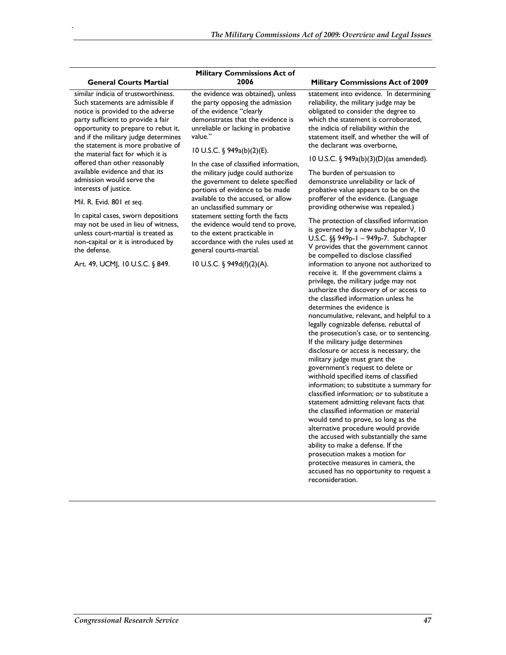#### **General Courts Martial**

.

similar indicia of trustworthiness. Such statements are admissible if notice is provided to the adverse party sufficient to provide a fair opportunity to prepare to rebut it, and if the military judge determines the statement is more probative of the material fact for which it is offered than other reasonably available evidence and that its admission would serve the interests of justice.

#### Mil. R. Evid. 801 *et seq*.

In capital cases, sworn depositions may not be used in lieu of witness, unless court-martial is treated as non-capital or it is introduced by the defense.

Art. 49, UCMJ, 10 U.S.C. § 849.

# **Military Commissions Act of**

the evidence was obtained), unless the party opposing the admission of the evidence "clearly demonstrates that the evidence is unreliable or lacking in probative value."

#### 10 U.S.C. § 949a(b)(2)(E).

In the case of classified information, the military judge could authorize the government to delete specified portions of evidence to be made available to the accused, or allow an unclassified summary or statement setting forth the facts the evidence would tend to prove, to the extent practicable in accordance with the rules used at general courts-martial.

10 U.S.C. § 949d(f)(2)(A).

#### **2006 Military Commissions Act of 2009**

statement into evidence. In determining reliability, the military judge may be obligated to consider the degree to which the statement is corroborated, the indicia of reliability within the statement itself, and whether the will of the declarant was overborne,

#### 10 U.S.C. § 949a(b)(3)(D)(as amended).

The burden of persuasion to demonstrate unreliability or lack of probative value appears to be on the profferer of the evidence. (Language providing otherwise was repealed.)

The protection of classified information is governed by a new subchapter V, 10 U.S.C. §§ 949p-1 – 949p-7. Subchapter V provides that the government cannot be compelled to disclose classified information to anyone not authorized to receive it. If the government claims a privilege, the military judge may not authorize the discovery of or access to the classified information unless he determines the evidence is noncumulative, relevant, and helpful to a legally cognizable defense, rebuttal of the prosecution's case, or to sentencing. If the military judge determines disclosure or access is necessary, the military judge must grant the government's request to delete or withhold specified items of classified information; to substitute a summary for classified information; or to substitute a statement admitting relevant facts that the classified information or material would tend to prove, so long as the alternative procedure would provide the accused with substantially the same ability to make a defense. If the prosecution makes a motion for protective measures in camera, the accused has no opportunity to request a reconsideration.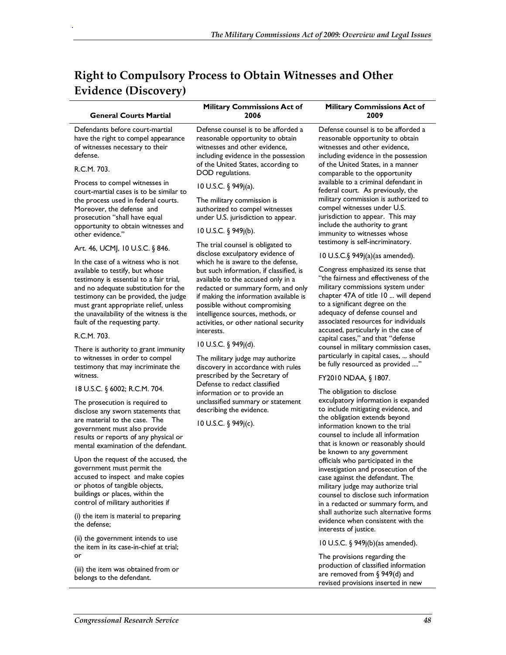| <b>Right to Compulsory Process to Obtain Witnesses and Other</b> |  |
|------------------------------------------------------------------|--|
| Evidence (Discovery)                                             |  |

.

j.

| <b>General Courts Martial</b>                                                                                                                                                                                                                                                                                                                                                                                                                                                                                                                                                                                                                  | <b>Military Commissions Act of</b><br>2006                                                                                                                                                                                                                                                                                                                                                                                                                                                                                                                                                                                                                        | <b>Military Commissions Act of</b><br>2009                                                                                                                                                                                                                                                                                                                                                                                                                                                                                                                                                                                                                                                                                                                 |
|------------------------------------------------------------------------------------------------------------------------------------------------------------------------------------------------------------------------------------------------------------------------------------------------------------------------------------------------------------------------------------------------------------------------------------------------------------------------------------------------------------------------------------------------------------------------------------------------------------------------------------------------|-------------------------------------------------------------------------------------------------------------------------------------------------------------------------------------------------------------------------------------------------------------------------------------------------------------------------------------------------------------------------------------------------------------------------------------------------------------------------------------------------------------------------------------------------------------------------------------------------------------------------------------------------------------------|------------------------------------------------------------------------------------------------------------------------------------------------------------------------------------------------------------------------------------------------------------------------------------------------------------------------------------------------------------------------------------------------------------------------------------------------------------------------------------------------------------------------------------------------------------------------------------------------------------------------------------------------------------------------------------------------------------------------------------------------------------|
| Defendants before court-martial<br>have the right to compel appearance<br>of witnesses necessary to their<br>defense.                                                                                                                                                                                                                                                                                                                                                                                                                                                                                                                          | Defense counsel is to be afforded a<br>reasonable opportunity to obtain<br>witnesses and other evidence,<br>including evidence in the possession                                                                                                                                                                                                                                                                                                                                                                                                                                                                                                                  | Defense counsel is to be afforded a<br>reasonable opportunity to obtain<br>witnesses and other evidence,<br>including evidence in the possession                                                                                                                                                                                                                                                                                                                                                                                                                                                                                                                                                                                                           |
| R.C.M. 703.                                                                                                                                                                                                                                                                                                                                                                                                                                                                                                                                                                                                                                    | of the United States, according to<br>DOD regulations.                                                                                                                                                                                                                                                                                                                                                                                                                                                                                                                                                                                                            | of the United States, in a manner<br>comparable to the opportunity                                                                                                                                                                                                                                                                                                                                                                                                                                                                                                                                                                                                                                                                                         |
| Process to compel witnesses in<br>court-martial cases is to be similar to<br>the process used in federal courts.<br>Moreover, the defense and<br>prosecution "shall have equal<br>opportunity to obtain witnesses and<br>other evidence."                                                                                                                                                                                                                                                                                                                                                                                                      | 10 U.S.C. § 949j(a).<br>The military commission is<br>authorized to compel witnesses<br>under U.S. jurisdiction to appear.<br>10 U.S.C. $\S$ 949 $j(b)$ .                                                                                                                                                                                                                                                                                                                                                                                                                                                                                                         | available to a criminal defendant in<br>federal court. As previously, the<br>military commission is authorized to<br>compel witnesses under U.S.<br>jurisdiction to appear. This may<br>include the authority to grant<br>immunity to witnesses whose                                                                                                                                                                                                                                                                                                                                                                                                                                                                                                      |
| Art. 46, UCMJ, 10 U.S.C. § 846.                                                                                                                                                                                                                                                                                                                                                                                                                                                                                                                                                                                                                | The trial counsel is obligated to                                                                                                                                                                                                                                                                                                                                                                                                                                                                                                                                                                                                                                 | testimony is self-incriminatory.                                                                                                                                                                                                                                                                                                                                                                                                                                                                                                                                                                                                                                                                                                                           |
| In the case of a witness who is not<br>available to testify, but whose<br>testimony is essential to a fair trial,<br>and no adequate substitution for the<br>testimony can be provided, the judge<br>must grant appropriate relief, unless<br>the unavailability of the witness is the<br>fault of the requesting party.<br>R.C.M. 703.<br>There is authority to grant immunity<br>to witnesses in order to compel<br>testimony that may incriminate the<br>witness.<br>18 U.S.C. § 6002; R.C.M. 704.<br>The prosecution is required to<br>disclose any sworn statements that<br>are material to the case. The<br>government must also provide | disclose exculpatory evidence of<br>which he is aware to the defense,<br>but such information, if classified, is<br>available to the accused only in a<br>redacted or summary form, and only<br>if making the information available is<br>possible without compromising<br>intelligence sources, methods, or<br>activities, or other national security<br>interests.<br>10 U.S.C. § 949j(d).<br>The military judge may authorize<br>discovery in accordance with rules<br>prescribed by the Secretary of<br>Defense to redact classified<br>information or to provide an<br>unclassified summary or statement<br>describing the evidence.<br>10 U.S.C. § 949j(c). | 10 U.S.C.§ 949j(a)(as amended).<br>Congress emphasized its sense that<br>"the fairness and effectiveness of the<br>military commissions system under<br>chapter 47A of title 10  will depend<br>to a significant degree on the<br>adequacy of defense counsel and<br>associated resources for individuals<br>accused, particularly in the case of<br>capital cases," and that "defense<br>counsel in military commission cases,<br>particularly in capital cases,  should<br>be fully resourced as provided "<br>FY2010 NDAA, § 1807.<br>The obligation to disclose<br>exculpatory information is expanded<br>to include mitigating evidence, and<br>the obligation extends beyond<br>information known to the trial<br>counsel to include all information |
| results or reports of any physical or<br>mental examination of the defendant.<br>Upon the request of the accused, the<br>government must permit the<br>accused to inspect and make copies<br>or photos of tangible objects,<br>buildings or places, within the<br>control of military authorities if<br>(i) the item is material to preparing<br>the defense;<br>(ii) the government intends to use<br>the item in its case-in-chief at trial;<br>or<br>(iii) the item was obtained from or<br>belongs to the defendant.                                                                                                                       |                                                                                                                                                                                                                                                                                                                                                                                                                                                                                                                                                                                                                                                                   | that is known or reasonably should<br>be known to any government<br>officials who participated in the<br>investigation and prosecution of the<br>case against the defendant. The<br>military judge may authorize trial<br>counsel to disclose such information<br>in a redacted or summary form, and<br>shall authorize such alternative forms<br>evidence when consistent with the<br>interests of justice.<br>10 U.S.C. § 949j(b)(as amended).<br>The provisions regarding the<br>production of classified information<br>are removed from $\S$ 949(d) and<br>revised provisions inserted in new                                                                                                                                                         |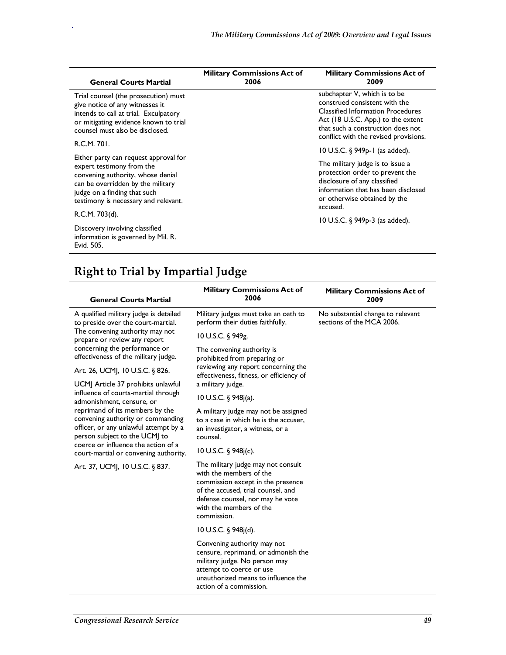| <b>General Courts Martial</b>                                                                                                                                                                                        | <b>Military Commissions Act of</b><br>2006 | <b>Military Commissions Act of</b><br>2009                                                                                                                                                                                    |
|----------------------------------------------------------------------------------------------------------------------------------------------------------------------------------------------------------------------|--------------------------------------------|-------------------------------------------------------------------------------------------------------------------------------------------------------------------------------------------------------------------------------|
| Trial counsel (the prosecution) must<br>give notice of any witnesses it<br>intends to call at trial. Exculpatory<br>or mitigating evidence known to trial<br>counsel must also be disclosed.                         |                                            | subchapter V, which is to be<br>construed consistent with the<br><b>Classified Information Procedures</b><br>Act (18 U.S.C. App.) to the extent<br>that such a construction does not<br>conflict with the revised provisions. |
| R.C.M. 701.                                                                                                                                                                                                          |                                            | $10$ U.S.C. $\frac{6}{9}$ 949 <sub>p</sub> -1 (as added).                                                                                                                                                                     |
| Either party can request approval for<br>expert testimony from the<br>convening authority, whose denial<br>can be overridden by the military<br>judge on a finding that such<br>testimony is necessary and relevant. |                                            | The military judge is to issue a<br>protection order to prevent the<br>disclosure of any classified<br>information that has been disclosed<br>or otherwise obtained by the<br>accused.                                        |
| R.C.M. 703(d).                                                                                                                                                                                                       |                                            | 10 U.S.C. § 949p-3 (as added).                                                                                                                                                                                                |
| Discovery involving classified<br>information is governed by Mil. R.<br>Evid. 505.                                                                                                                                   |                                            |                                                                                                                                                                                                                               |

# **Right to Trial by Impartial Judge**

| <b>General Courts Martial</b>                                                                                                                                                                                                  | <b>Military Commissions Act of</b><br>2006                                                                                                                                                                             | <b>Military Commissions Act of</b><br>2009                     |
|--------------------------------------------------------------------------------------------------------------------------------------------------------------------------------------------------------------------------------|------------------------------------------------------------------------------------------------------------------------------------------------------------------------------------------------------------------------|----------------------------------------------------------------|
| A qualified military judge is detailed<br>to preside over the court-martial.<br>The convening authority may not<br>prepare or review any report                                                                                | Military judges must take an oath to<br>perform their duties faithfully.                                                                                                                                               | No substantial change to relevant<br>sections of the MCA 2006. |
|                                                                                                                                                                                                                                | 10 U.S.C. § 949g.                                                                                                                                                                                                      |                                                                |
| concerning the performance or<br>effectiveness of the military judge.                                                                                                                                                          | The convening authority is<br>prohibited from preparing or<br>reviewing any report concerning the<br>effectiveness, fitness, or efficiency of                                                                          |                                                                |
| Art. 26, UCMJ, 10 U.S.C. § 826.                                                                                                                                                                                                |                                                                                                                                                                                                                        |                                                                |
| UCMJ Article 37 prohibits unlawful                                                                                                                                                                                             | a military judge.                                                                                                                                                                                                      |                                                                |
| influence of courts-martial through<br>admonishment, censure, or                                                                                                                                                               | 10 U.S.C. $\frac{6}{3}$ 948 (a).                                                                                                                                                                                       |                                                                |
| reprimand of its members by the<br>convening authority or commanding<br>officer, or any unlawful attempt by a<br>person subject to the UCMJ to<br>coerce or influence the action of a<br>court-martial or convening authority. | A military judge may not be assigned<br>to a case in which he is the accuser.<br>an investigator, a witness, or a<br>counsel.                                                                                          |                                                                |
|                                                                                                                                                                                                                                | 10 U.S.C. § 948j(c).                                                                                                                                                                                                   |                                                                |
| Art. 37, UCMJ, 10 U.S.C. § 837.                                                                                                                                                                                                | The military judge may not consult<br>with the members of the<br>commission except in the presence<br>of the accused, trial counsel, and<br>defense counsel, nor may he vote<br>with the members of the<br>commission. |                                                                |
|                                                                                                                                                                                                                                | 10 U.S.C. § 948j(d).                                                                                                                                                                                                   |                                                                |
|                                                                                                                                                                                                                                | Convening authority may not<br>censure, reprimand, or admonish the<br>military judge. No person may<br>attempt to coerce or use<br>unauthorized means to influence the<br>action of a commission.                      |                                                                |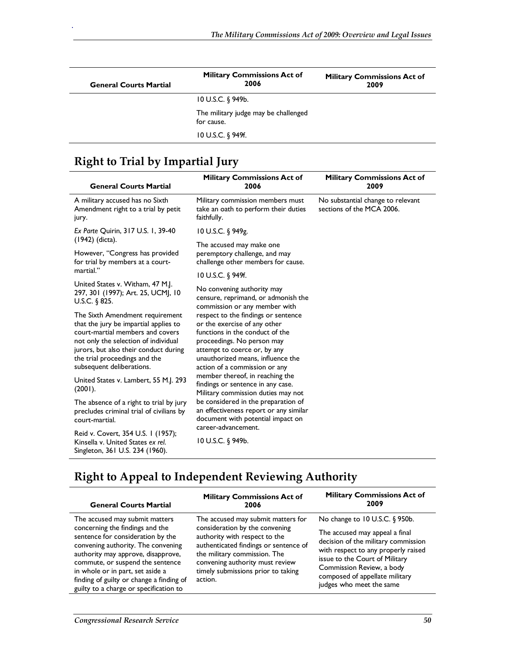| <b>General Courts Martial</b> | <b>Military Commissions Act of</b><br>2006         | <b>Military Commissions Act of</b><br>2009 |
|-------------------------------|----------------------------------------------------|--------------------------------------------|
|                               | $10 \text{ U.S.C. }$ \$949b.                       |                                            |
|                               | The military judge may be challenged<br>for cause. |                                            |
|                               | 10 U.S.C. § 949f.                                  |                                            |

## **Right to Trial by Impartial Jury**

.

| <b>General Courts Martial</b>                                                                                                                                                                                                                               | <b>Military Commissions Act of</b><br>2006                                                                                                                                                                                                                                                                                                                                                                                                                                                                                 | <b>Military Commissions Act of</b><br>2009                     |
|-------------------------------------------------------------------------------------------------------------------------------------------------------------------------------------------------------------------------------------------------------------|----------------------------------------------------------------------------------------------------------------------------------------------------------------------------------------------------------------------------------------------------------------------------------------------------------------------------------------------------------------------------------------------------------------------------------------------------------------------------------------------------------------------------|----------------------------------------------------------------|
| A military accused has no Sixth<br>Amendment right to a trial by petit<br>jury.                                                                                                                                                                             | Military commission members must<br>take an oath to perform their duties<br>faithfully.                                                                                                                                                                                                                                                                                                                                                                                                                                    | No substantial change to relevant<br>sections of the MCA 2006. |
| Ex Parte Quirin, 317 U.S. 1, 39-40<br>(1942) (dicta).                                                                                                                                                                                                       | 10 U.S.C. § 949g.<br>The accused may make one                                                                                                                                                                                                                                                                                                                                                                                                                                                                              |                                                                |
| However, "Congress has provided<br>for trial by members at a court-                                                                                                                                                                                         | peremptory challenge, and may<br>challenge other members for cause.                                                                                                                                                                                                                                                                                                                                                                                                                                                        |                                                                |
| martial."                                                                                                                                                                                                                                                   | 10 U.S.C. § 949f.                                                                                                                                                                                                                                                                                                                                                                                                                                                                                                          |                                                                |
| United States v. Witham, 47 M.J.<br>297, 301 (1997); Art. 25, UCMJ, 10<br>U.S.C. $6825$ .                                                                                                                                                                   | No convening authority may<br>censure, reprimand, or admonish the<br>commission or any member with                                                                                                                                                                                                                                                                                                                                                                                                                         |                                                                |
| The Sixth Amendment requirement<br>that the jury be impartial applies to<br>court-martial members and covers<br>not only the selection of individual<br>jurors, but also their conduct during<br>the trial proceedings and the<br>subsequent deliberations. | respect to the findings or sentence<br>or the exercise of any other<br>functions in the conduct of the<br>proceedings. No person may<br>attempt to coerce or, by any<br>unauthorized means, influence the<br>action of a commission or any<br>member thereof, in reaching the<br>findings or sentence in any case.<br>Military commission duties may not<br>be considered in the preparation of<br>an effectiveness report or any similar<br>document with potential impact on<br>career-advancement.<br>10 U.S.C. § 949b. |                                                                |
| United States v. Lambert, 55 M.J. 293<br>(2001).                                                                                                                                                                                                            |                                                                                                                                                                                                                                                                                                                                                                                                                                                                                                                            |                                                                |
| The absence of a right to trial by jury<br>precludes criminal trial of civilians by<br>court-martial.                                                                                                                                                       |                                                                                                                                                                                                                                                                                                                                                                                                                                                                                                                            |                                                                |
| Reid v. Covert, 354 U.S. 1 (1957);<br>Kinsella v. United States ex rel.<br>Singleton, 361 U.S. 234 (1960).                                                                                                                                                  |                                                                                                                                                                                                                                                                                                                                                                                                                                                                                                                            |                                                                |

## **Right to Appeal to Independent Reviewing Authority**

| <b>General Courts Martial</b>                                                                                                                                                                                                                                                                                                                    | <b>Military Commissions Act of</b><br>2006                                                                                                                                                                                                                         | <b>Military Commissions Act of</b><br>2009                                                                                                                                                                                                                                  |
|--------------------------------------------------------------------------------------------------------------------------------------------------------------------------------------------------------------------------------------------------------------------------------------------------------------------------------------------------|--------------------------------------------------------------------------------------------------------------------------------------------------------------------------------------------------------------------------------------------------------------------|-----------------------------------------------------------------------------------------------------------------------------------------------------------------------------------------------------------------------------------------------------------------------------|
| The accused may submit matters<br>concerning the findings and the<br>sentence for consideration by the<br>convening authority. The convening<br>authority may approve, disapprove,<br>commute, or suspend the sentence<br>in whole or in part, set aside a<br>finding of guilty or change a finding of<br>guilty to a charge or specification to | The accused may submit matters for<br>consideration by the convening<br>authority with respect to the<br>authenticated findings or sentence of<br>the military commission. The<br>convening authority must review<br>timely submissions prior to taking<br>action. | No change to 10 U.S.C. § 950b.<br>The accused may appeal a final<br>decision of the military commission<br>with respect to any properly raised<br>issue to the Court of Military<br>Commission Review, a body<br>composed of appellate military<br>judges who meet the same |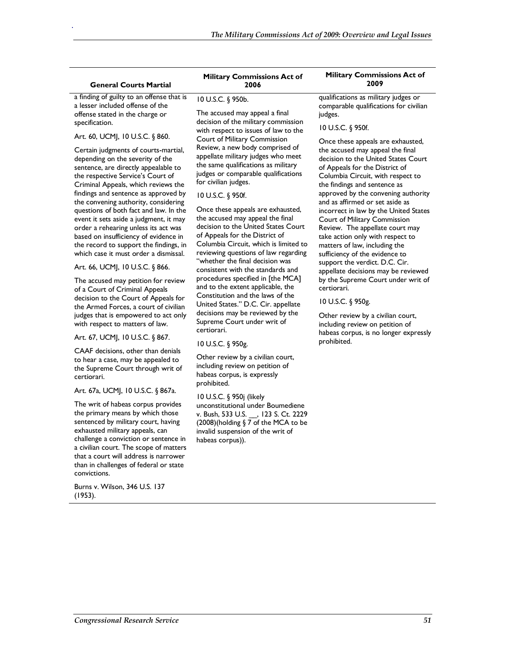### **General Courts Martial**

.

a finding of guilty to an offense that is a lesser included offense of the offense stated in the charge or specification.

### Art. 60, UCMJ, 10 U.S.C. § 860.

Certain judgments of courts-martial, depending on the severity of the sentence, are directly appealable to the respective Service's Court of Criminal Appeals, which reviews the findings and sentence as approved by the convening authority, considering questions of both fact and law. In the event it sets aside a judgment, it may order a rehearing unless its act was based on insufficiency of evidence in the record to support the findings, in which case it must order a dismissal.

#### Art. 66, UCMJ, 10 U.S.C. § 866.

The accused may petition for review of a Court of Criminal Appeals decision to the Court of Appeals for the Armed Forces, a court of civilian judges that is empowered to act only with respect to matters of law.

### Art. 67, UCMJ, 10 U.S.C. § 867.

CAAF decisions, other than denials to hear a case, may be appealed to the Supreme Court through writ of certiorari.

#### Art. 67a, UCMJ, 10 U.S.C. § 867a.

The writ of habeas corpus provides the primary means by which those sentenced by military court, having exhausted military appeals, can challenge a conviction or sentence in a civilian court. The scope of matters that a court will address is narrower than in challenges of federal or state convictions.

Burns v. Wilson, 346 U.S. 137 (1953).

#### **Military Commissions Act of 2006**

#### 10 U.S.C. § 950b.

The accused may appeal a final decision of the military commission with respect to issues of law to the Court of Military Commission Review, a new body comprised of appellate military judges who meet the same qualifications as military judges or comparable qualifications for civilian judges.

### 10 U.S.C. § 950f.

Once these appeals are exhausted, the accused may appeal the final decision to the United States Court of Appeals for the District of Columbia Circuit, which is limited to reviewing questions of law regarding "whether the final decision was consistent with the standards and procedures specified in [the MCA] and to the extent applicable, the Constitution and the laws of the United States." D.C. Cir. appellate decisions may be reviewed by the Supreme Court under writ of certiorari.

### 10 U.S.C. § 950g.

Other review by a civilian court, including review on petition of habeas corpus, is expressly prohibited.

10 U.S.C. § 950j (likely unconstitutional under Boumediene v. Bush, 533 U.S. \_\_, 123 S. Ct. 2229 (2008)(holding § 7 of the MCA to be invalid suspension of the writ of habeas corpus)).

#### **Military Commissions Act of 2009**

qualifications as military judges or comparable qualifications for civilian judges.

### 10 U.S.C. § 950f.

Once these appeals are exhausted, the accused may appeal the final decision to the United States Court of Appeals for the District of Columbia Circuit, with respect to the findings and sentence as approved by the convening authority and as affirmed or set aside as incorrect in law by the United States Court of Military Commission Review. The appellate court may take action only with respect to matters of law, including the sufficiency of the evidence to support the verdict. D.C. Cir. appellate decisions may be reviewed by the Supreme Court under writ of certiorari.

### 10 U.S.C. § 950g.

Other review by a civilian court, including review on petition of habeas corpus, is no longer expressly prohibited.